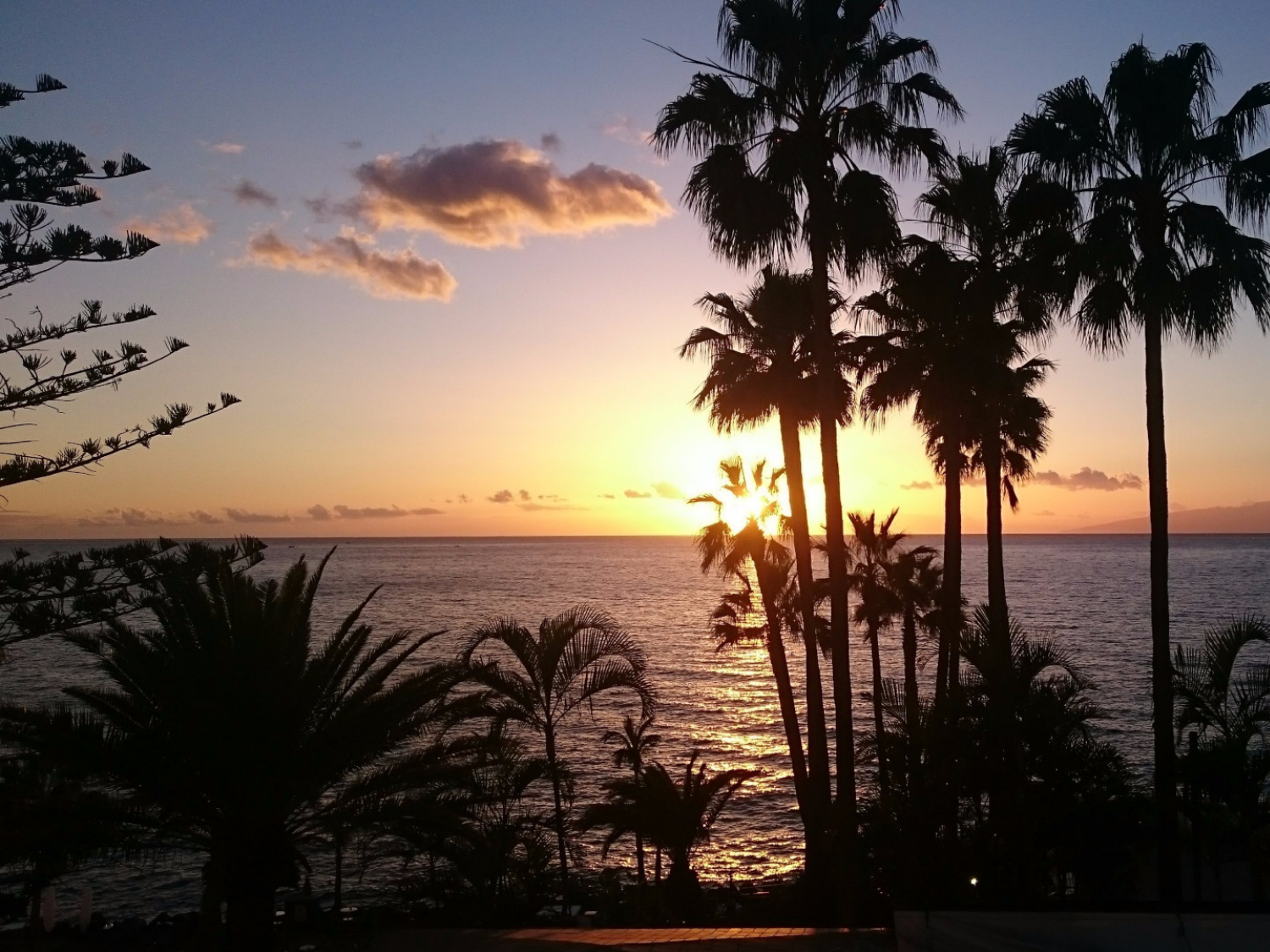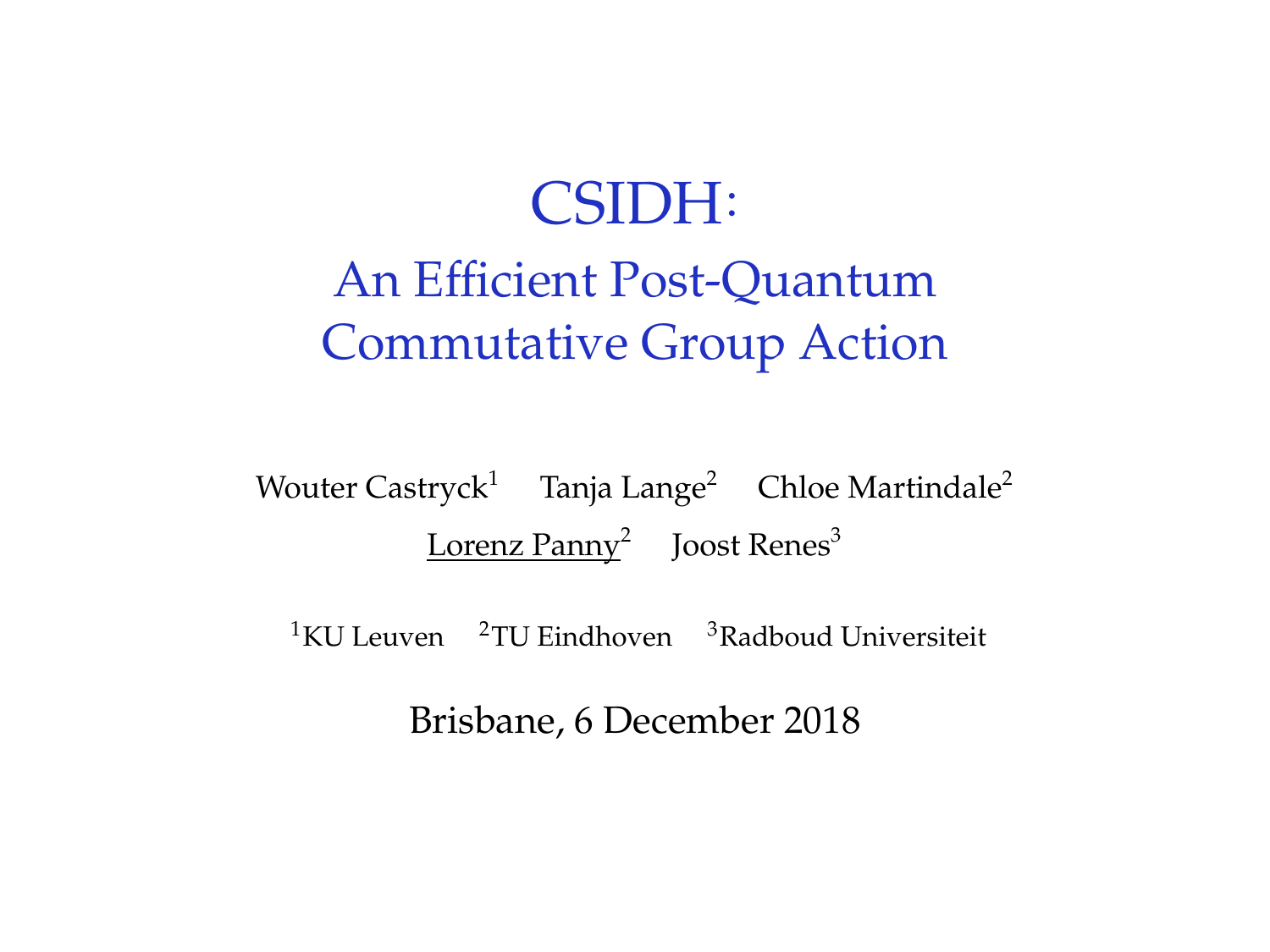# CSIDH: An Efficient Post-Quantum Commutative Group Action

Wouter Castryck<sup>1</sup> Tanja Lange<sup>2</sup> Chloe Martindale<sup>2</sup> Lorenz Panny<sup>2</sup> Joost Renes<sup>3</sup>

<sup>1</sup>KU Leuven <sup>2</sup>TU Eindhoven <sup>3</sup>Radboud Universiteit

Brisbane, 6 December 2018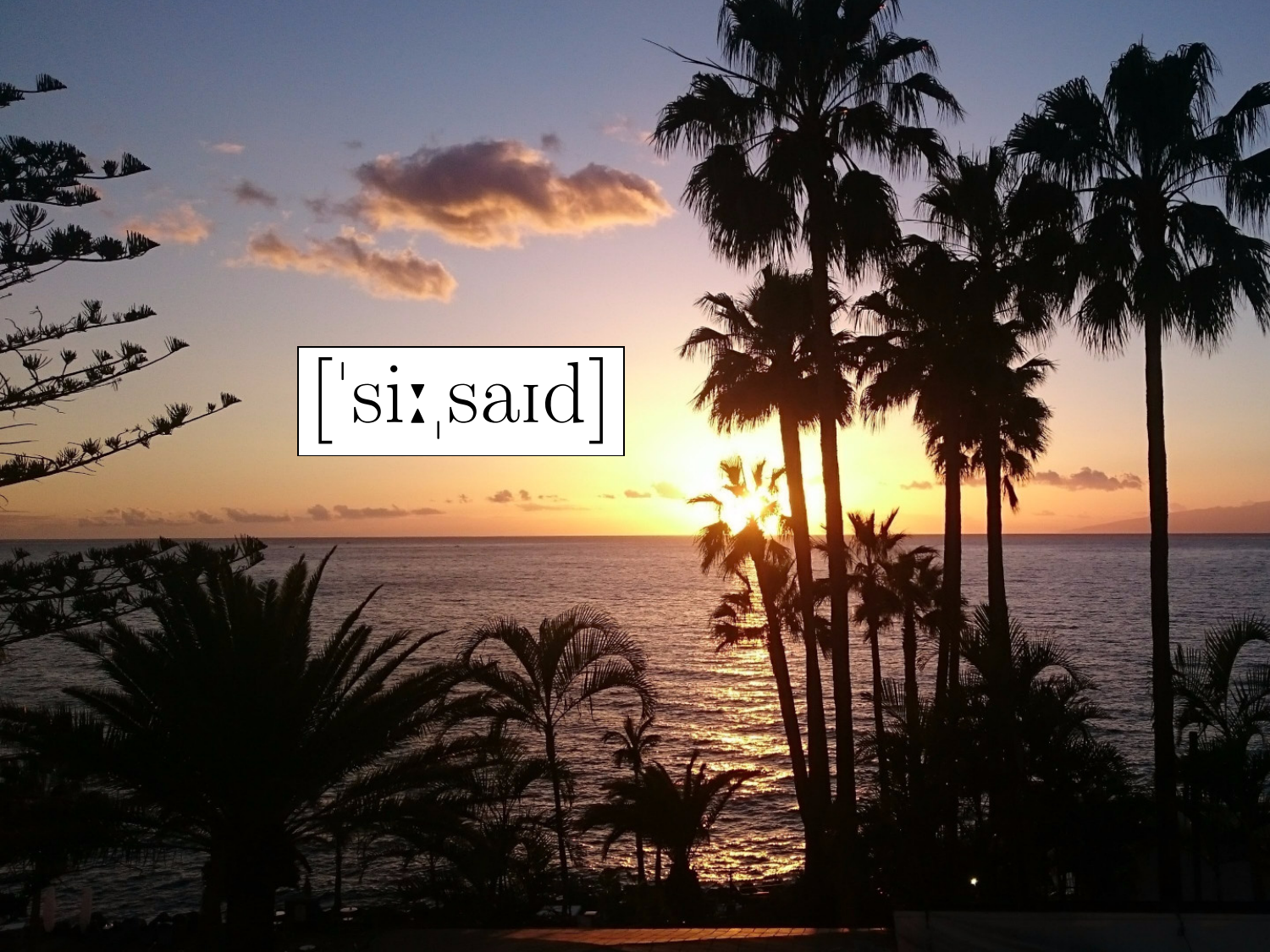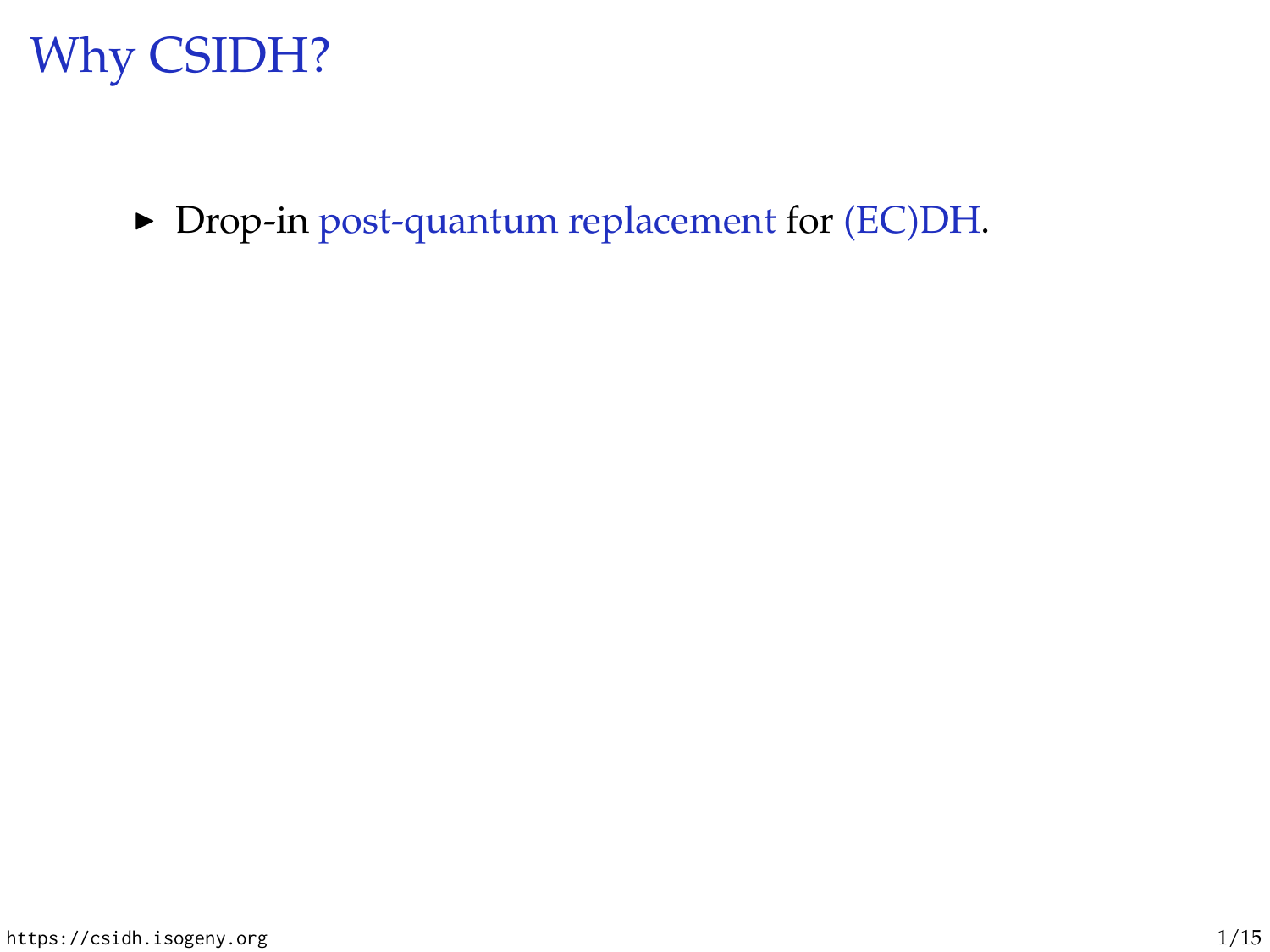▶ Drop-in post-quantum replacement for (EC)DH.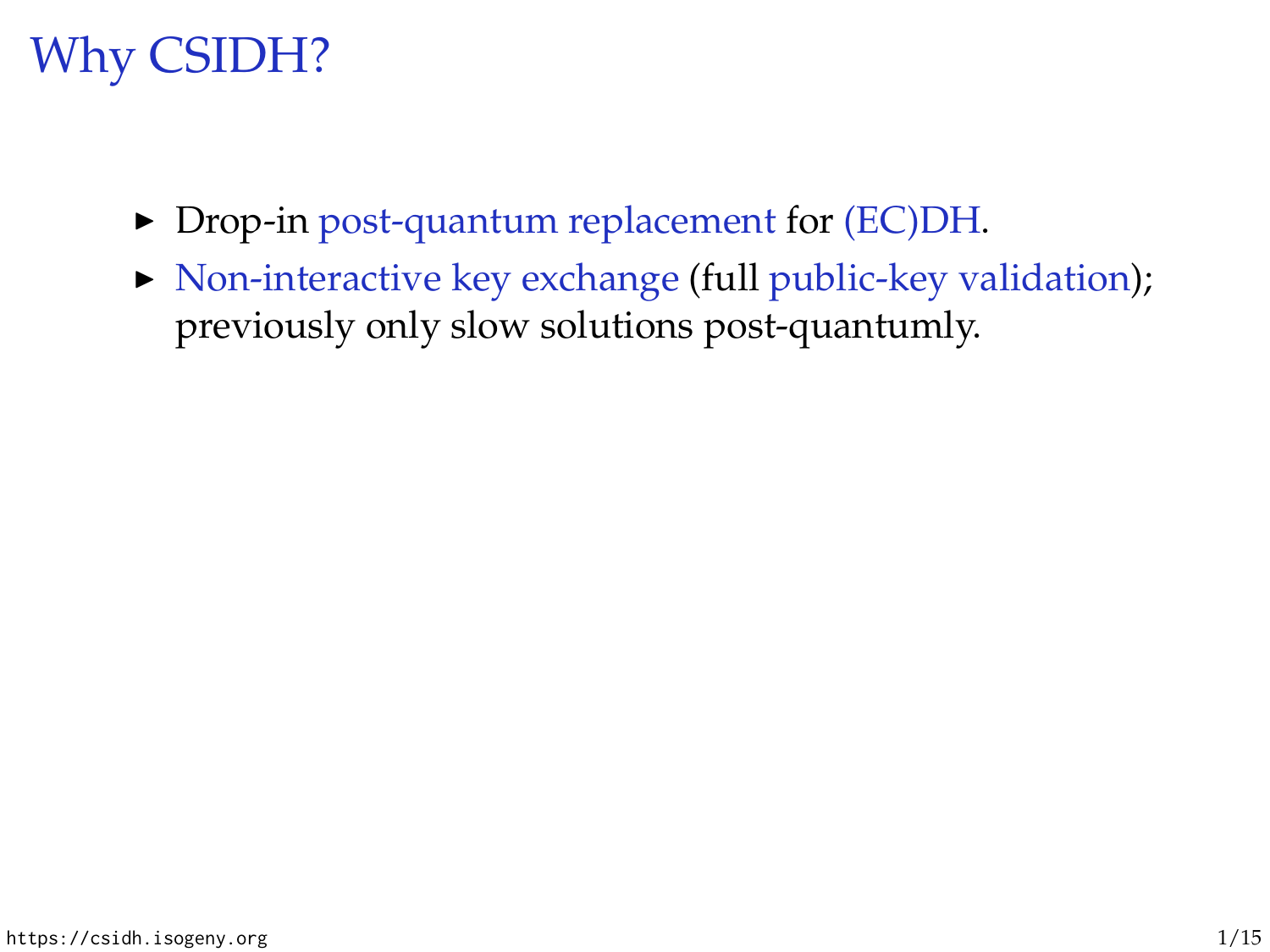- ▶ Drop-in post-quantum replacement for (EC)DH.
- Non-interactive key exchange (full public-key validation); previously only slow solutions post-quantumly.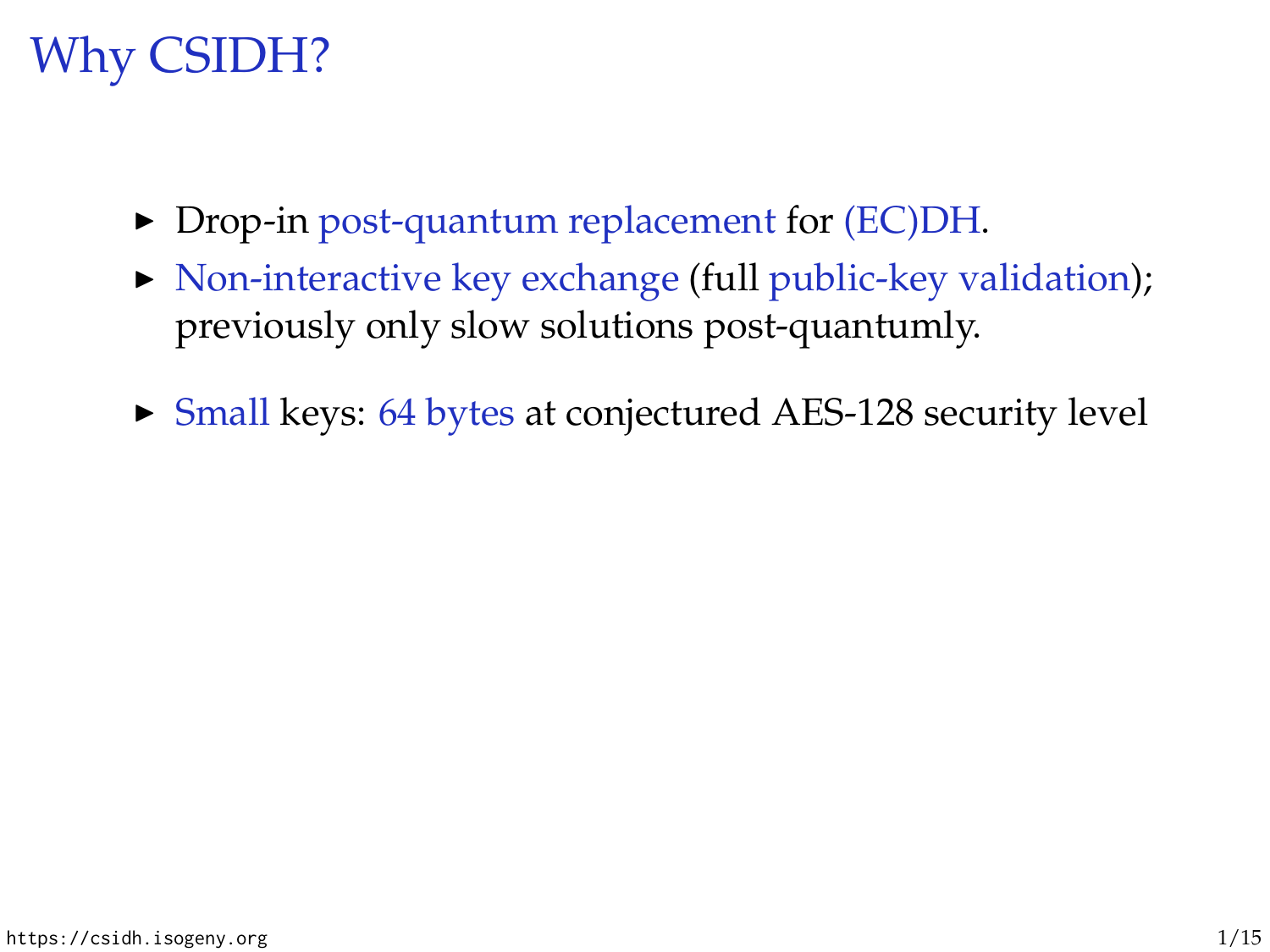- ▶ Drop-in post-quantum replacement for (EC)DH.
- Non-interactive key exchange (full public-key validation); previously only slow solutions post-quantumly.
- Small keys: 64 bytes at conjectured AES-128 security level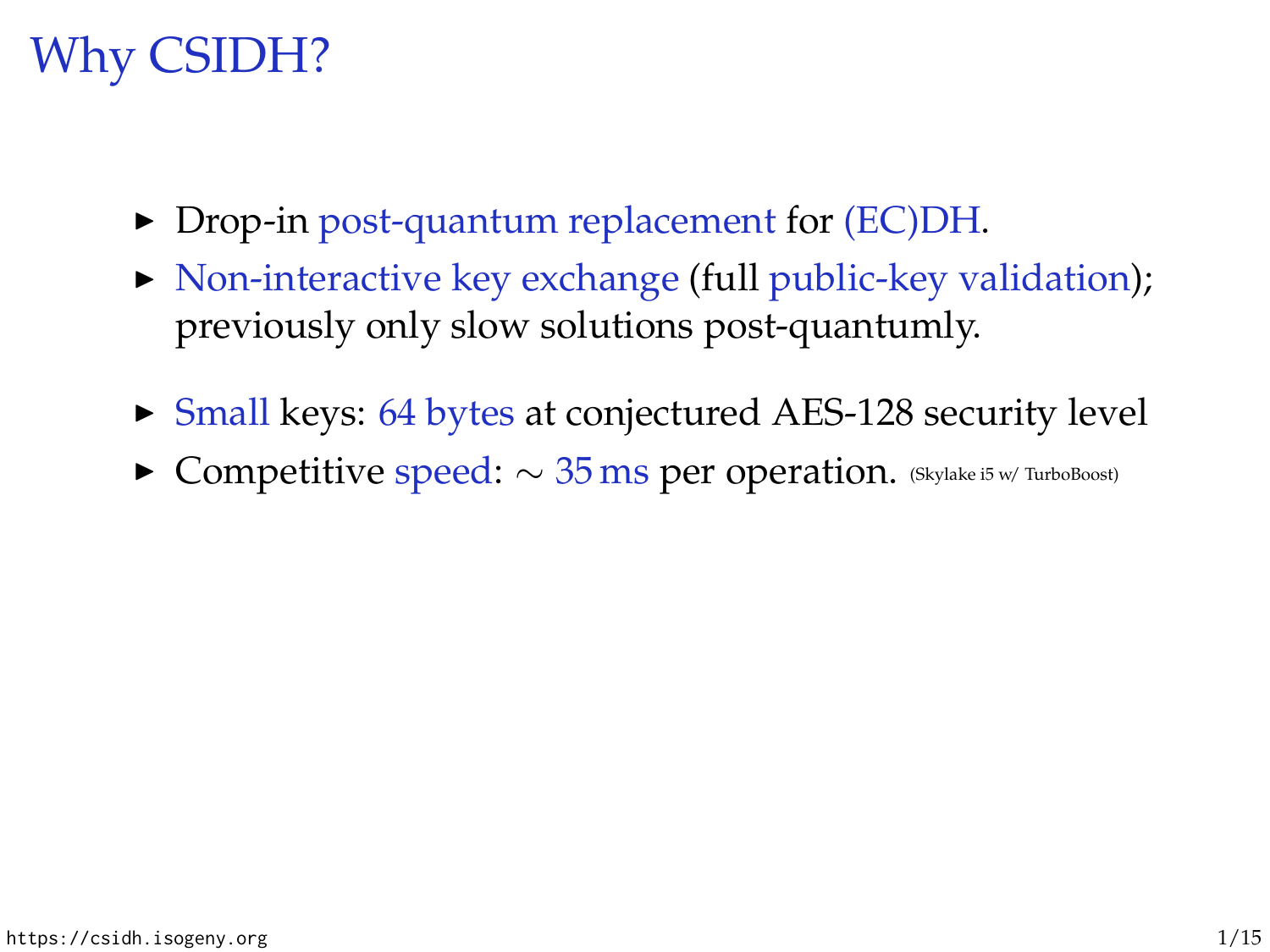- ▶ Drop-in post-quantum replacement for (EC)DH.
- $\triangleright$  Non-interactive key exchange (full public-key validation); previously only slow solutions post-quantumly.
- Small keys: 64 bytes at conjectured AES-128 security level
- ► Competitive speed:  $\sim$  35 ms per operation. (Skylake i5 w/ TurboBoost)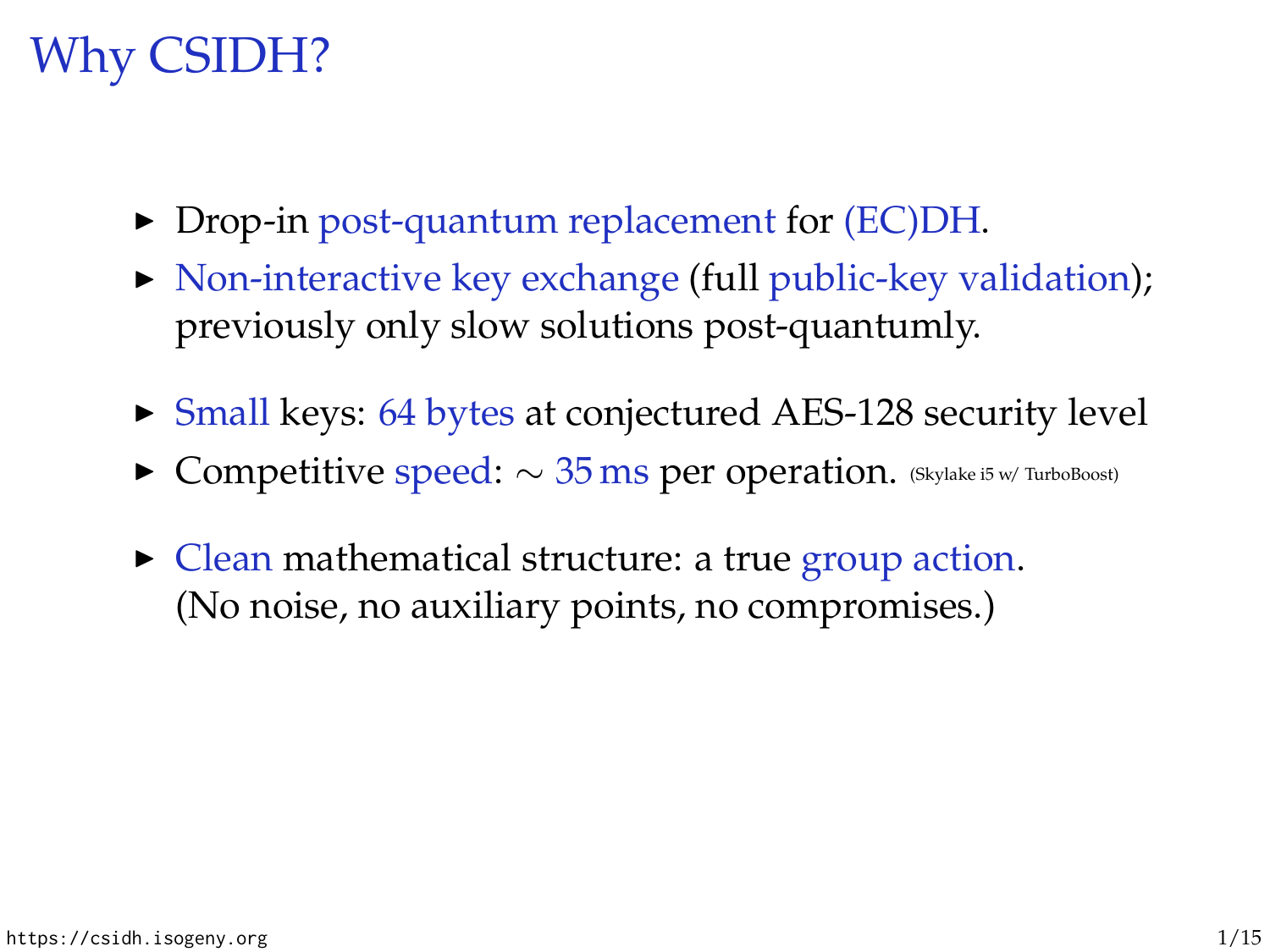- ▶ Drop-in post-quantum replacement for (EC)DH.
- Non-interactive key exchange (full public-key validation); previously only slow solutions post-quantumly.
- Small keys: 64 bytes at conjectured AES-128 security level
- $\triangleright$  Competitive speed:  $\sim$  35 ms per operation. (Skylake i5 w/ TurboBoost)
- $\triangleright$  Clean mathematical structure: a true group action. (No noise, no auxiliary points, no compromises.)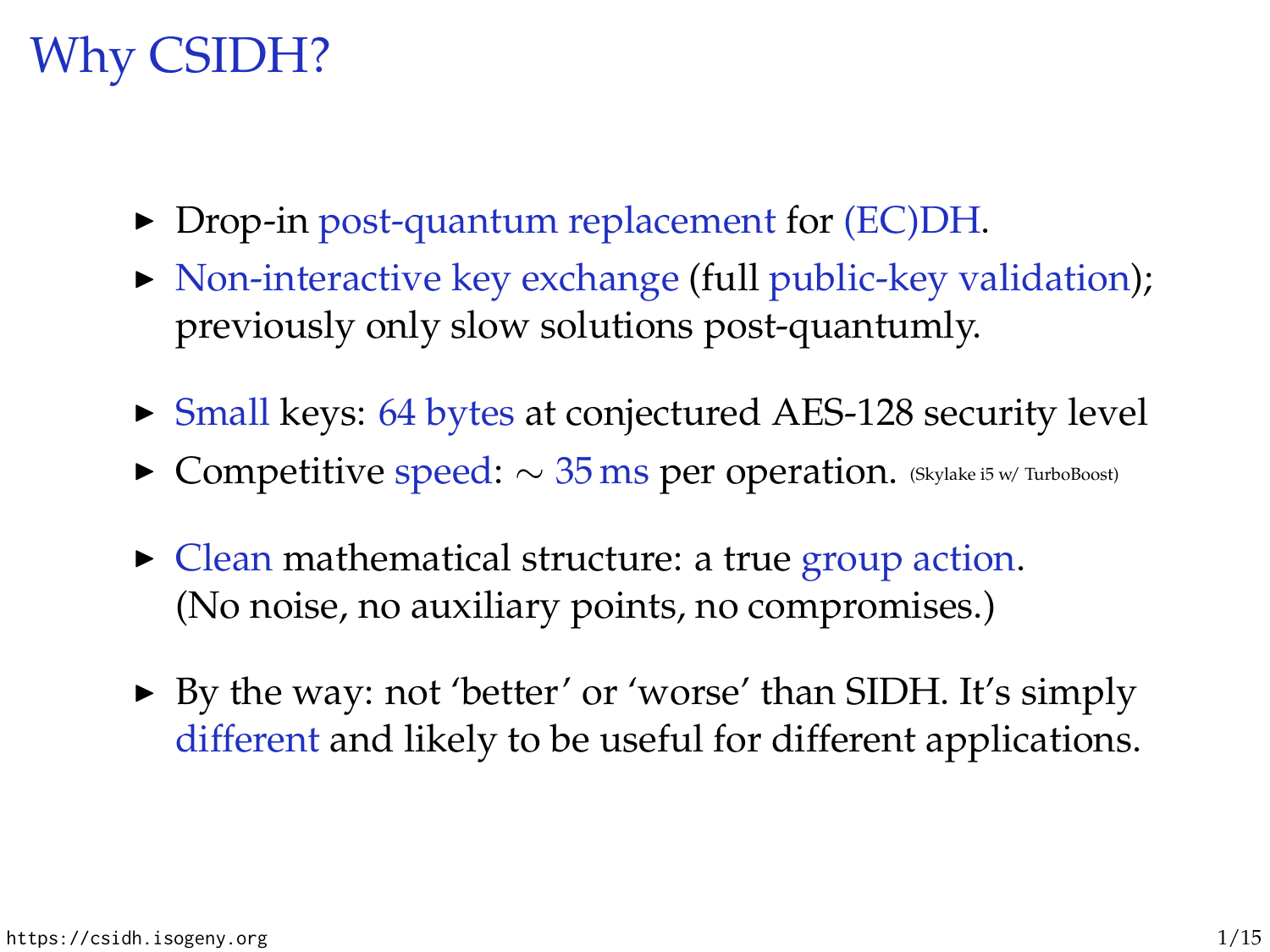- ▶ Drop-in post-quantum replacement for (EC)DH.
- $\triangleright$  Non-interactive key exchange (full public-key validation); previously only slow solutions post-quantumly.
- Small keys: 64 bytes at conjectured AES-128 security level
- $\triangleright$  Competitive speed:  $\sim$  35 ms per operation. (Skylake i5 w/ TurboBoost)
- $\triangleright$  Clean mathematical structure: a true group action. (No noise, no auxiliary points, no compromises.)
- ► By the way: not 'better' or 'worse' than SIDH. It's simply different and likely to be useful for different applications.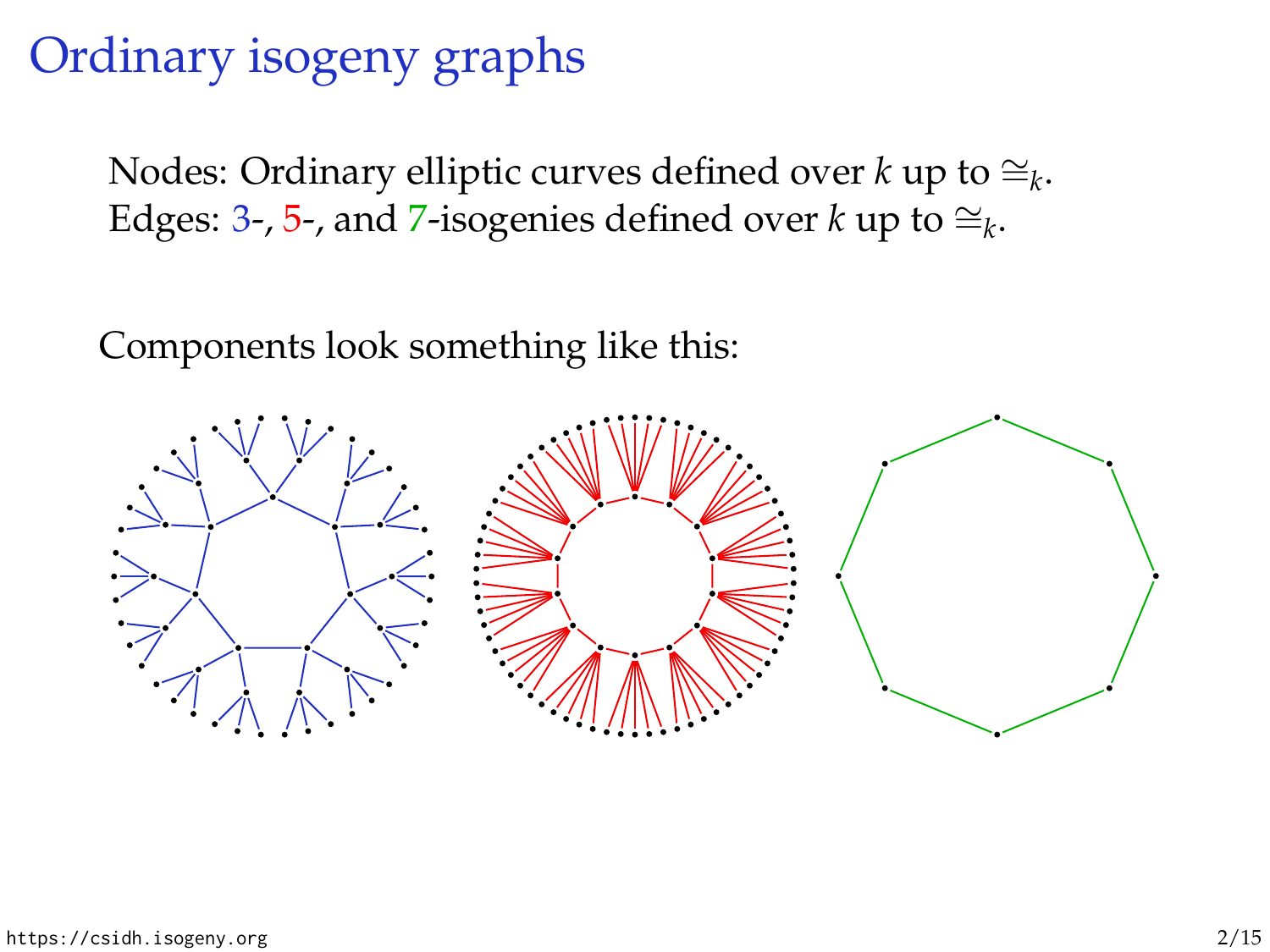# Ordinary isogeny graphs

Nodes: Ordinary elliptic curves defined over *k* up to  $\cong$ <sub>k</sub>. Edges: 3-, 5-, and 7-isogenies defined over *k* up to  $\cong_k$ .

Components look something like this:

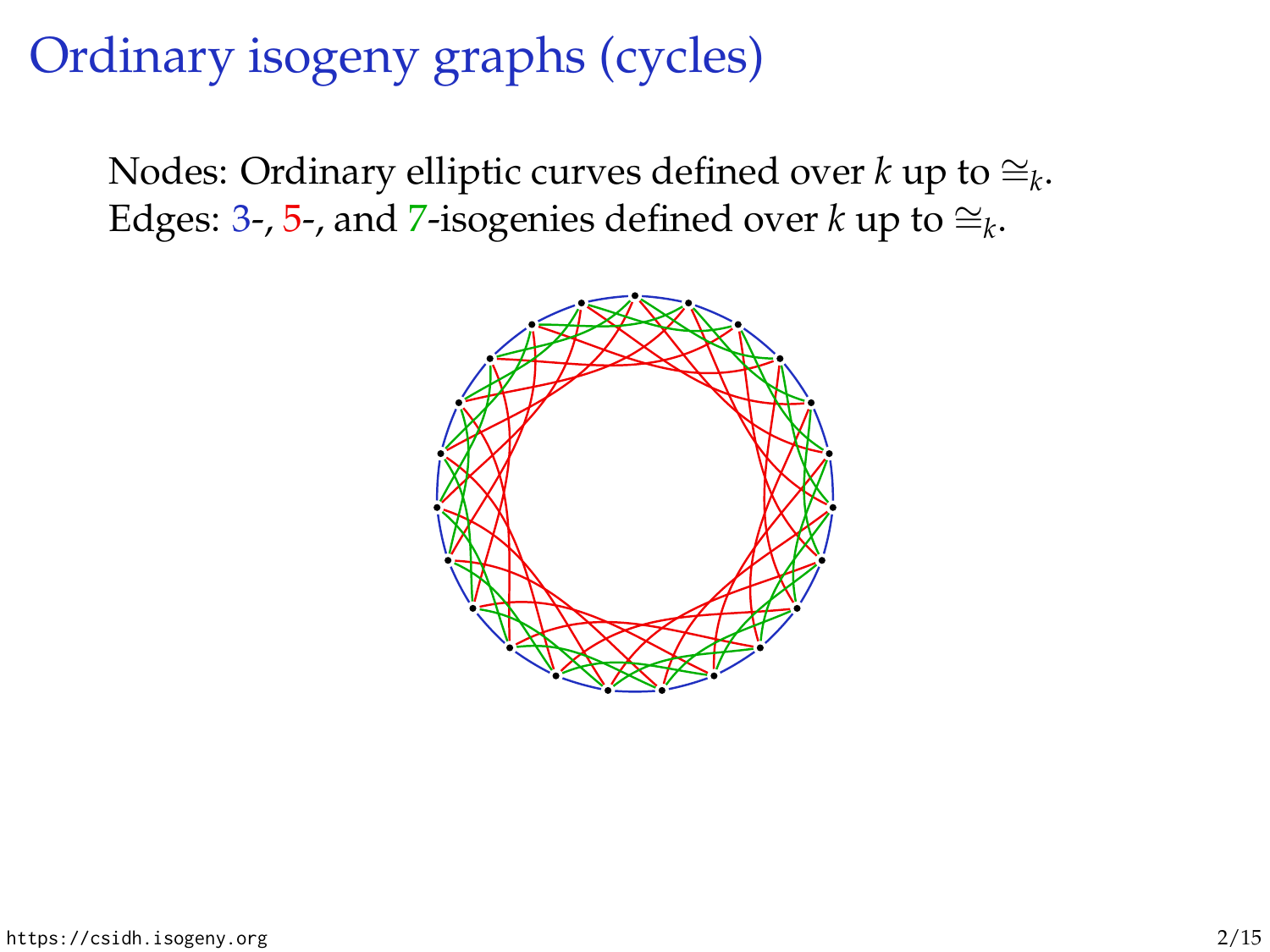# Ordinary isogeny graphs (cycles)

Nodes: Ordinary elliptic curves defined over *k* up to  $\cong$ <sub>k</sub>. Edges: 3-, 5-, and 7-isogenies defined over *k* up to  $\cong_k$ .

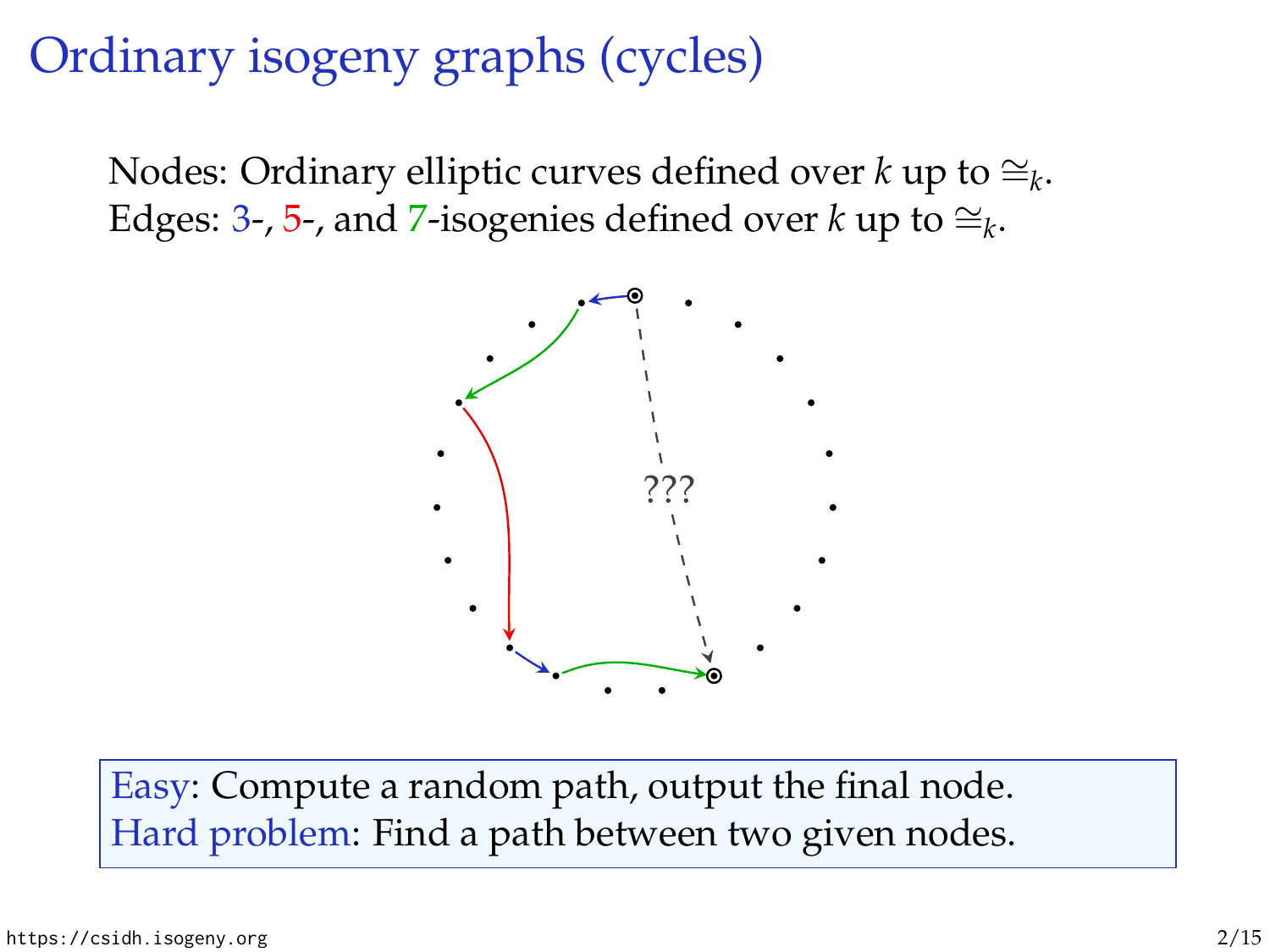# Ordinary isogeny graphs (cycles)

Nodes: Ordinary elliptic curves defined over *k* up to  $\cong$ <sub>k</sub>. Edges: 3-, 5-, and 7-isogenies defined over *k* up to  $\cong_k$ .



Easy: Compute a random path, output the final node. Hard problem: Find a path between two given nodes.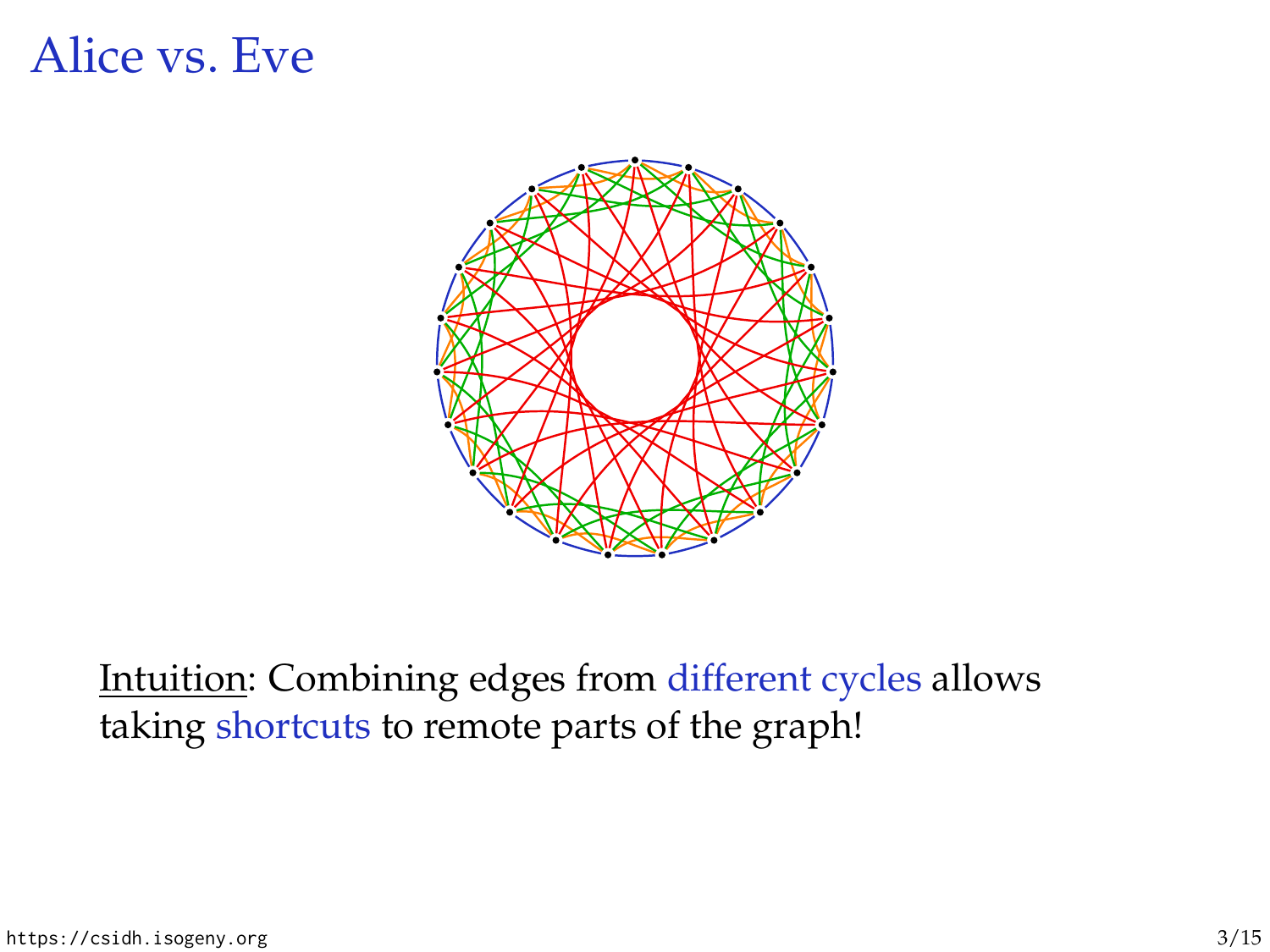#### Alice vs. Eve



#### Intuition: Combining edges from different cycles allows taking shortcuts to remote parts of the graph!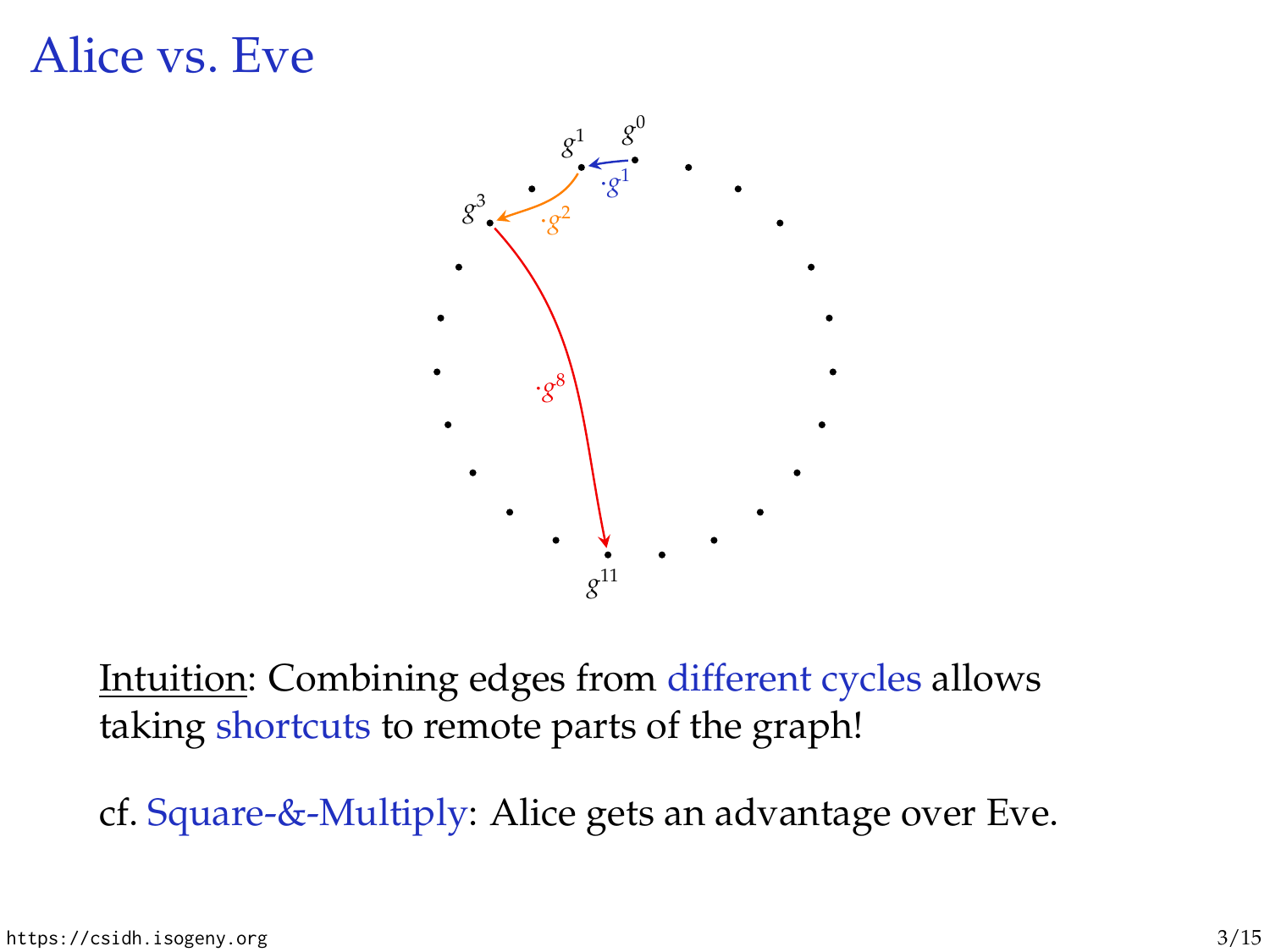#### Alice vs. Eve



Intuition: Combining edges from different cycles allows taking shortcuts to remote parts of the graph!

cf. Square-&-Multiply: Alice gets an advantage over Eve.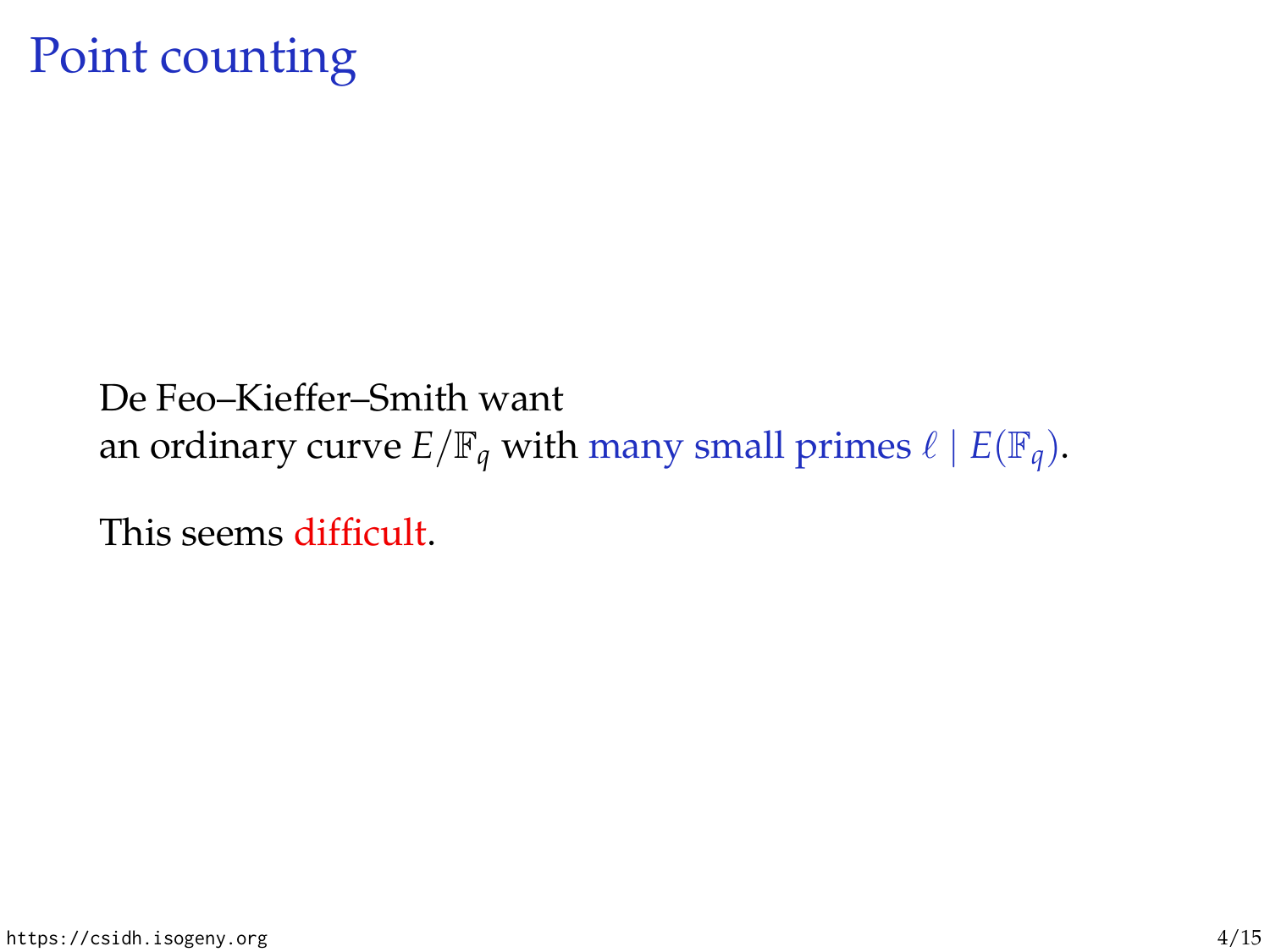## Point counting

#### De Feo–Kieffer–Smith want an ordinary curve  $E/\mathbb{F}_q$  with many small primes  $\ell \mid E(\mathbb{F}_q)$ .

This seems difficult.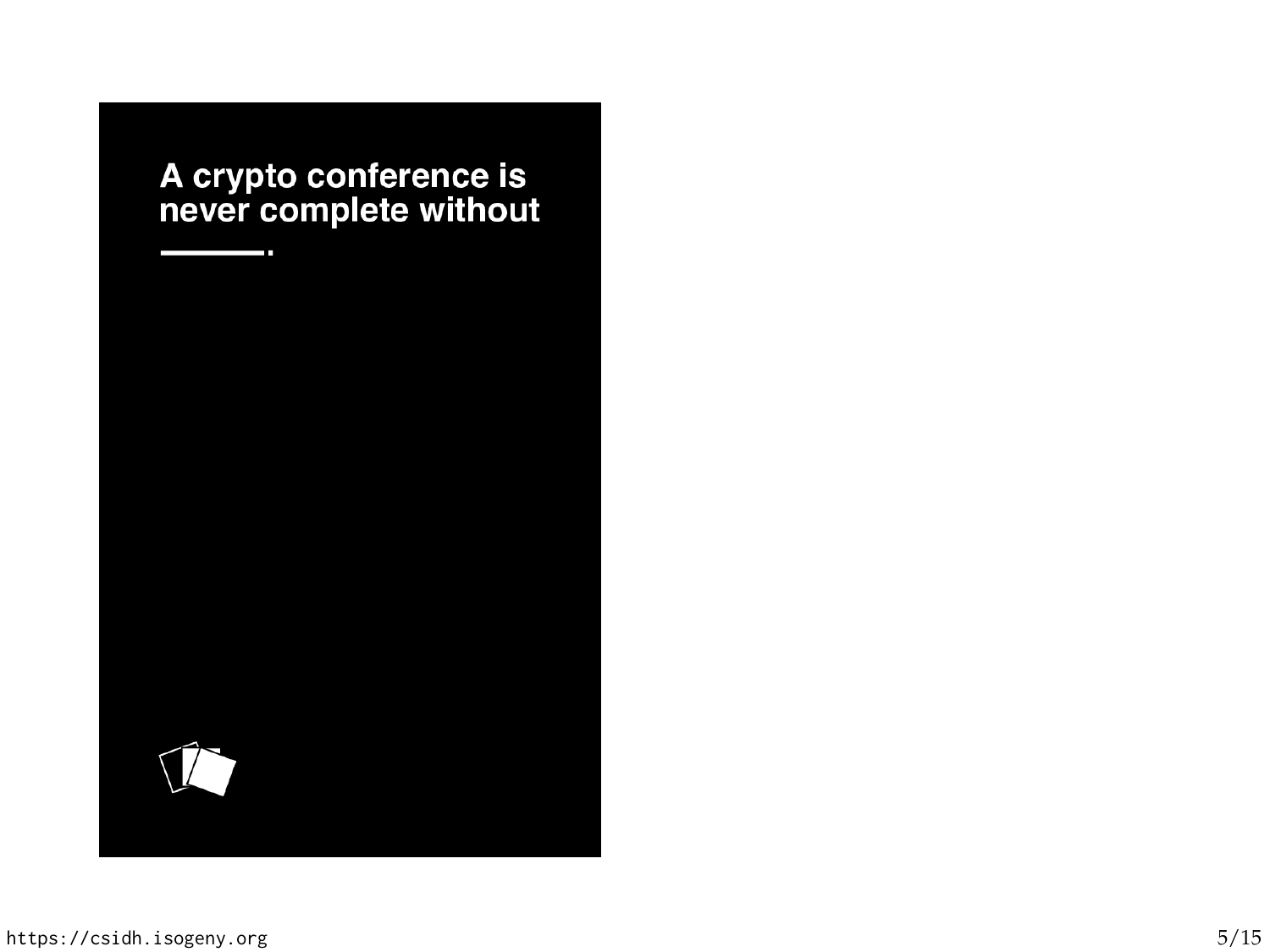

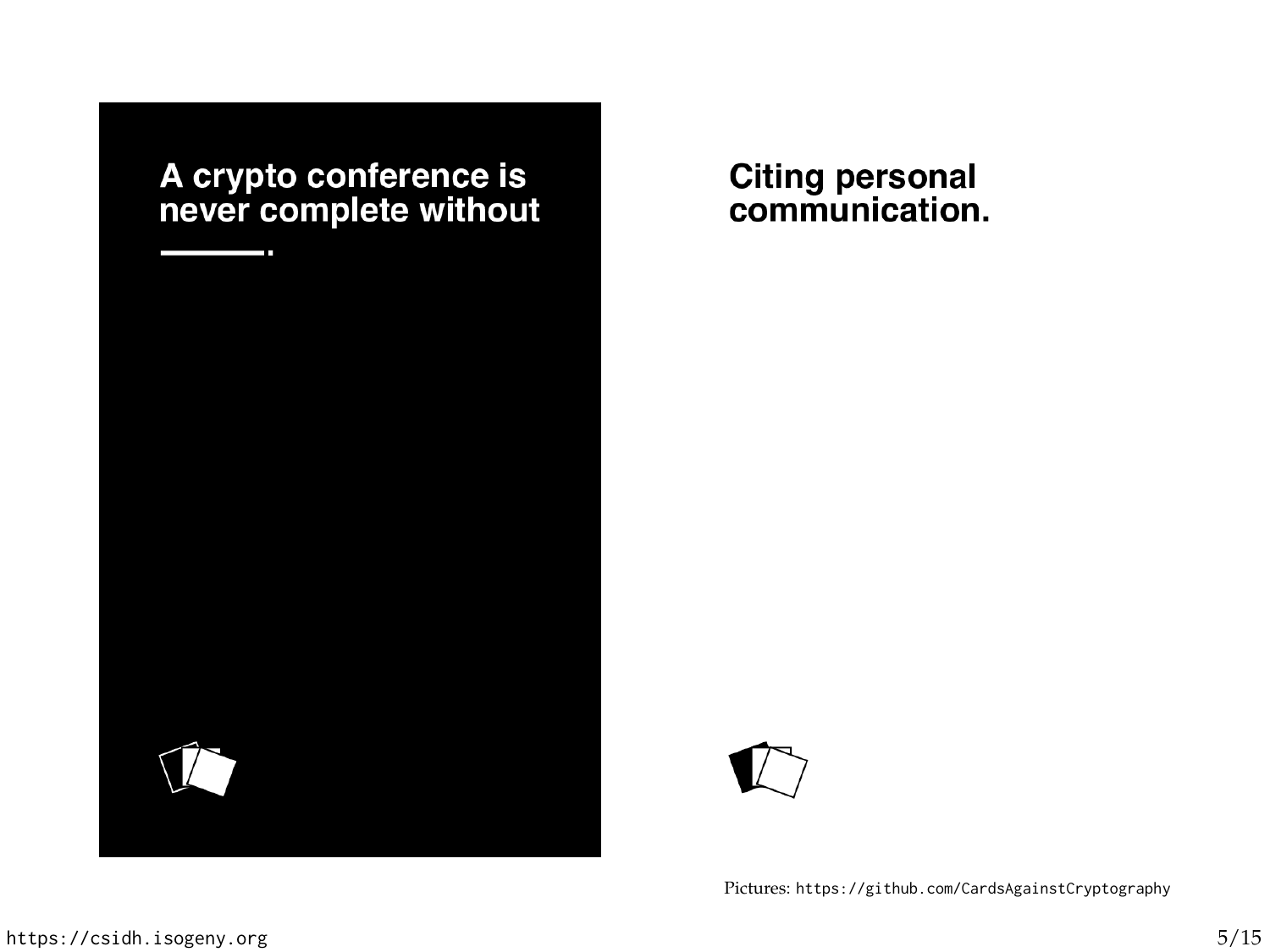A crypto conference is<br>never complete without

\_\_



Citing personal<br>communication.



Pictures: <https://github.com/CardsAgainstCryptography>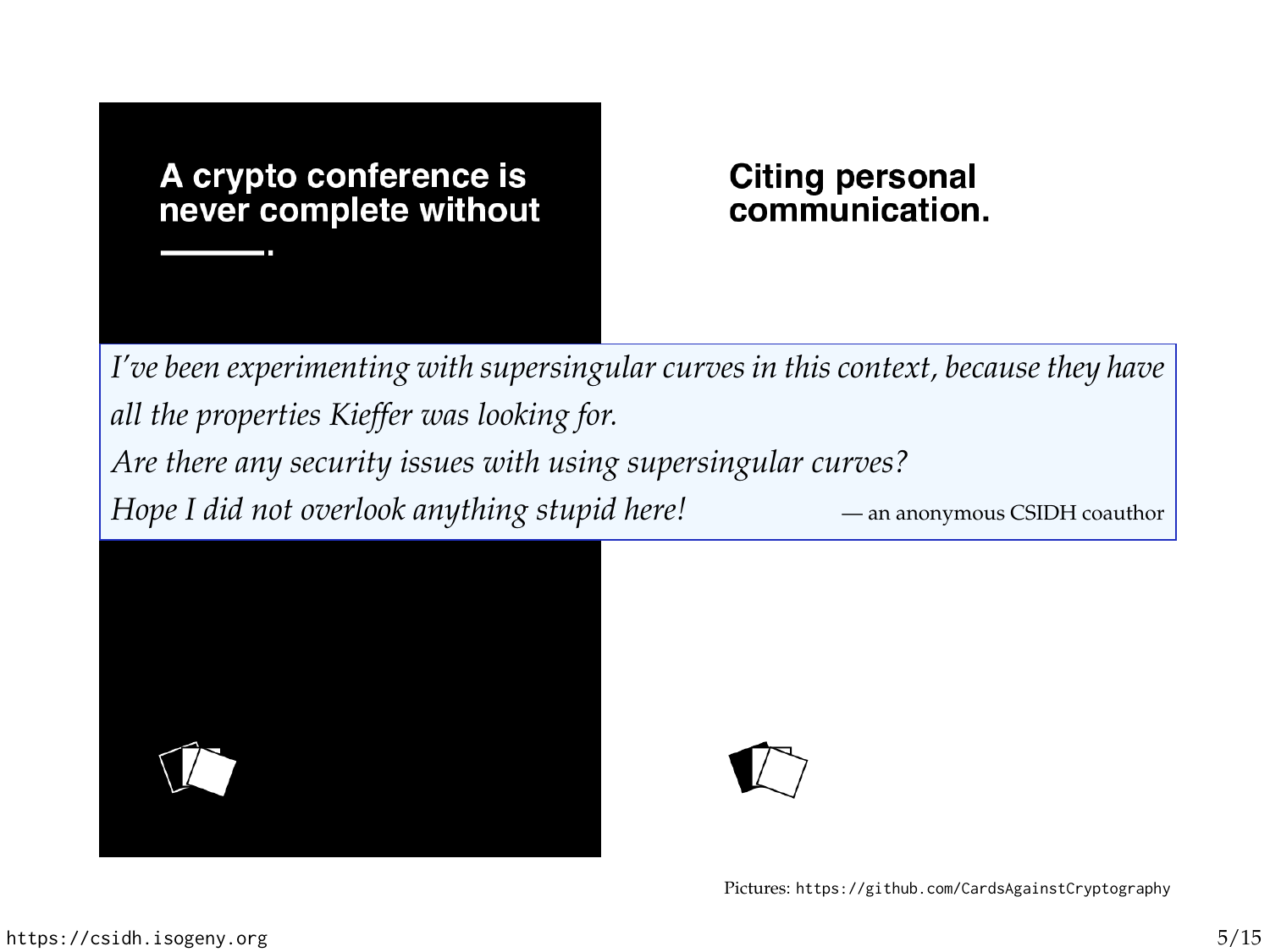A crypto conference is never complete without **Citing personal** communication.

*I've been experimenting with supersingular curves in this context, because they have all the properties Kieffer was looking for. Are there any security issues with using supersingular curves? Hope I did not overlook anything stupid here!* — an anonymous CSIDH coauthor





Pictures: <https://github.com/CardsAgainstCryptography>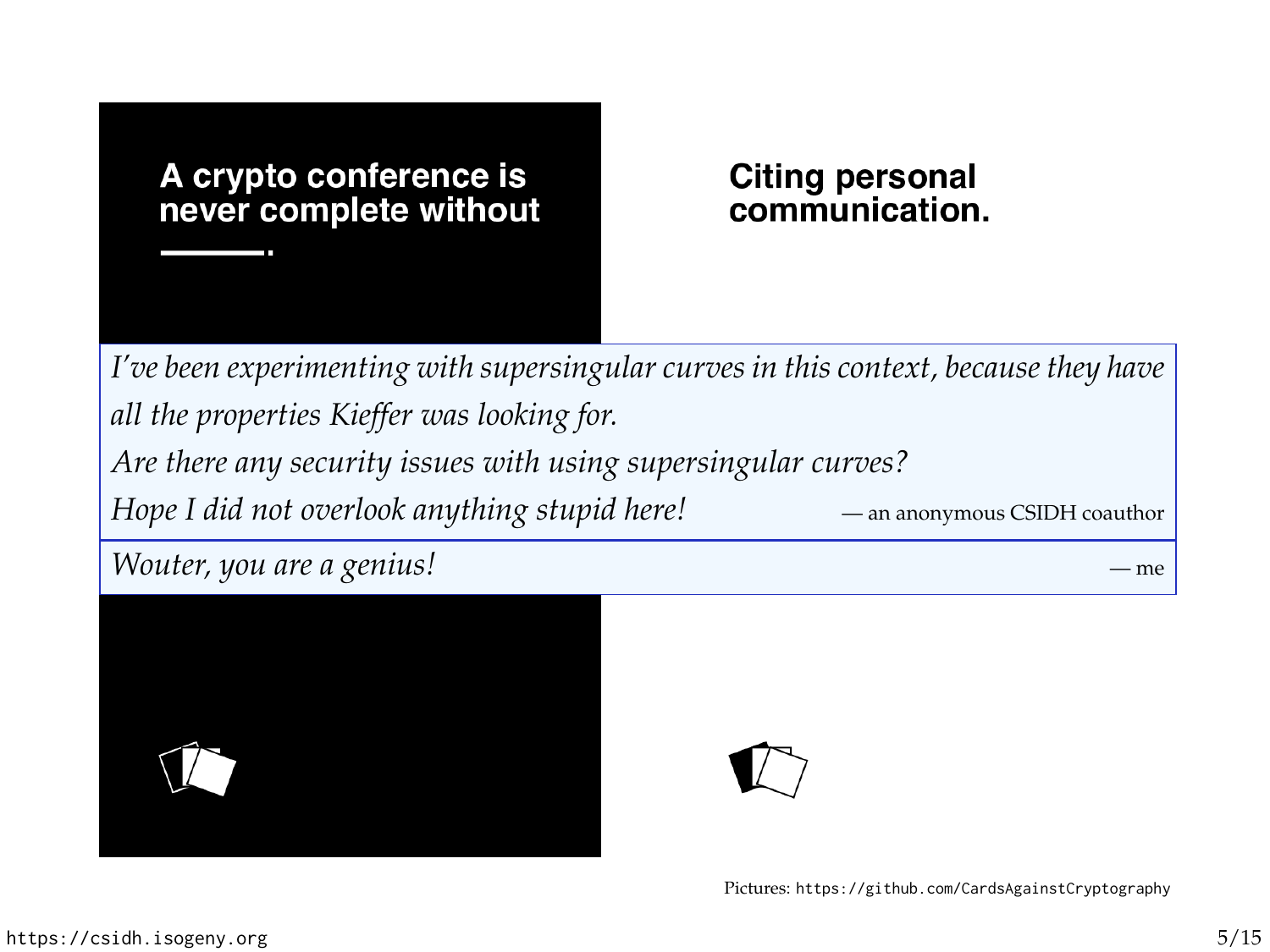A crypto conference is never complete without **Citing personal** communication.

*I've been experimenting with supersingular curves in this context, because they have all the properties Kieffer was looking for. Are there any security issues with using supersingular curves? Hope I did not overlook anything stupid here!* — an anonymous CSIDH coauthor *Wouter, you are a genius!* — me



Pictures: <https://github.com/CardsAgainstCryptography>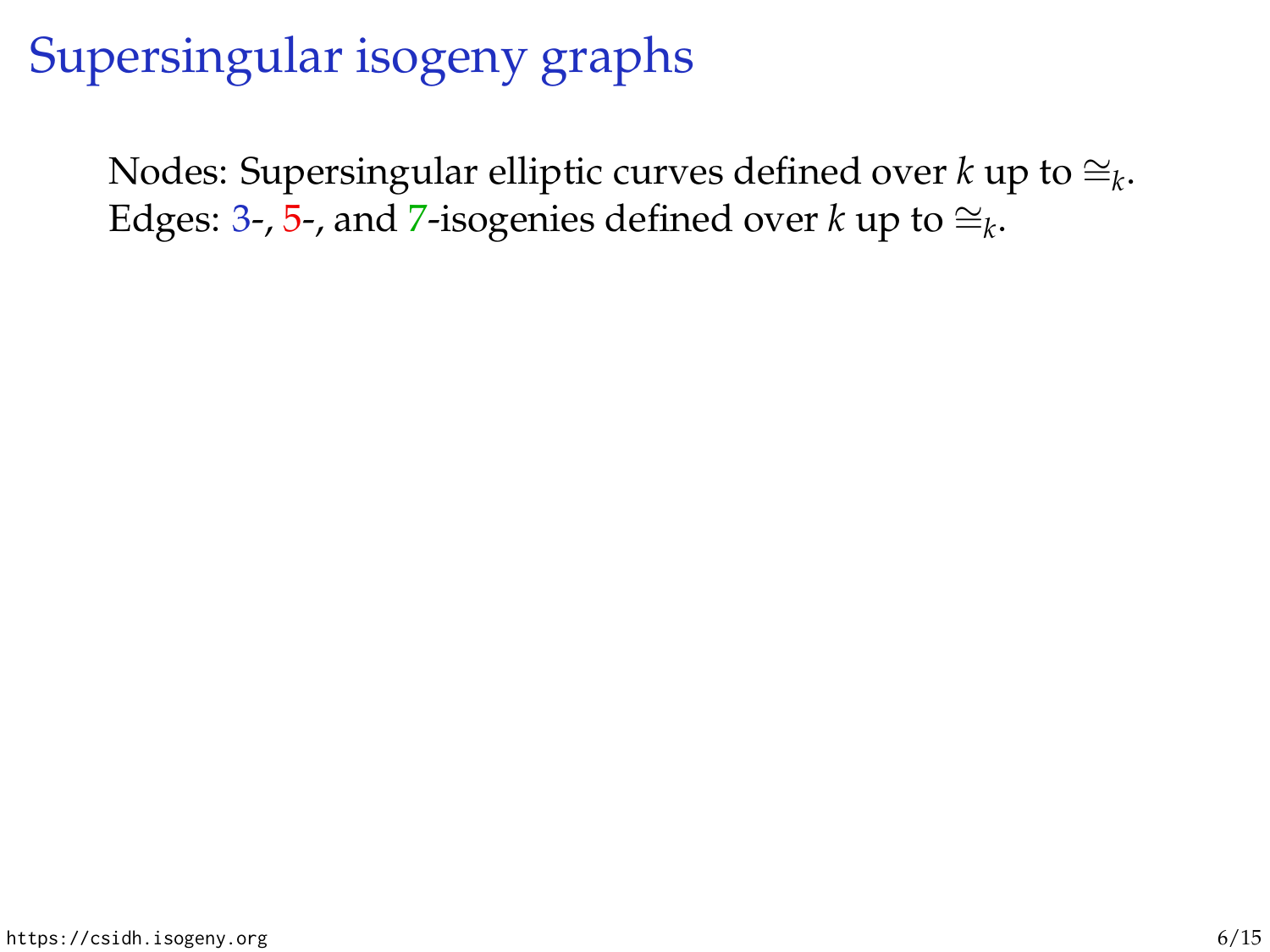Nodes: Supersingular elliptic curves defined over *k* up to  $\cong_k$ . Edges: 3-, 5-, and 7-isogenies defined over *k* up to  $\cong_k$ .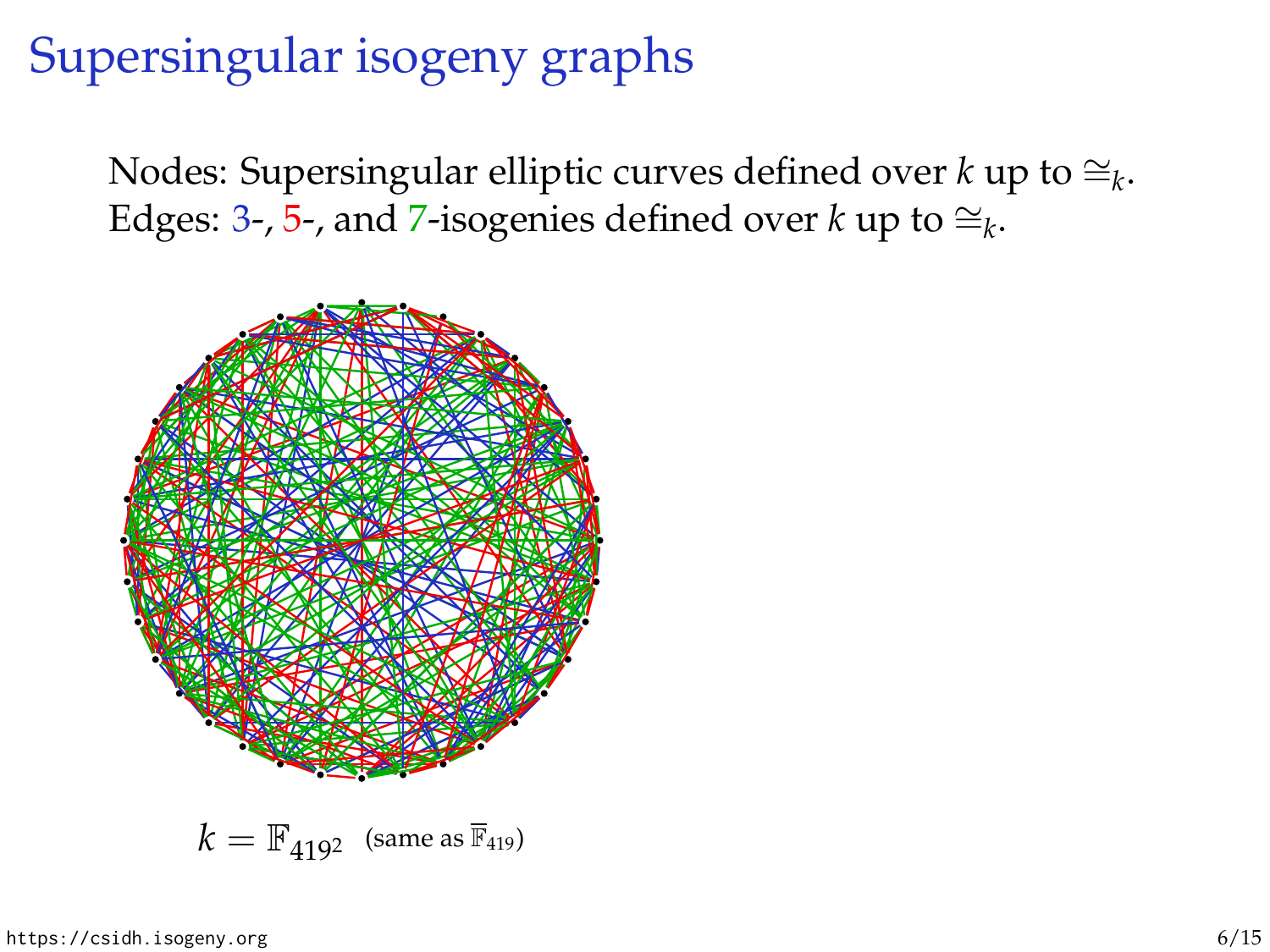Nodes: Supersingular elliptic curves defined over *k* up to  $\cong_k$ . Edges: 3-, 5-, and 7-isogenies defined over *k* up to  $\cong_k$ .

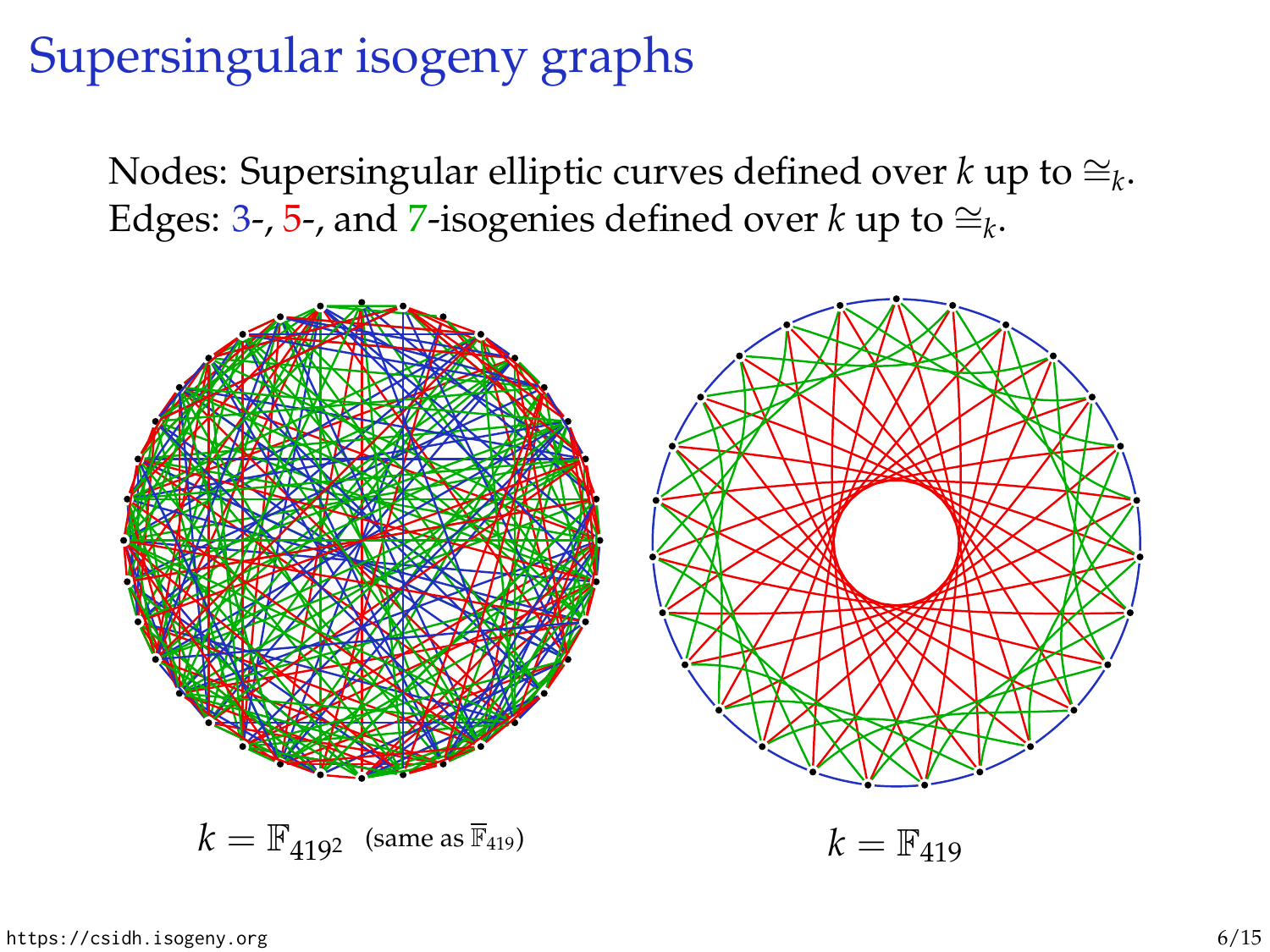Nodes: Supersingular elliptic curves defined over *k* up to  $\cong_k$ . Edges: 3-, 5-, and 7-isogenies defined over *k* up to  $\cong_k$ .

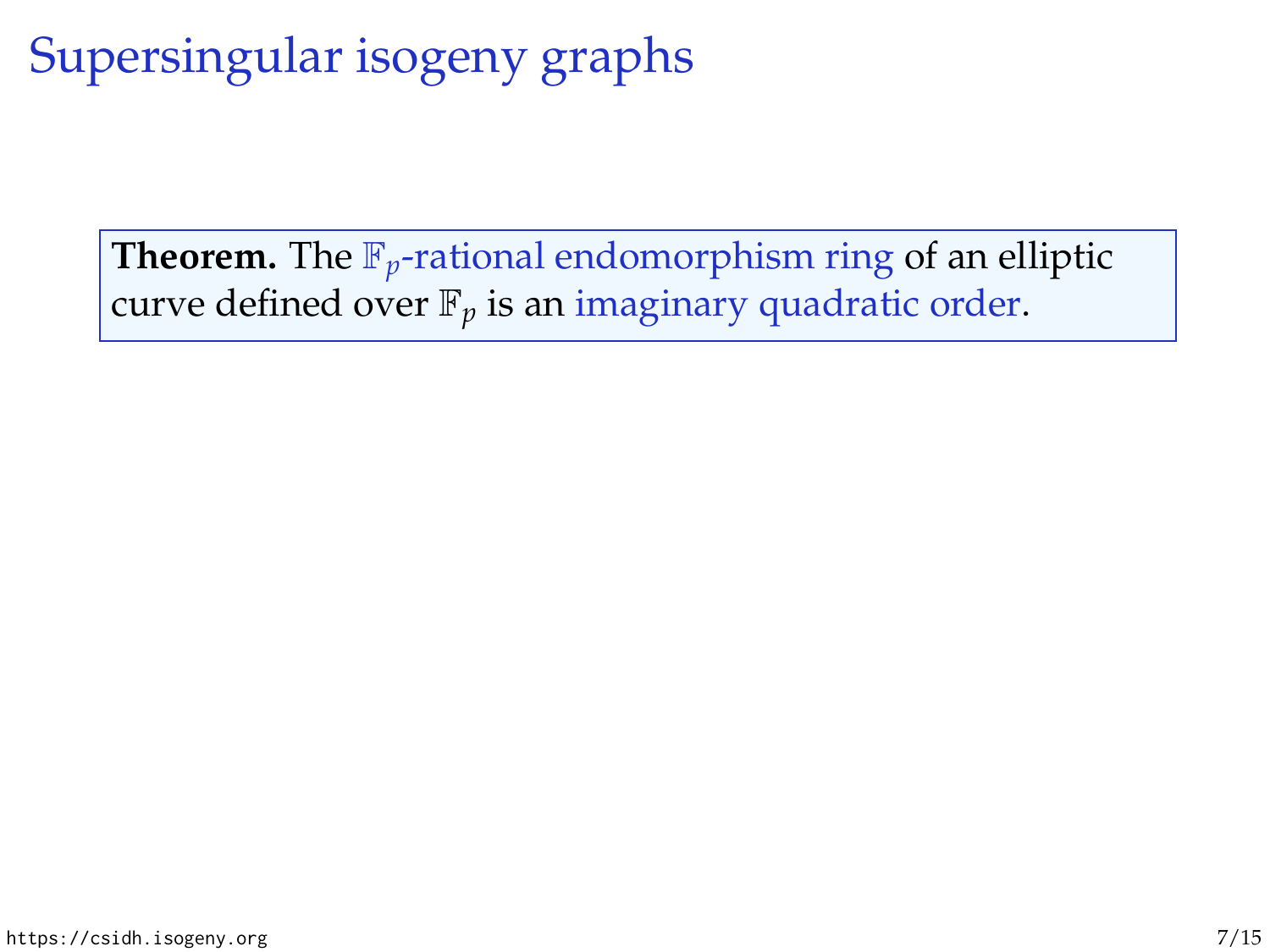**Theorem.** The  $\mathbb{F}_p$ -rational endomorphism ring of an elliptic curve defined over  $\mathbb{F}_p$  is an imaginary quadratic order.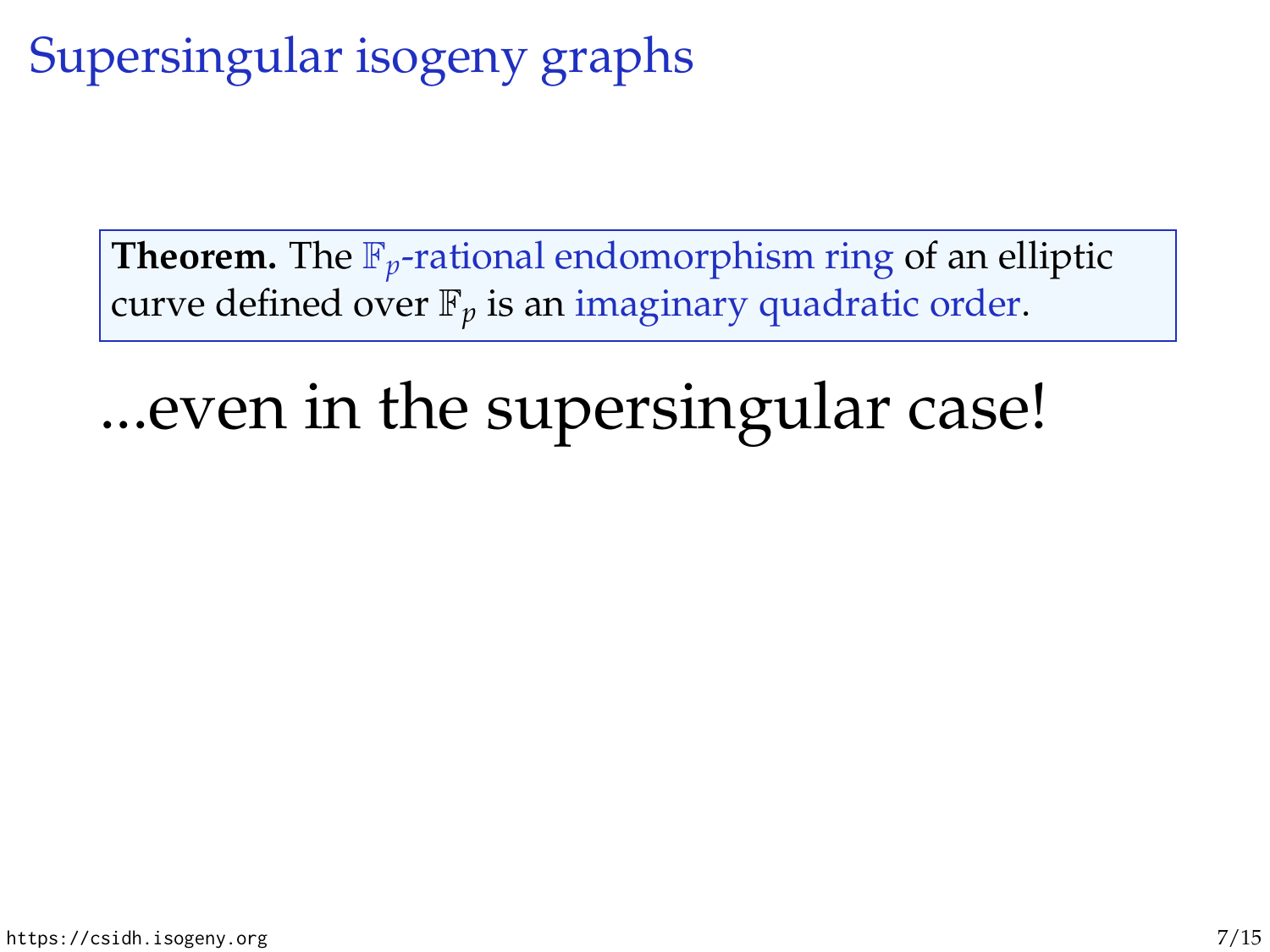**Theorem.** The  $\mathbb{F}_p$ -rational endomorphism ring of an elliptic curve defined over  $\mathbb{F}_p$  is an imaginary quadratic order.

# ...even in the supersingular case!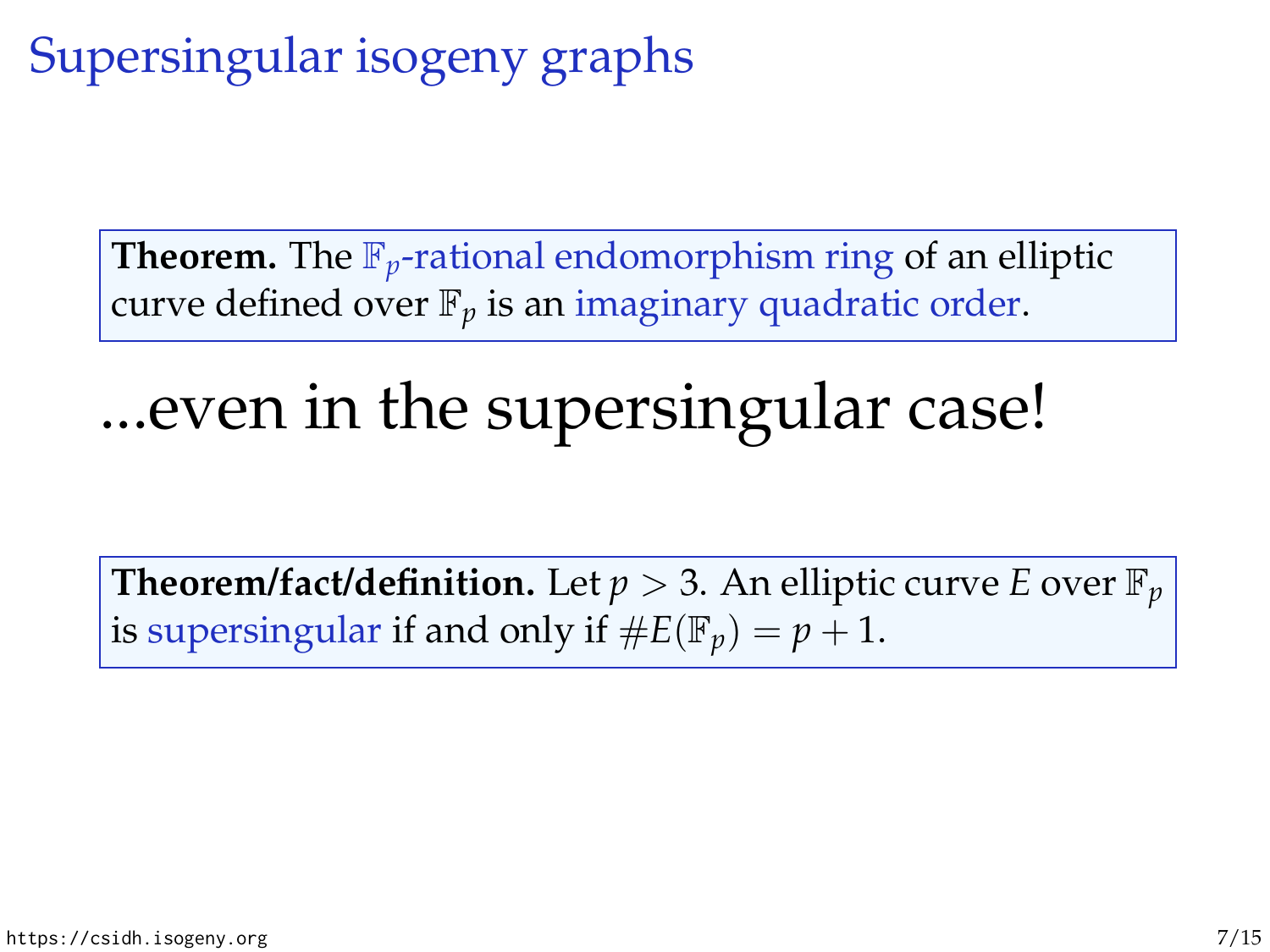**Theorem.** The  $\mathbb{F}_p$ -rational endomorphism ring of an elliptic curve defined over  $\mathbb{F}_p$  is an imaginary quadratic order.

# ...even in the supersingular case!

**Theorem/fact/definition.** Let  $p > 3$ . An elliptic curve *E* over  $\mathbb{F}_p$ is supersingular if and only if  $#E(\mathbb{F}_p) = p + 1$ .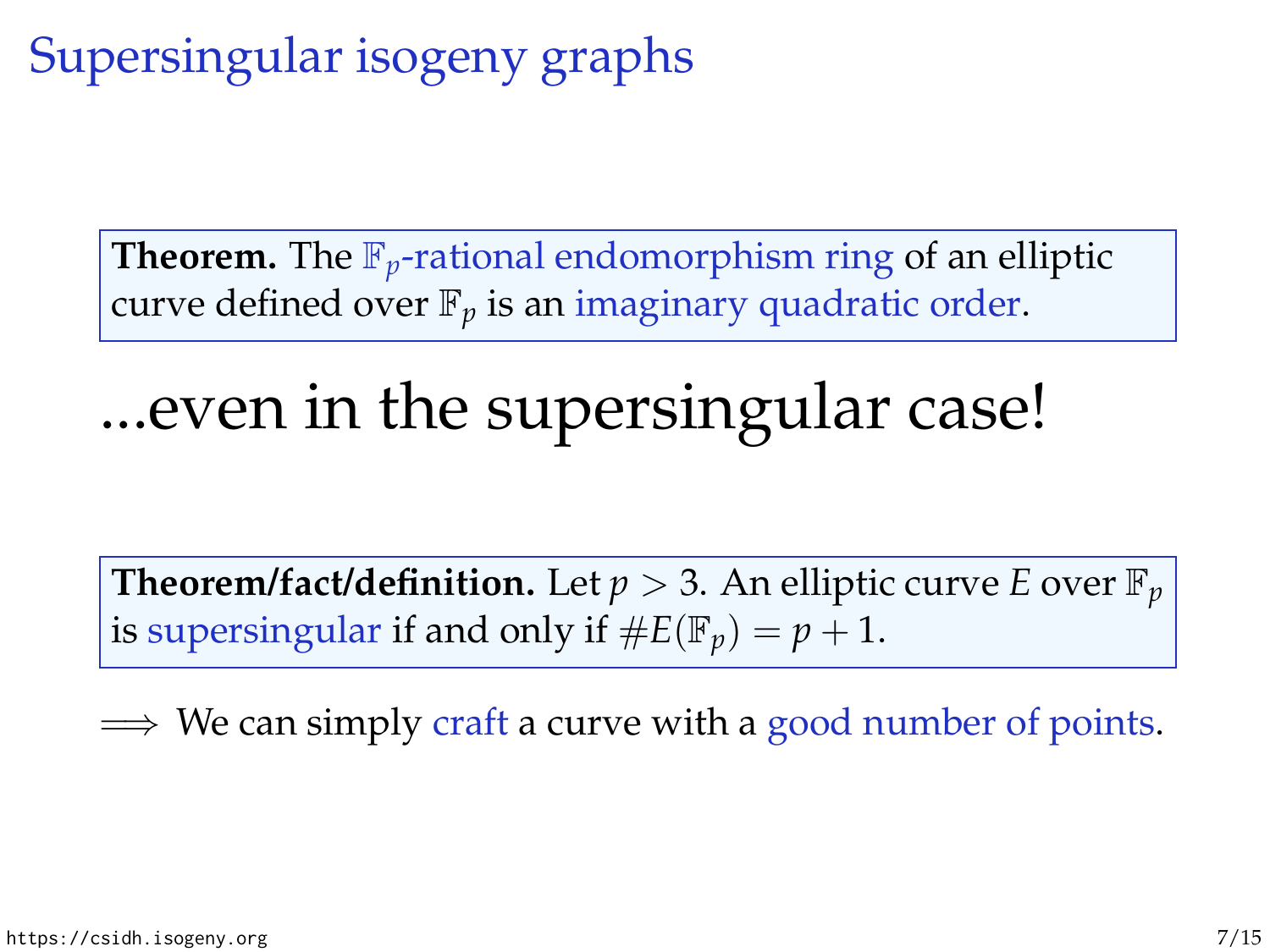**Theorem.** The  $\mathbb{F}_p$ -rational endomorphism ring of an elliptic curve defined over  $\mathbb{F}_p$  is an imaginary quadratic order.

# ...even in the supersingular case!

**Theorem/fact/definition.** Let  $p > 3$ . An elliptic curve *E* over  $\mathbb{F}_p$ is supersingular if and only if  $#E(\mathbb{F}_p) = p + 1$ .

 $\Rightarrow$  We can simply craft a curve with a good number of points.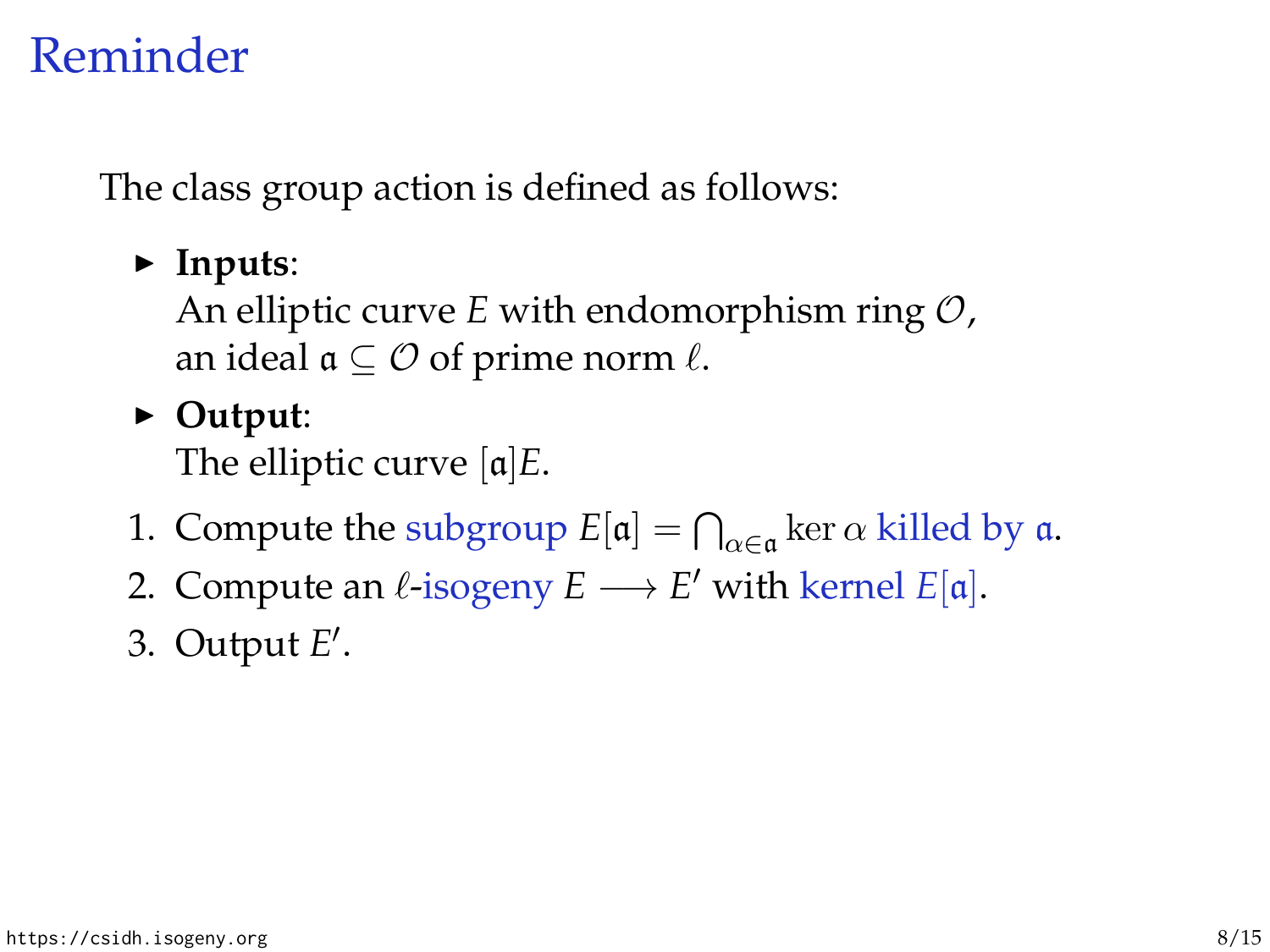#### Reminder

The class group action is defined as follows:

liputs:

An elliptic curve *E* with endomorphism ring O, an ideal  $\mathfrak{a} \subseteq \mathcal{O}$  of prime norm  $\ell$ .

► Output:

The elliptic curve [a]*E*.

- 1. Compute the subgroup  $E[\mathfrak{a}]=\bigcap_{\alpha\in\mathfrak{a}}\ker \alpha$  killed by  $\mathfrak{a}$ .
- 2. Compute an  $\ell$ -isogeny  $E \longrightarrow E'$  with kernel  $E[\mathfrak{a}]$ .
- 3. Output *E'*.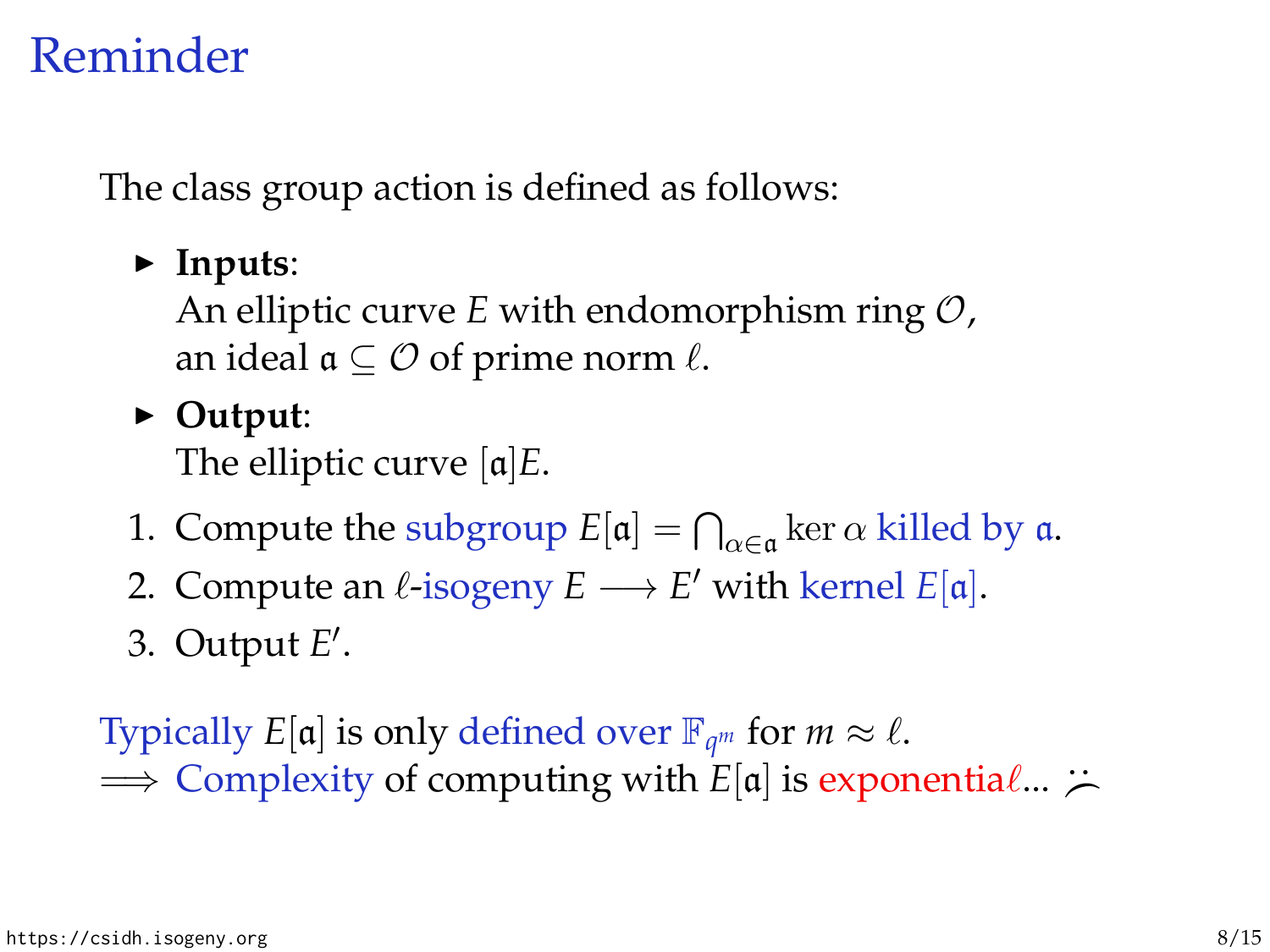#### Reminder

The class group action is defined as follows:

lieur<u>ique</u>s:

An elliptic curve *E* with endomorphism ring O, an ideal  $\mathfrak{a} \subset \mathcal{O}$  of prime norm  $\ell$ .

► Output:

The elliptic curve [a]*E*.

- 1. Compute the subgroup  $E[\mathfrak{a}]=\bigcap_{\alpha\in\mathfrak{a}}\ker \alpha$  killed by  $\mathfrak{a}$ .
- 2. Compute an  $\ell$ -isogeny  $E \longrightarrow E'$  with kernel  $E[\mathfrak{a}]$ .
- 3. Output *E'*.

Typically *E*[a] is only defined over  $\mathbb{F}_{q^m}$  for  $m \approx \ell$ . =⇒ Complexity of computing with *E*[a] is exponentia`... : (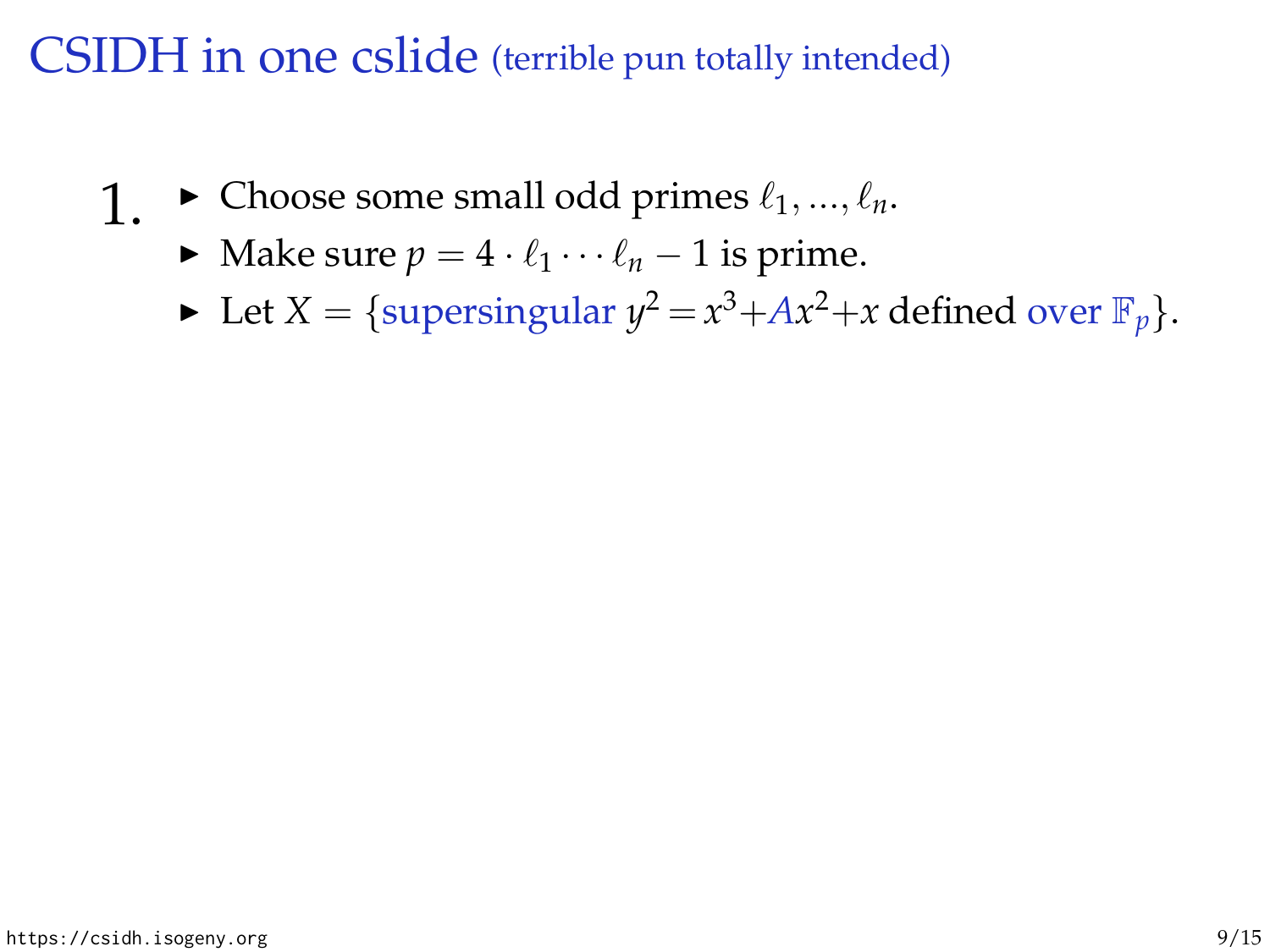- 1.  $\blacktriangleright$  Choose some small odd primes  $\ell_1, ..., \ell_n$ .
	- $\triangleright$  Make sure  $p = 4 \cdot \ell_1 \cdots \ell_n 1$  is prime.
	- ► Let *X* = {supersingular  $y^2 = x^3 + Ax^2 + x$  defined over  $\mathbb{F}_p$ }.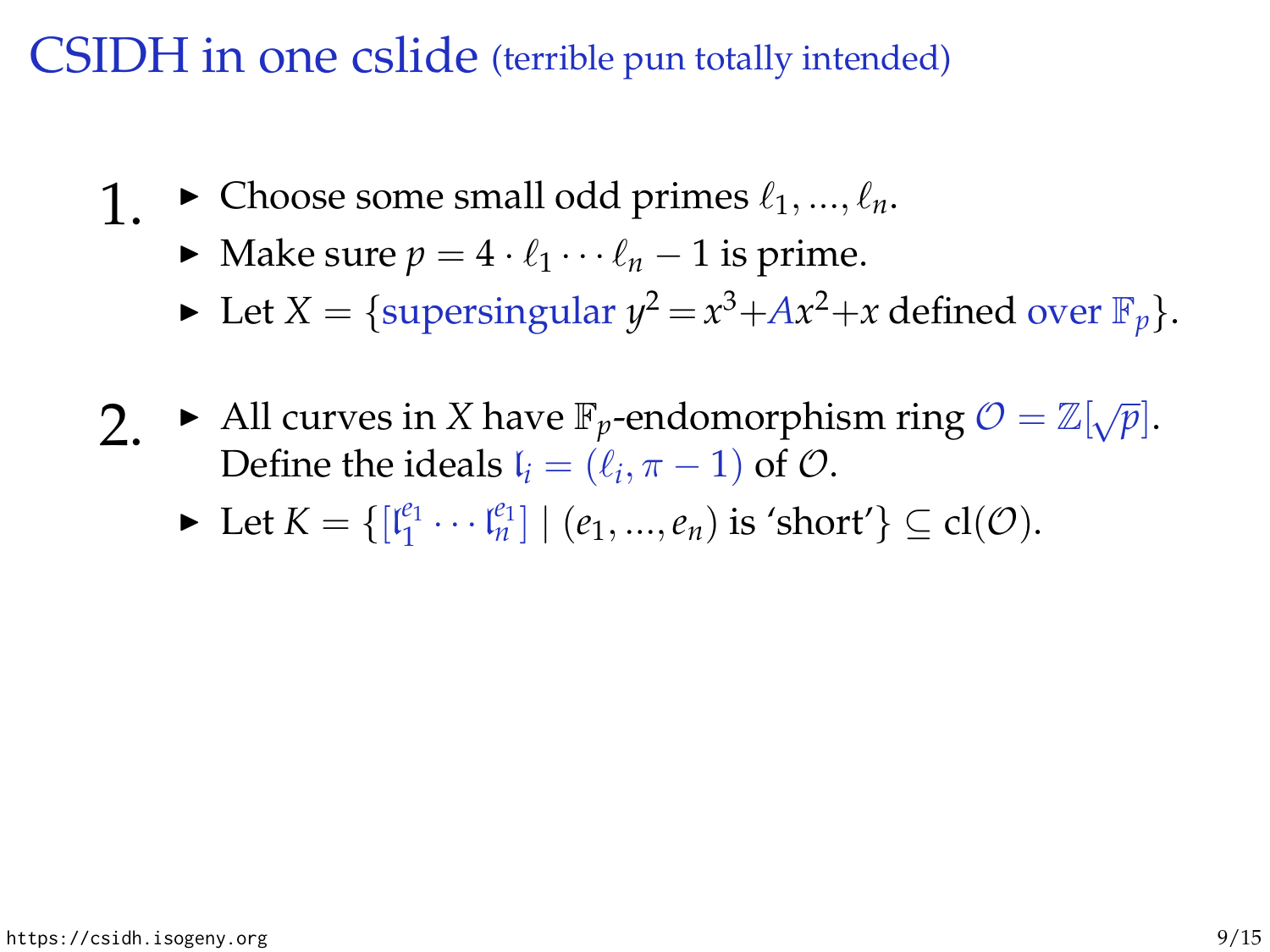- **1**  $\blacktriangleright$  Choose some small odd primes  $\ell_1, ..., \ell_n$ .
	- $\blacktriangleright$  Make sure  $p = 4 \cdot \ell_1 \cdots \ell_n 1$  is prime.
	- ► Let *X* = {supersingular  $y^2 = x^3 + Ax^2 + x$  defined over  $\mathbb{F}_p$ }.
- 2. All curves in *X* have  $\mathbb{F}_p$ -endomorphism ring  $\mathcal{O} = \mathbb{Z}[\sqrt{p}]$ . Define the ideals  $\mathfrak{l}_i = (\ell_i, \pi - 1)$  of  $\mathcal{O}$ .
	- ► Let  $K = \{[\ell_1^{e_1} \cdots \ell_n^{e_1}] | (e_1, ..., e_n) \text{ is 'short'}\} \subseteq \text{cl}(\mathcal{O}).$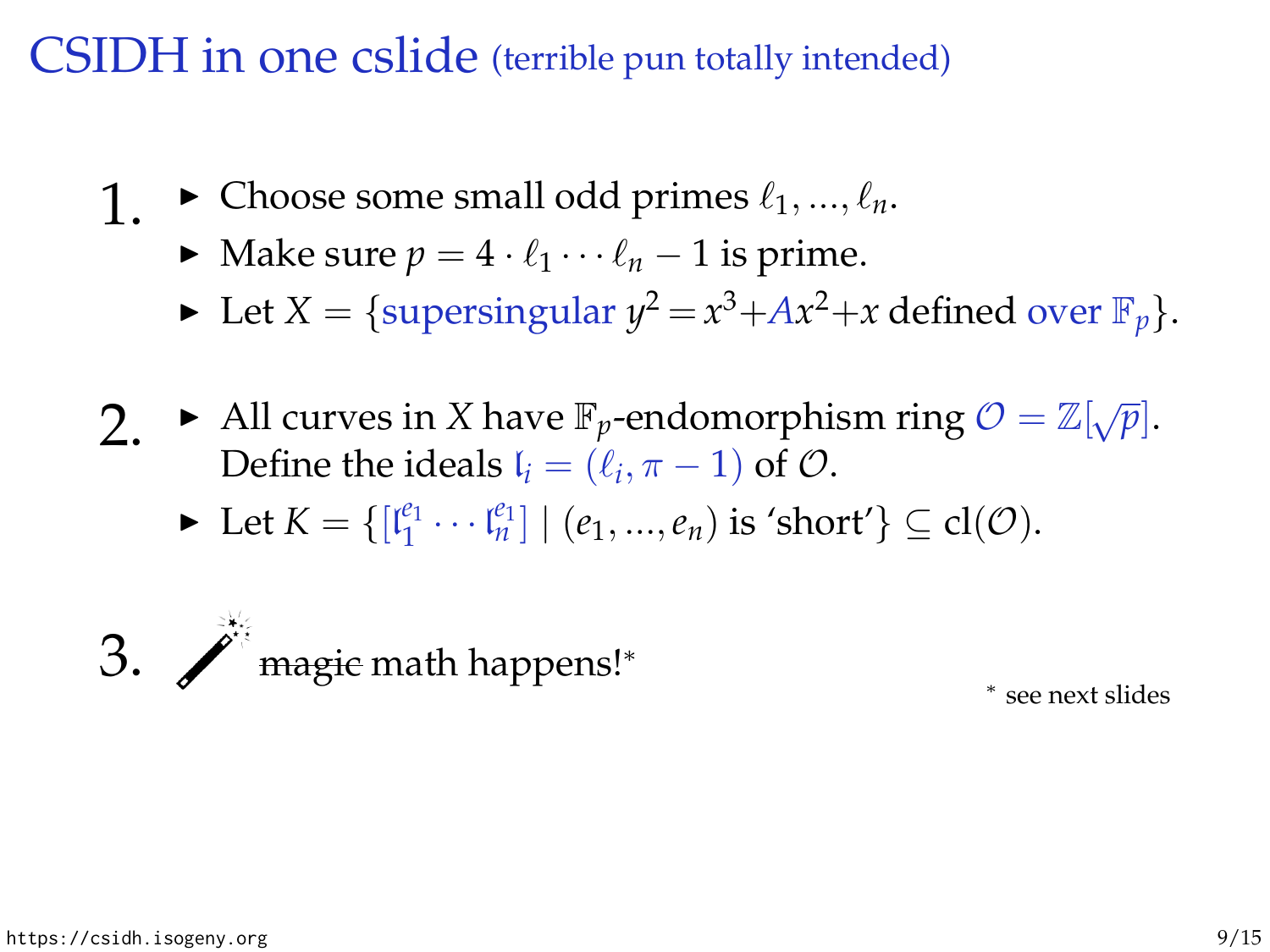- 1.  $\blacktriangleright$  Choose some small odd primes  $\ell_1, ..., \ell_n$ .
	- $\blacktriangleright$  Make sure  $p = 4 \cdot \ell_1 \cdots \ell_n 1$  is prime.
	- ► Let *X* = {supersingular  $y^2 = x^3 + Ax^2 + x$  defined over  $\mathbb{F}_p$ }.
- 2. All curves in *X* have  $\mathbb{F}_p$ -endomorphism ring  $\mathcal{O} = \mathbb{Z}[\sqrt{p}]$ . Define the ideals  $\mathfrak{l}_i = (\ell_i, \pi - 1)$  of  $\mathcal{O}$ .
	- ► Let  $K = \{[\ell_1^{e_1} \cdots \ell_n^{e_1}] | (e_1, ..., e_n) \text{ is 'short'}\} \subseteq \text{cl}(\mathcal{O}).$



∗ see next slides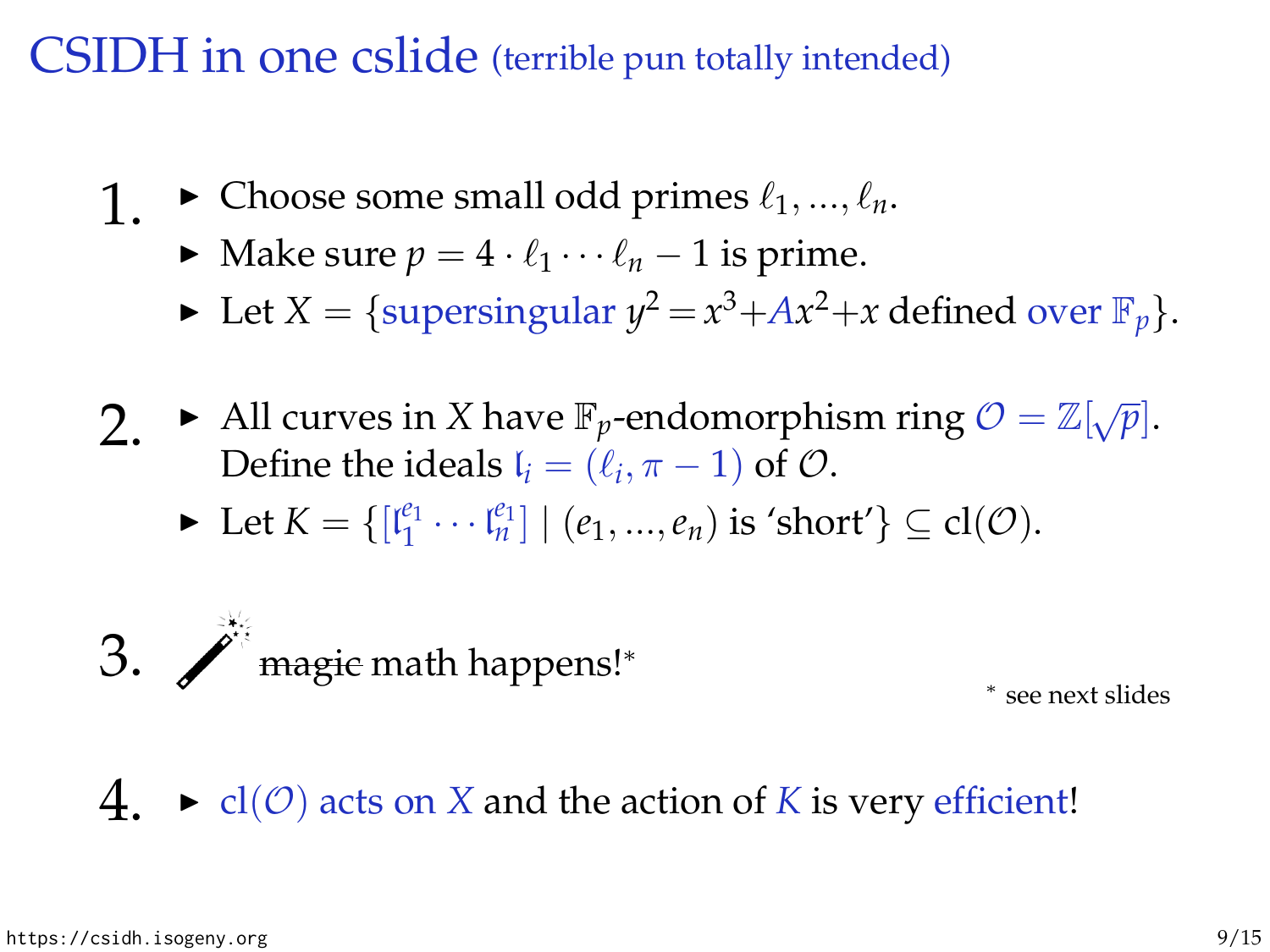- 1.  $\blacktriangleright$  Choose some small odd primes  $\ell_1, ..., \ell_n$ .
	- $\blacktriangleright$  Make sure  $p = 4 \cdot \ell_1 \cdots \ell_n 1$  is prime.
	- ► Let *X* = {supersingular  $y^2 = x^3 + Ax^2 + x$  defined over  $\mathbb{F}_p$ }.
- 2. All curves in *X* have  $\mathbb{F}_p$ -endomorphism ring  $\mathcal{O} = \mathbb{Z}[\sqrt{p}]$ . Define the ideals  $\mathfrak{l}_i = (\ell_i, \pi - 1)$  of  $\mathcal{O}$ .
	- ► Let  $K = \{[\ell_1^{e_1} \cdots \ell_n^{e_1}] | (e_1, ..., e_n) \text{ is 'short'}\} \subseteq \text{cl}(\mathcal{O}).$



∗ see next slides

#### $4. \rightarrow$  cl(O) acts on *X* and the action of *K* is very efficient!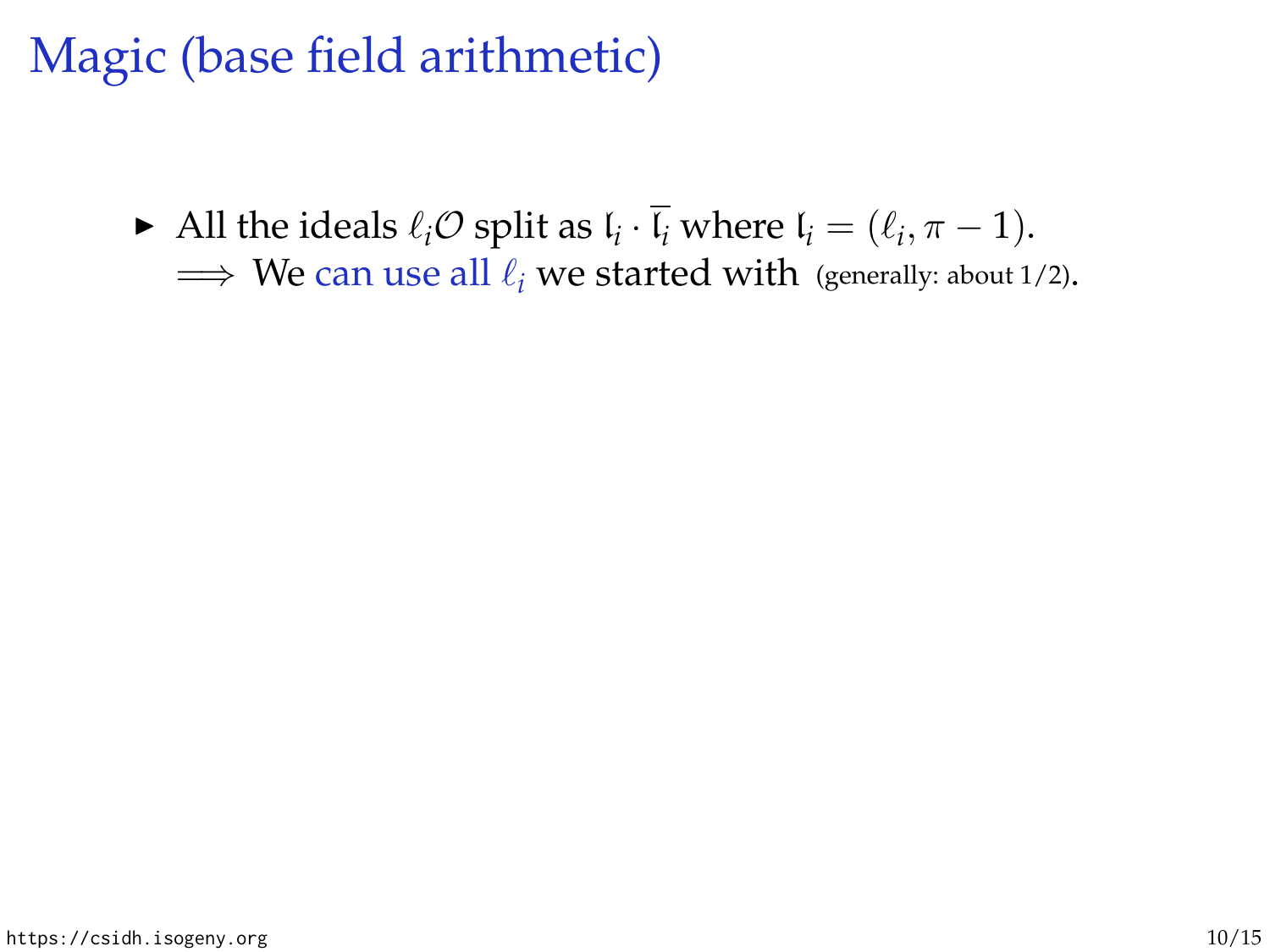All the ideals  $\ell_i \mathcal{O}$  split as  $\mathfrak{l}_i \cdot \mathfrak{l}_i$  where  $\mathfrak{l}_i = (\ell_i, \pi - 1)$ .  $\implies$  We can use all  $\ell_i$  we started with (generally: about 1/2).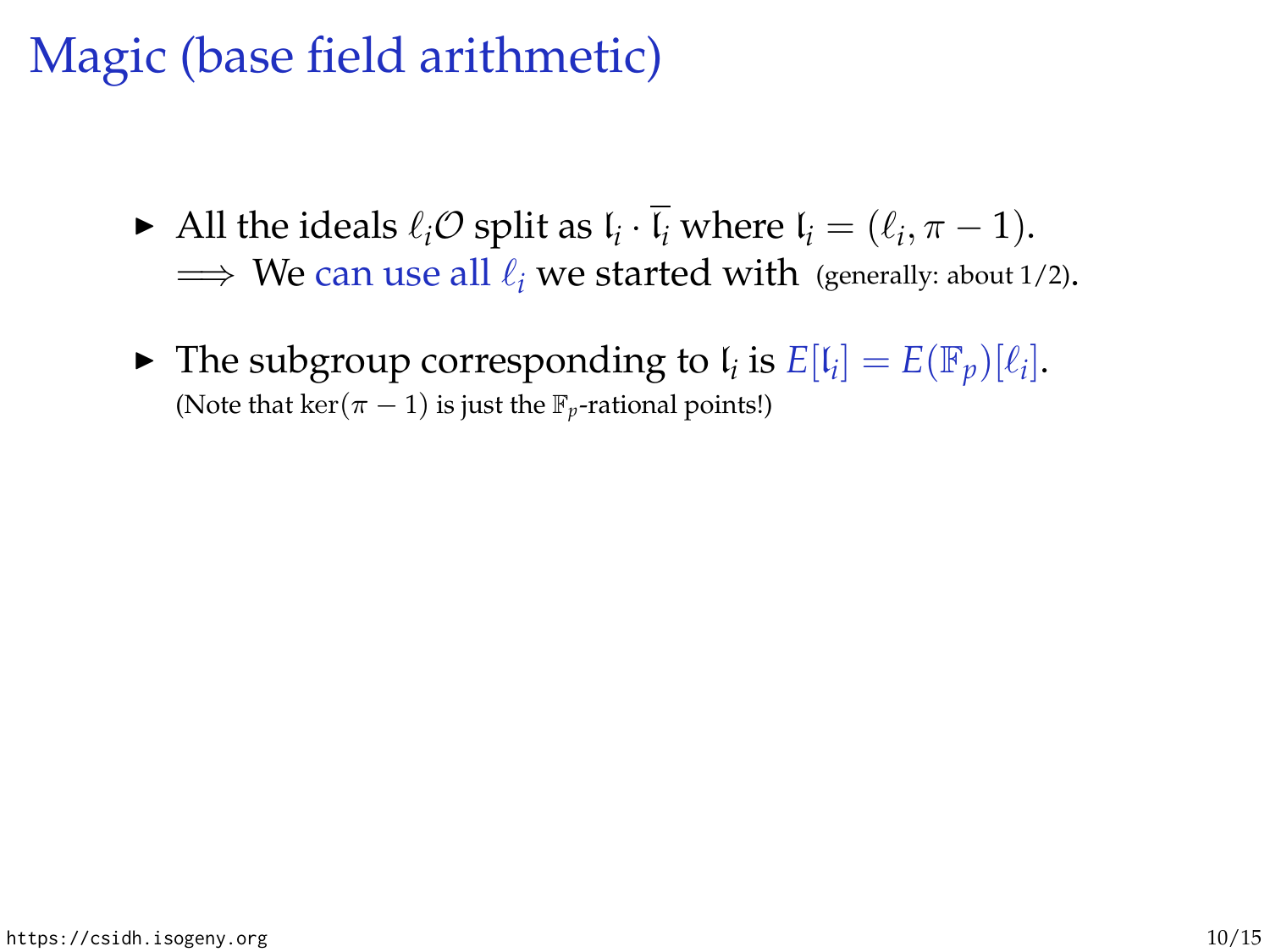- All the ideals  $\ell_i \mathcal{O}$  split as  $\mathfrak{l}_i \cdot \mathfrak{l}_i$  where  $\mathfrak{l}_i = (\ell_i, \pi 1)$ .  $\implies$  We can use all  $\ell_i$  we started with (generally: about 1/2).
- ▶ The subgroup corresponding to <math>l\_i</math> is <math>E[I\_i] = E(\mathbb{F}\_p)[\ell\_i]</math>. (Note that  $\ker(\pi - 1)$  is just the  $\mathbb{F}_p$ -rational points!)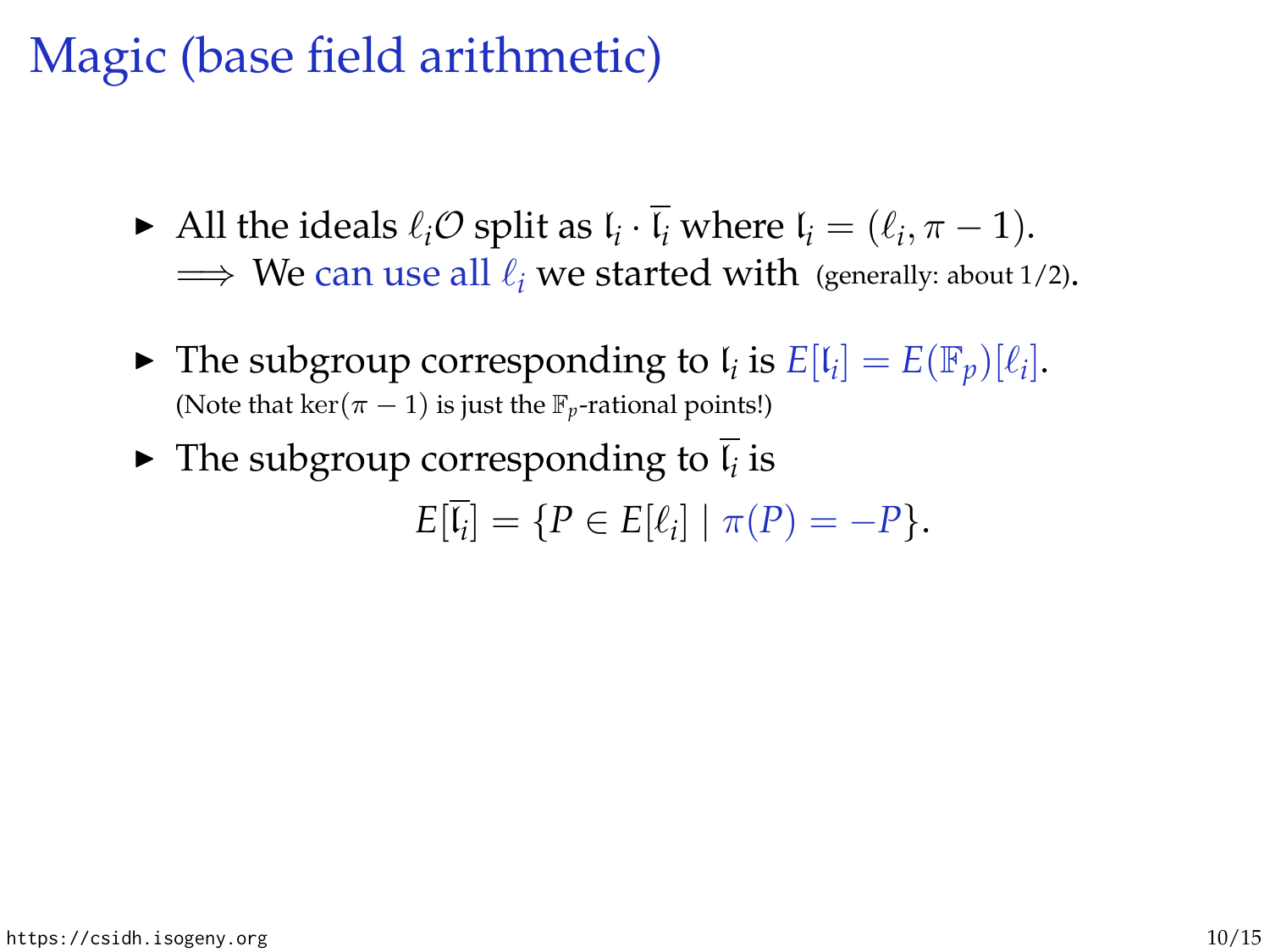- All the ideals  $\ell_i \mathcal{O}$  split as  $\mathfrak{l}_i \cdot \mathfrak{l}_i$  where  $\mathfrak{l}_i = (\ell_i, \pi 1)$ .  $\implies$  We can use all  $\ell_i$  we started with (generally: about 1/2).
- ▶ The subgroup corresponding to <math>l\_i</math> is <math>E[I\_i] = E(\mathbb{F}\_p)[\ell\_i]</math>. (Note that  $\ker(\pi - 1)$  is just the  $\mathbb{F}_p$ -rational points!)
- $\blacktriangleright$  The subgroup corresponding to  $\mathfrak{l}_i$  is  $E[i_i] = \{P \in E[\ell_i] \mid \pi(P) = -P\}.$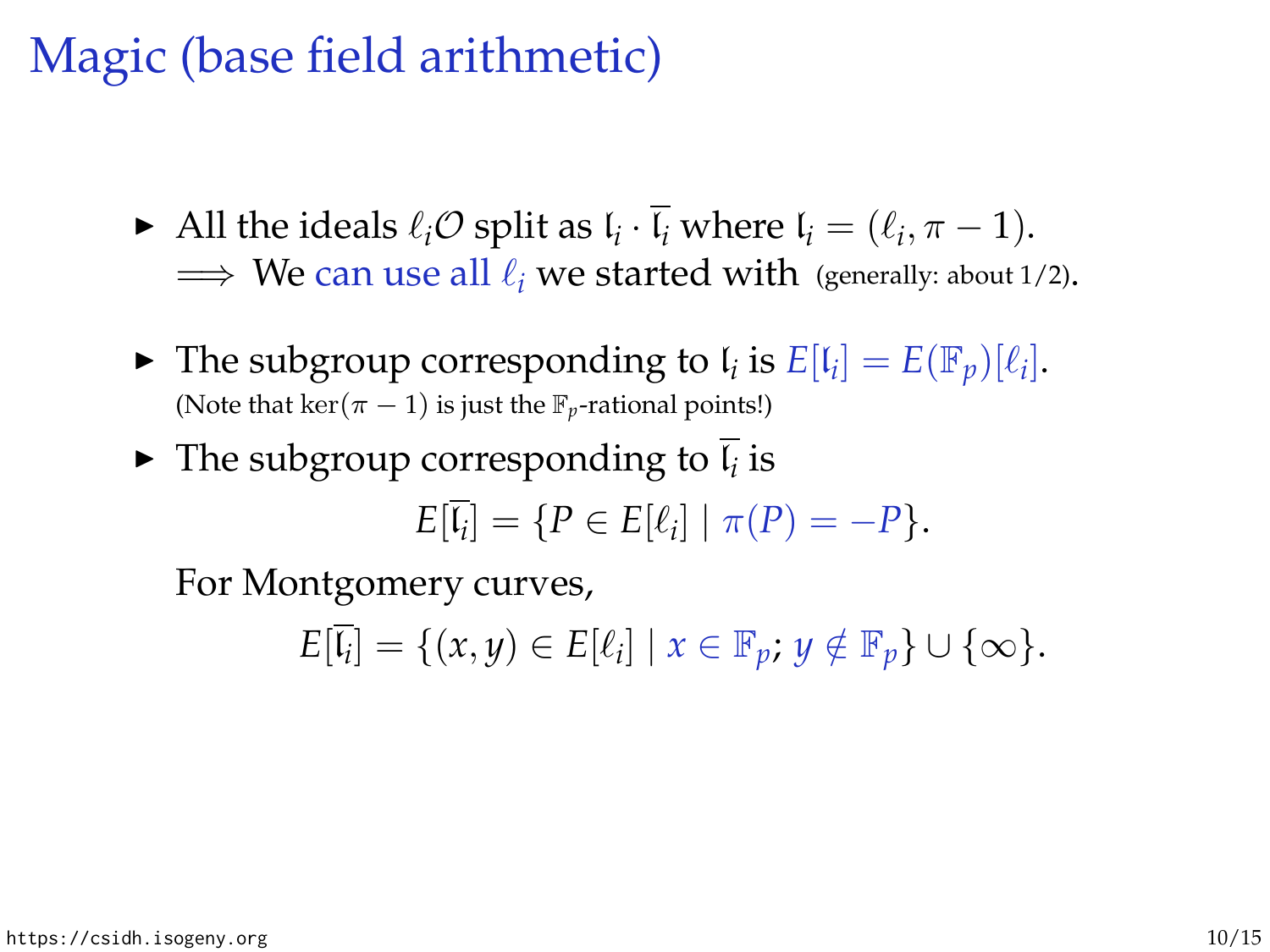- All the ideals  $\ell_i \mathcal{O}$  split as  $\mathfrak{l}_i \cdot \mathfrak{l}_i$  where  $\mathfrak{l}_i = (\ell_i, \pi 1)$ .  $\implies$  We can use all  $\ell_i$  we started with (generally: about 1/2).
- ▶ The subgroup corresponding to <math>l\_i</math> is <math>E[I\_i] = E(\mathbb{F}\_p)[\ell\_i]</math>. (Note that  $\ker(\pi - 1)$  is just the  $\mathbb{F}_p$ -rational points!)
- $\blacktriangleright$  The subgroup corresponding to  $\mathfrak{l}_i$  is  $E[i_i] = \{P \in E[\ell_i] \mid \pi(P) = -P\}.$

For Montgomery curves,

 $E[\bar{l}_i] = \{(x, y) \in E[\ell_i] \mid x \in \mathbb{F}_p; y \notin \mathbb{F}_p\} \cup \{\infty\}.$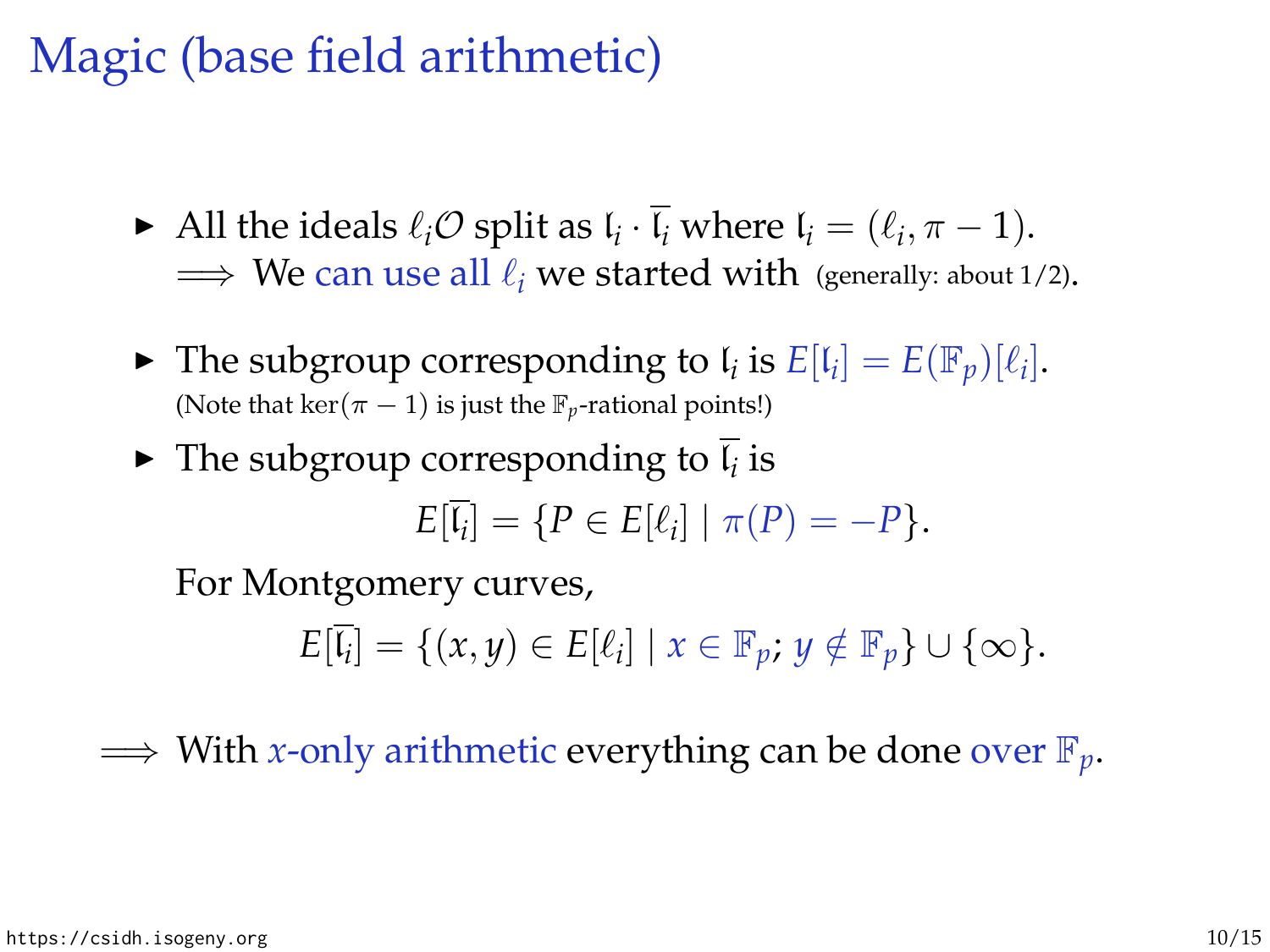- All the ideals  $\ell_i \mathcal{O}$  split as  $\mathfrak{l}_i \cdot \mathfrak{l}_i$  where  $\mathfrak{l}_i = (\ell_i, \pi 1)$ .  $\implies$  We can use all  $\ell_i$  we started with (generally: about 1/2).
- ▶ The subgroup corresponding to <math>l\_i</math> is <math>E[I\_i] = E(\mathbb{F}\_p)[\ell\_i]</math>. (Note that  $\ker(\pi - 1)$  is just the  $\mathbb{F}_p$ -rational points!)
- $\blacktriangleright$  The subgroup corresponding to  $\mathfrak{l}_i$  is  $E[i_i] = \{P \in E[\ell_i] \mid \pi(P) = -P\}.$

For Montgomery curves,

 $E[\bar{l}_i] = \{(x, y) \in E[\ell_i] \mid x \in \mathbb{F}_p; y \notin \mathbb{F}_p\} \cup \{\infty\}.$ 

 $\Rightarrow$  With *x*-only arithmetic everything can be done over  $\mathbb{F}_p$ .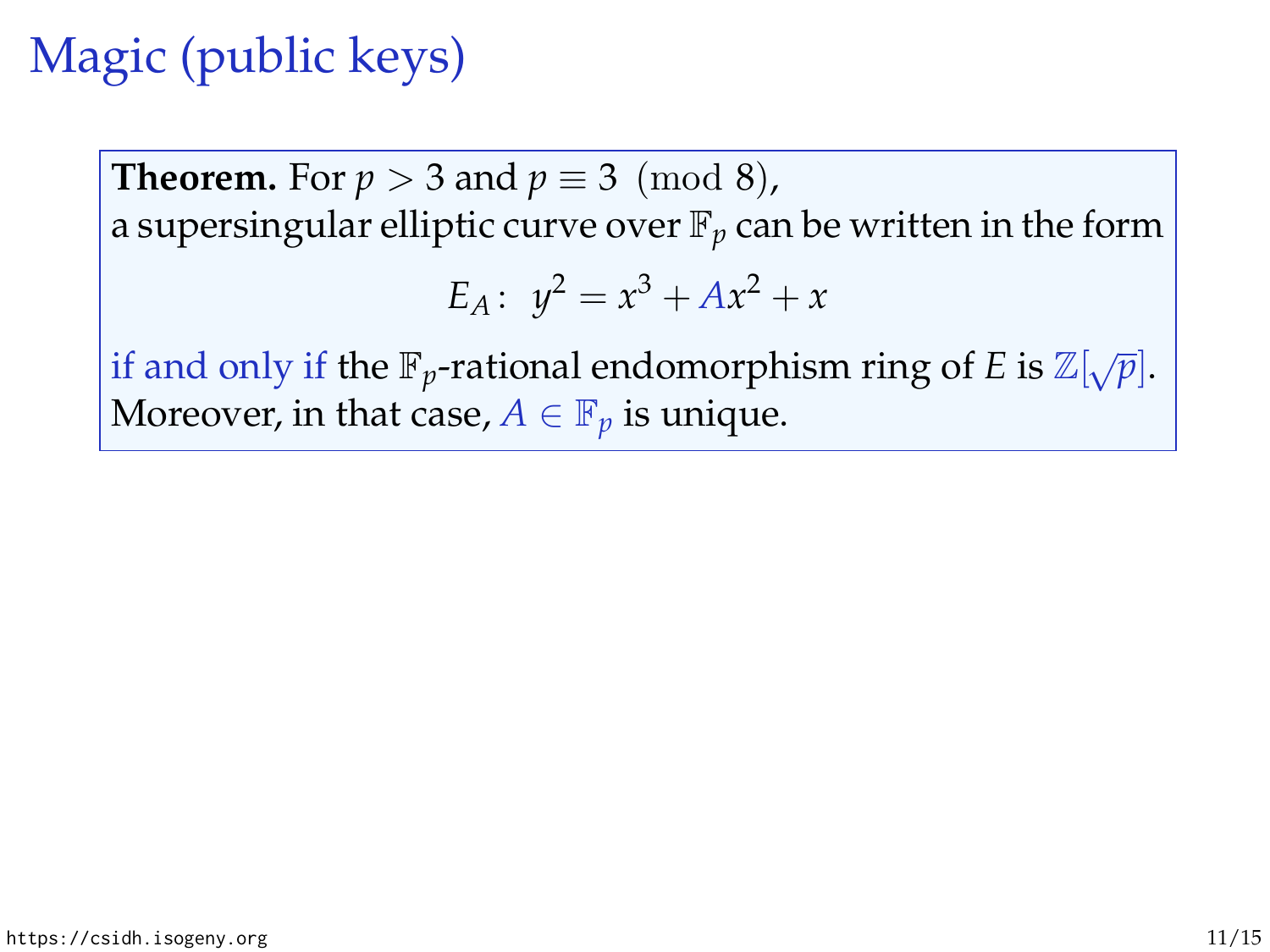**Theorem.** For  $p > 3$  and  $p \equiv 3 \pmod{8}$ , a supersingular elliptic curve over  $\mathbb{F}_p$  can be written in the form

$$
E_A: \ y^2 = x^3 + Ax^2 + x
$$

if and only if the  $\mathbb{F}_p$ -rational endomorphism ring of *E* is  $\mathbb{Z}[\sqrt{p}]$ . Moreover, in that case,  $A \in \mathbb{F}_p$  is unique.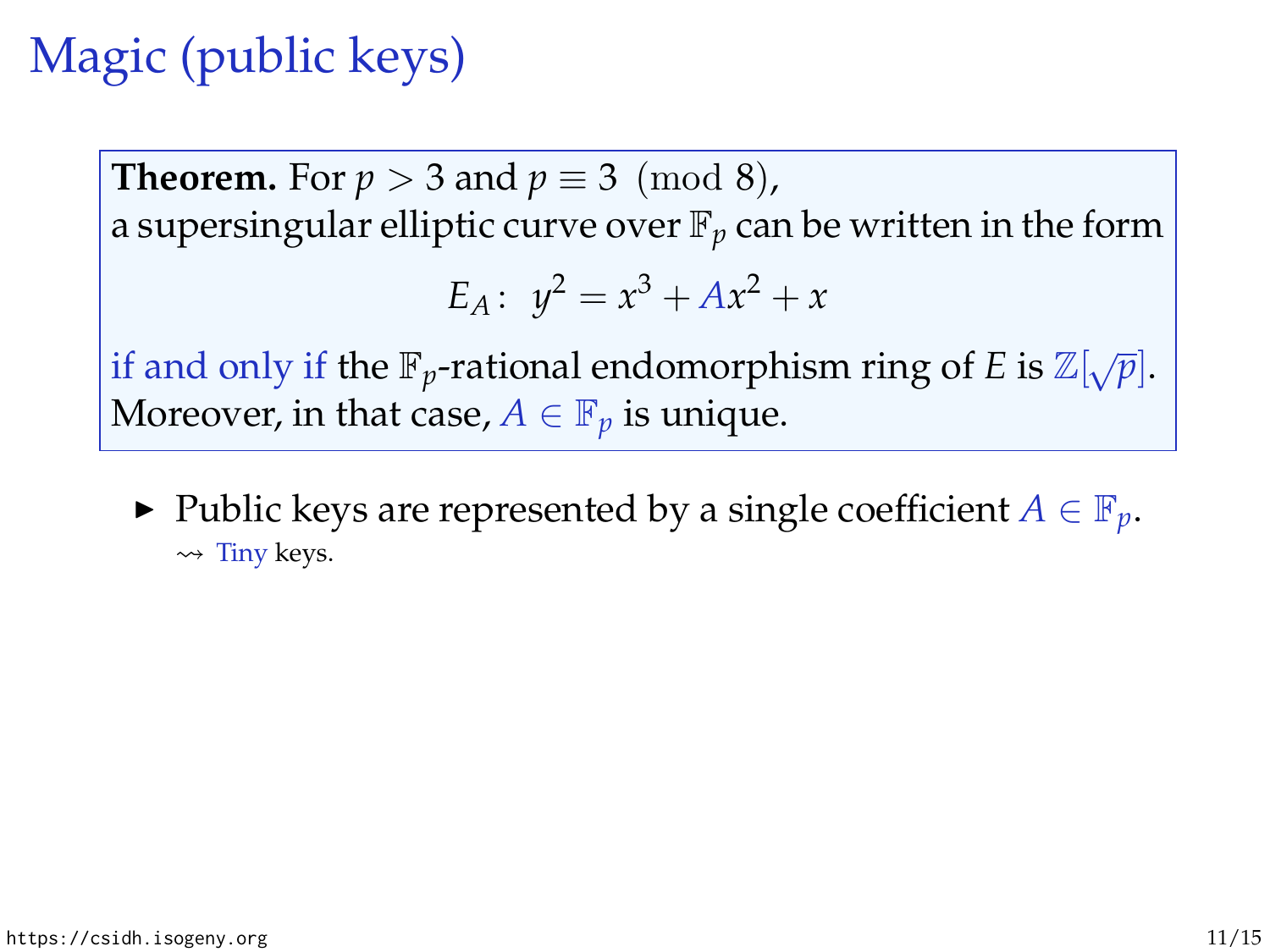**Theorem.** For  $p > 3$  and  $p \equiv 3 \pmod{8}$ , a supersingular elliptic curve over  $\mathbb{F}_p$  can be written in the form  $E_A: y^2 = x^3 + Ax^2 + x$ if and only if the  $\mathbb{F}_p$ -rational endomorphism ring of *E* is  $\mathbb{Z}[\sqrt{p}]$ .

► Public keys are represented by a single coefficient  $A \in \mathbb{F}_p$ .  $\rightsquigarrow$  Tiny keys.

Moreover, in that case,  $A \in \mathbb{F}_p$  is unique.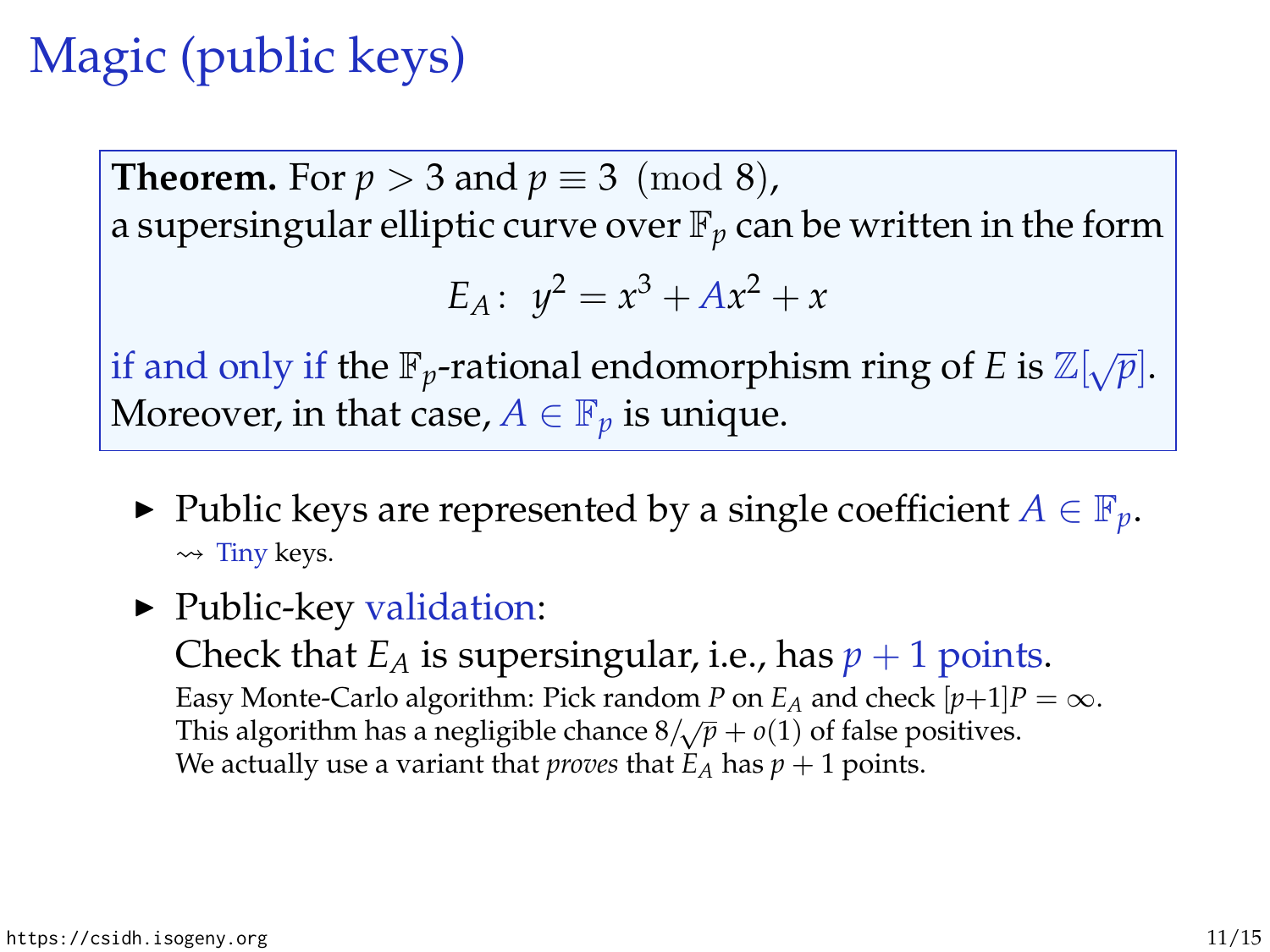**Theorem.** For  $p > 3$  and  $p \equiv 3 \pmod{8}$ , a supersingular elliptic curve over  $\mathbb{F}_p$  can be written in the form

$$
E_A: \ y^2 = x^3 + Ax^2 + x
$$

if and only if the  $\mathbb{F}_p$ -rational endomorphism ring of *E* is  $\mathbb{Z}[\sqrt{p}]$ . Moreover, in that case,  $A \in \mathbb{F}_p$  is unique.

- ► Public keys are represented by a single coefficient  $A \in \mathbb{F}_p$ .  $\rightsquigarrow$  Tiny keys.
- $\blacktriangleright$  Public-key validation:

Check that  $E_A$  is supersingular, i.e., has  $p + 1$  points. Easy Monte-Carlo algorithm: Pick random *P* on  $E_A$  and check  $[p+1]P = \infty$ . This algorithm has a negligible chance  $8/\sqrt{p} + o(1)$  of false positives. We actually use a variant that *proves* that  $E_A$  has  $p + 1$  points.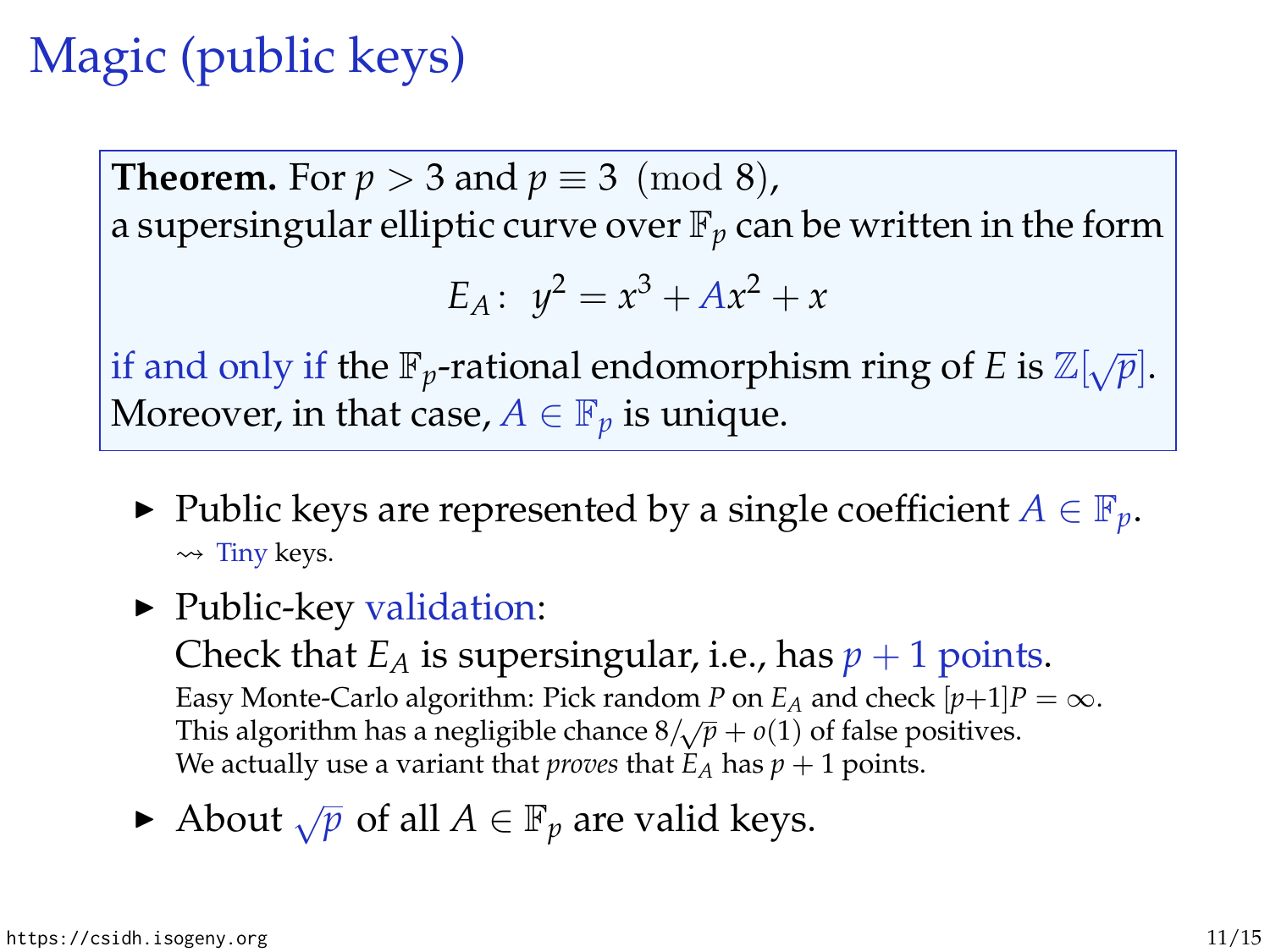**Theorem.** For  $p > 3$  and  $p \equiv 3 \pmod{8}$ , a supersingular elliptic curve over  $\mathbb{F}_p$  can be written in the form

$$
E_A: \ y^2 = x^3 + Ax^2 + x
$$

if and only if the  $\mathbb{F}_p$ -rational endomorphism ring of *E* is  $\mathbb{Z}[\sqrt{p}]$ . Moreover, in that case,  $A \in \mathbb{F}_p$  is unique.

- ► Public keys are represented by a single coefficient  $A \in \mathbb{F}_p$ .  $\rightsquigarrow$  Tiny keys.
- $\blacktriangleright$  Public-key validation:

Check that  $E_A$  is supersingular, i.e., has  $p + 1$  points. Easy Monte-Carlo algorithm: Pick random *P* on  $E_A$  and check  $[p+1]P = \infty$ . This algorithm has a negligible chance  $8/\sqrt{p} + o(1)$  of false positives. We actually use a variant that *proves* that  $E_A$  has  $p + 1$  points.

About  $\sqrt{p}$  of all  $A \in \mathbb{F}_p$  are valid keys.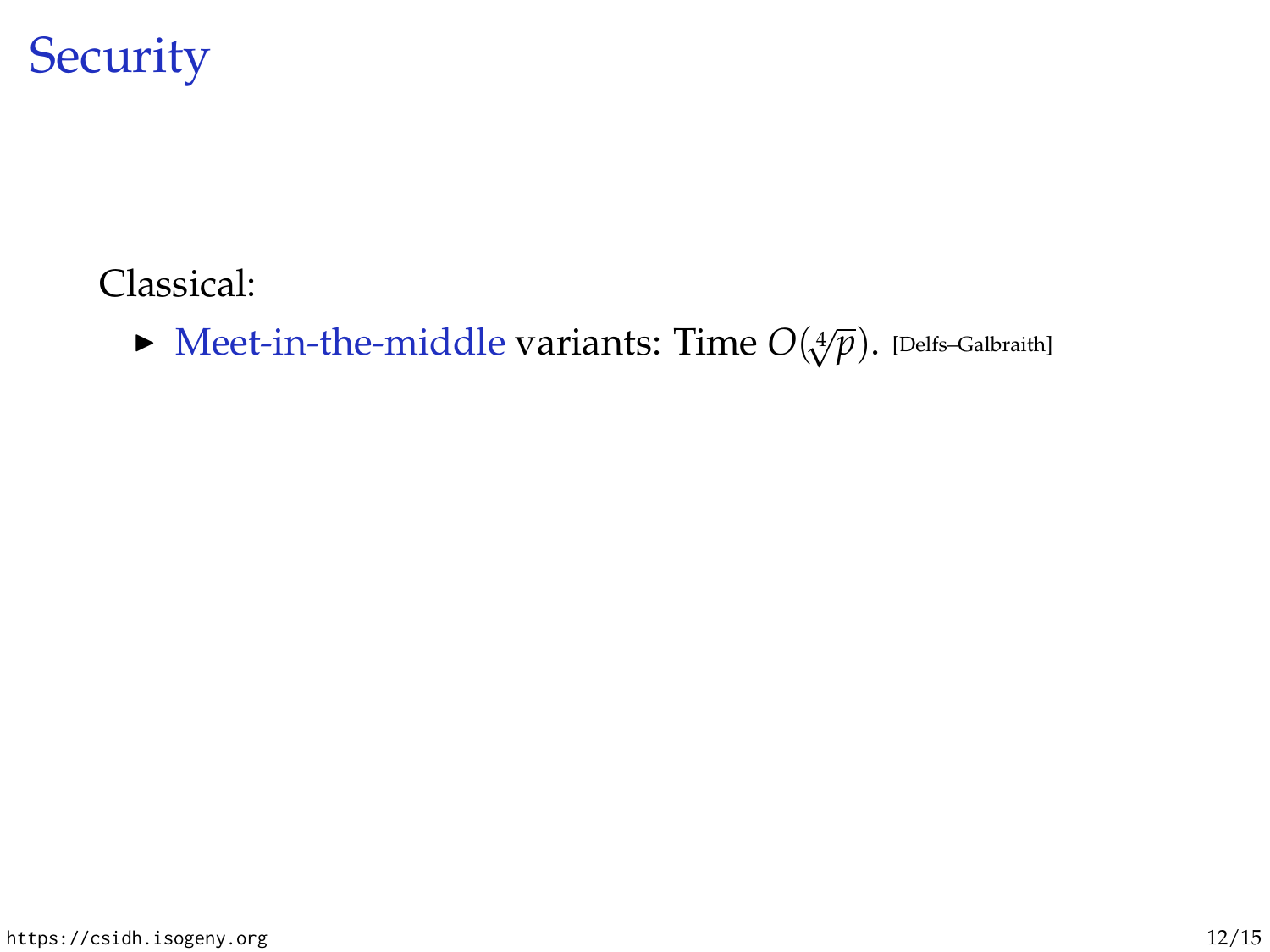

Classical:

► Meet-in-the-middle variants: Time  $O(\sqrt[4]{p})$ . [Delfs-Galbraith]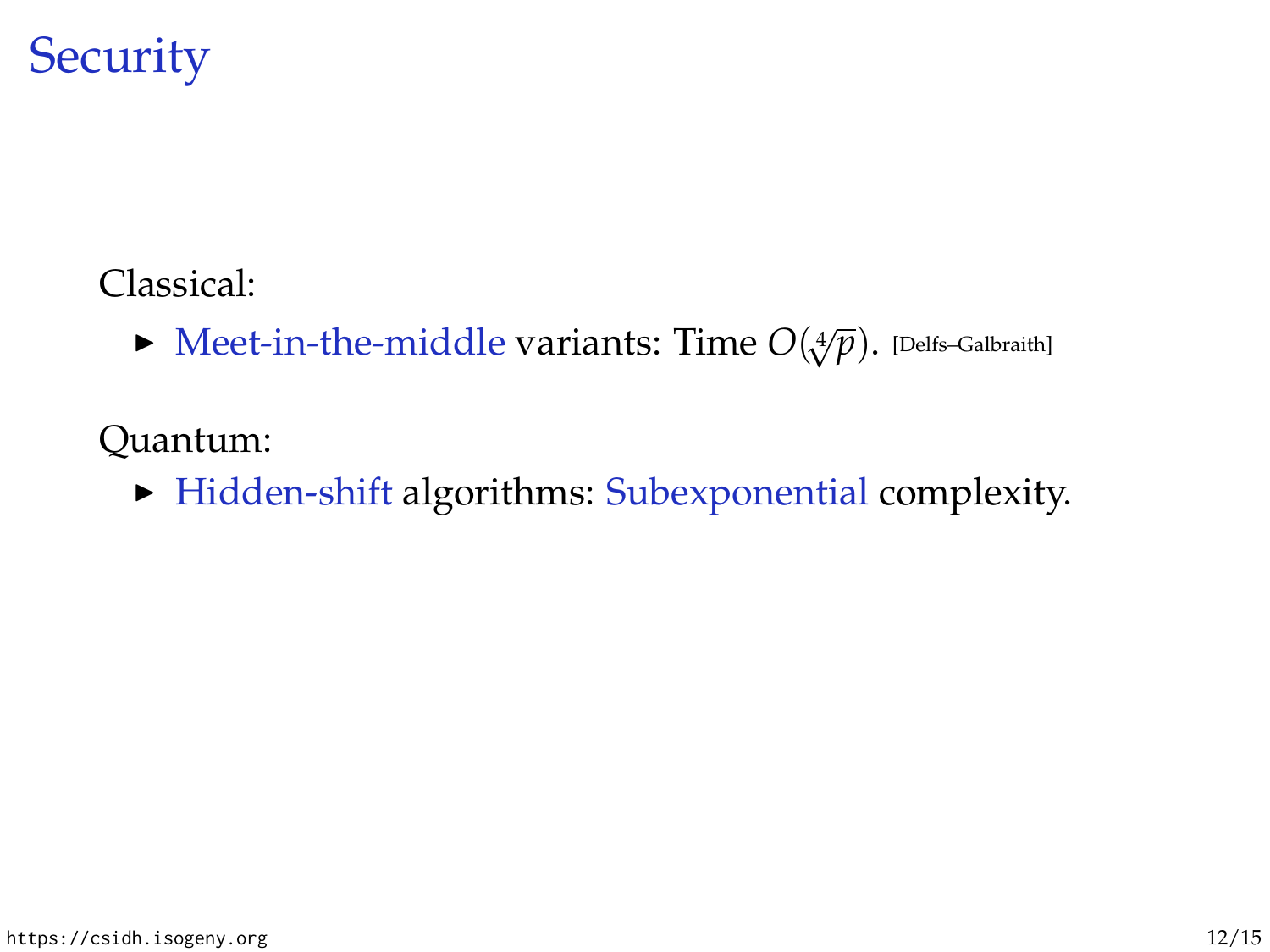# **Security**

Classical:

► Meet-in-the-middle variants: Time  $O(\sqrt[4]{p})$ . [Delfs-Galbraith]

Quantum:

 $\blacktriangleright$  Hidden-shift algorithms: Subexponential complexity.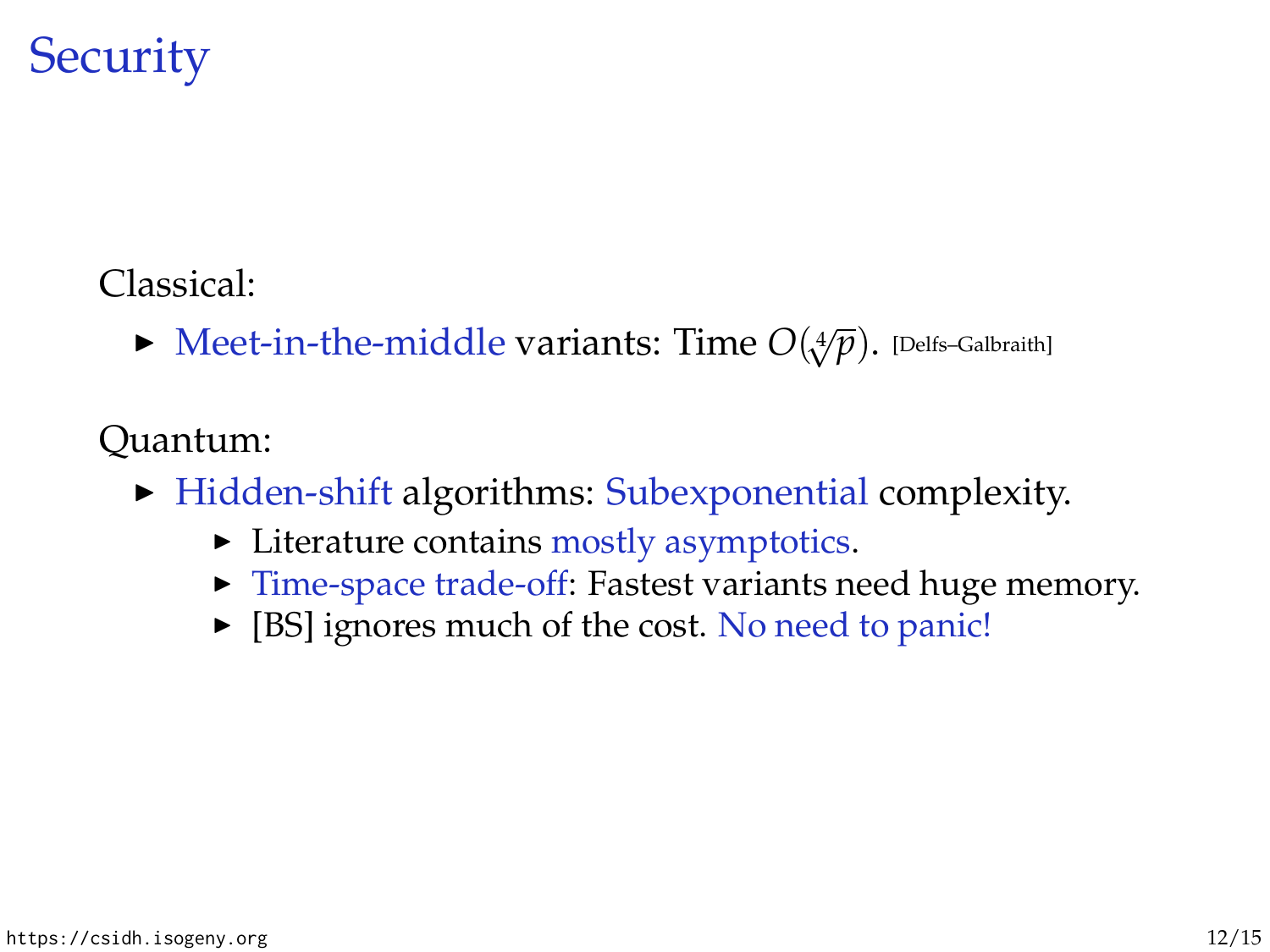# **Security**

#### Classical:

► Meet-in-the-middle variants: Time  $O(\sqrt[4]{p})$ . [Delfs-Galbraith]

Quantum:

- $\blacktriangleright$  Hidden-shift algorithms: Subexponential complexity.
	- $\blacktriangleright$  Literature contains mostly asymptotics.
	- $\triangleright$  Time-space trade-off: Fastest variants need huge memory.
	- ► [BS] ignores much of the cost. No need to panic!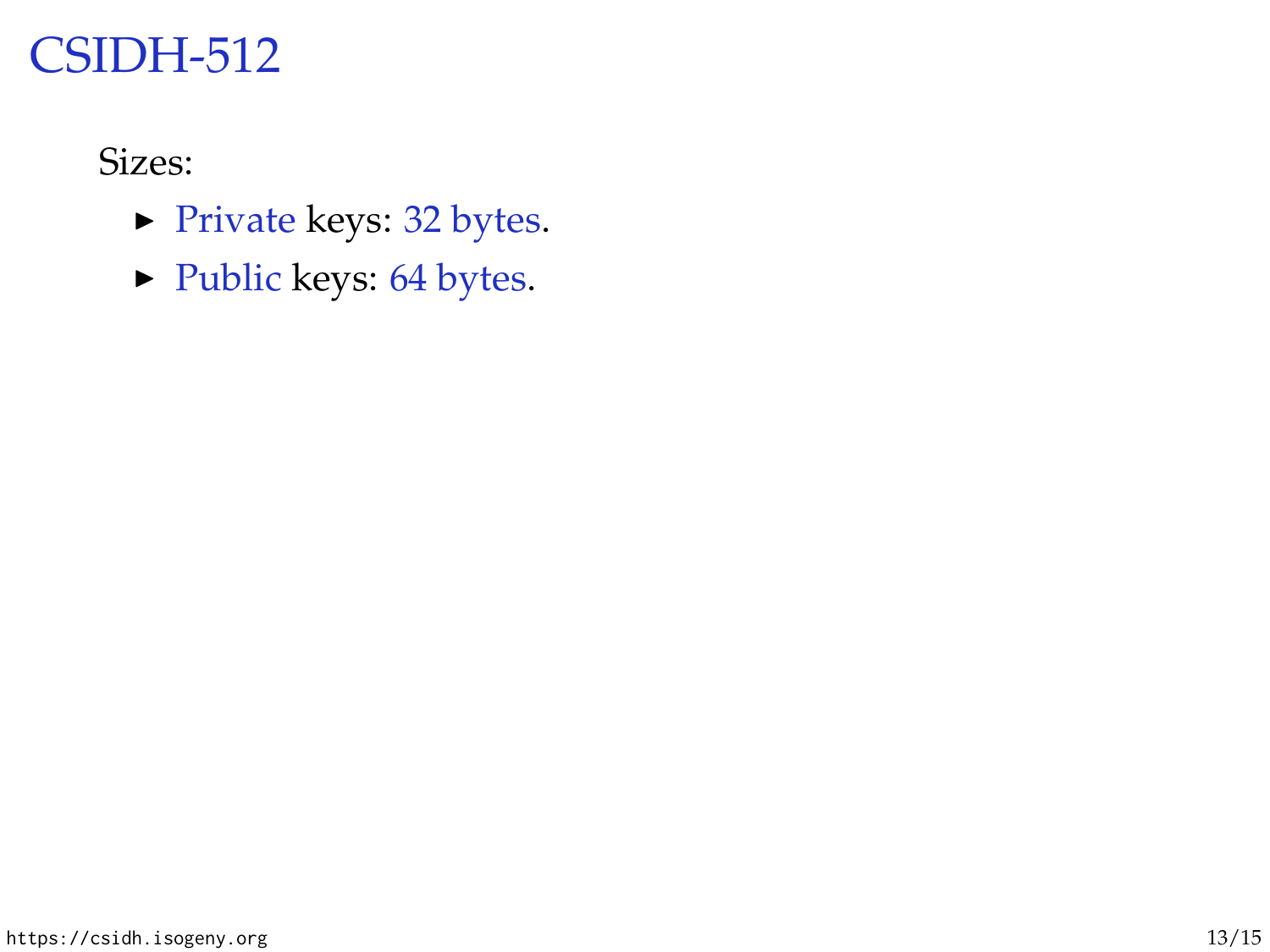Sizes:

- **Private keys: 32 bytes.**
- Public keys: 64 bytes.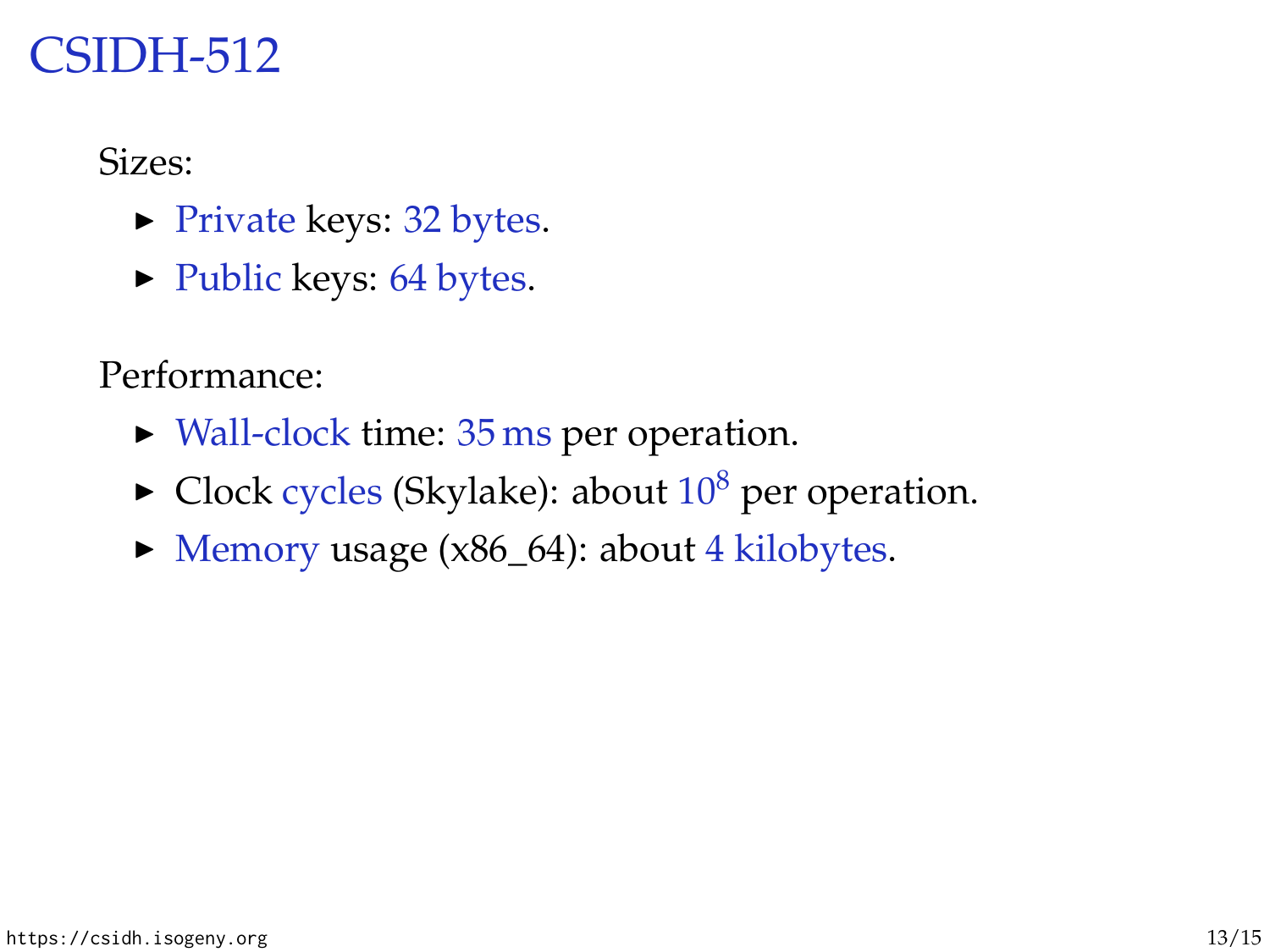Sizes:

- $\blacktriangleright$  Private keys: 32 bytes.
- $\blacktriangleright$  Public keys: 64 bytes.

Performance:

- $\triangleright$  Wall-clock time: 35 ms per operation.
- $\blacktriangleright$  Clock cycles (Skylake): about 10<sup>8</sup> per operation.
- $\blacktriangleright$  Memory usage (x86\_64): about 4 kilobytes.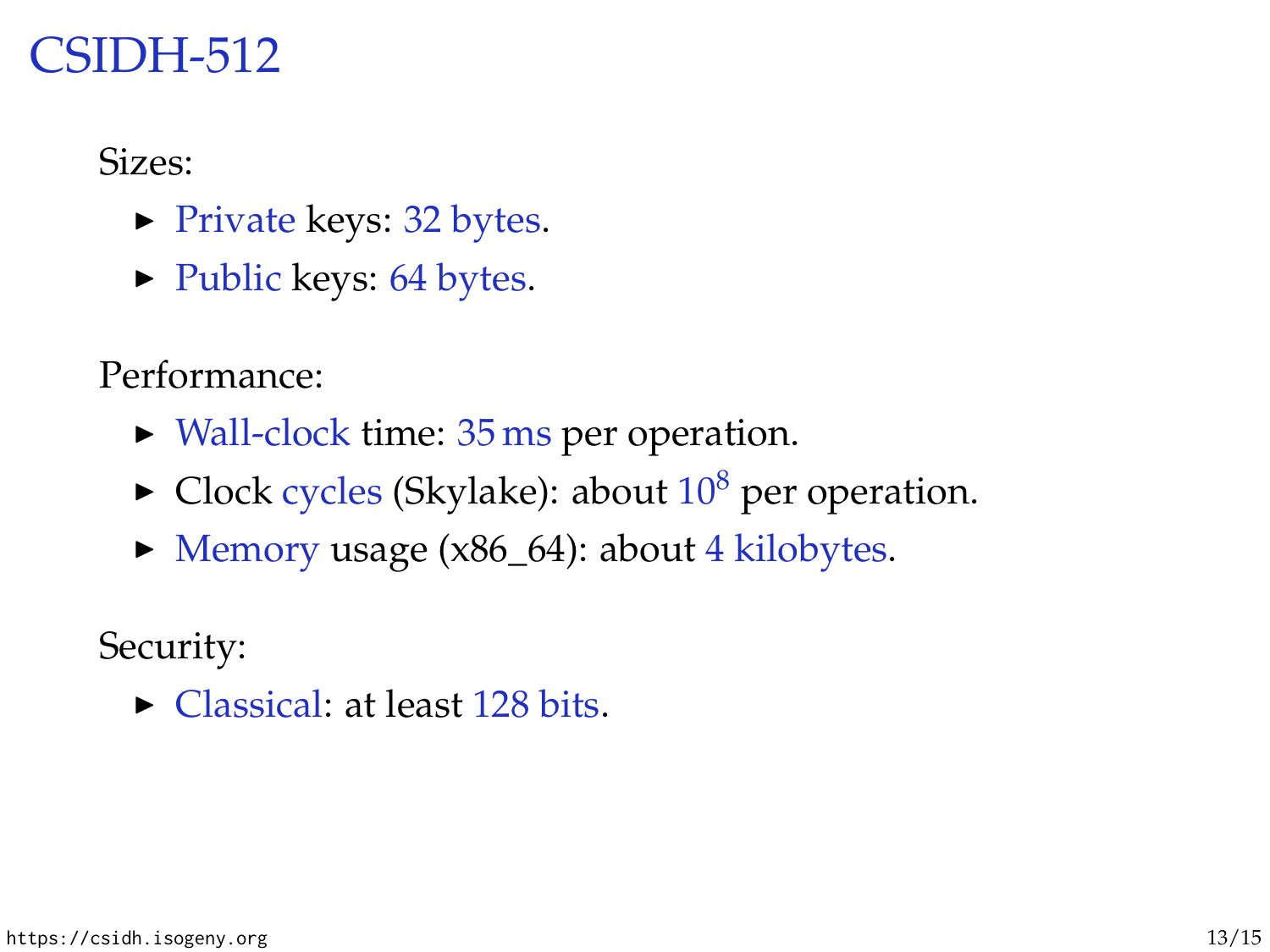Sizes:

- $\blacktriangleright$  Private keys: 32 bytes.
- $\blacktriangleright$  Public keys: 64 bytes.

Performance:

- $\triangleright$  Wall-clock time: 35 ms per operation.
- $\triangleright$  Clock cycles (Skylake): about  $10^8$  per operation.
- $\blacktriangleright$  Memory usage (x86–64): about 4 kilobytes.

Security:

 $\triangleright$  Classical: at least 128 bits.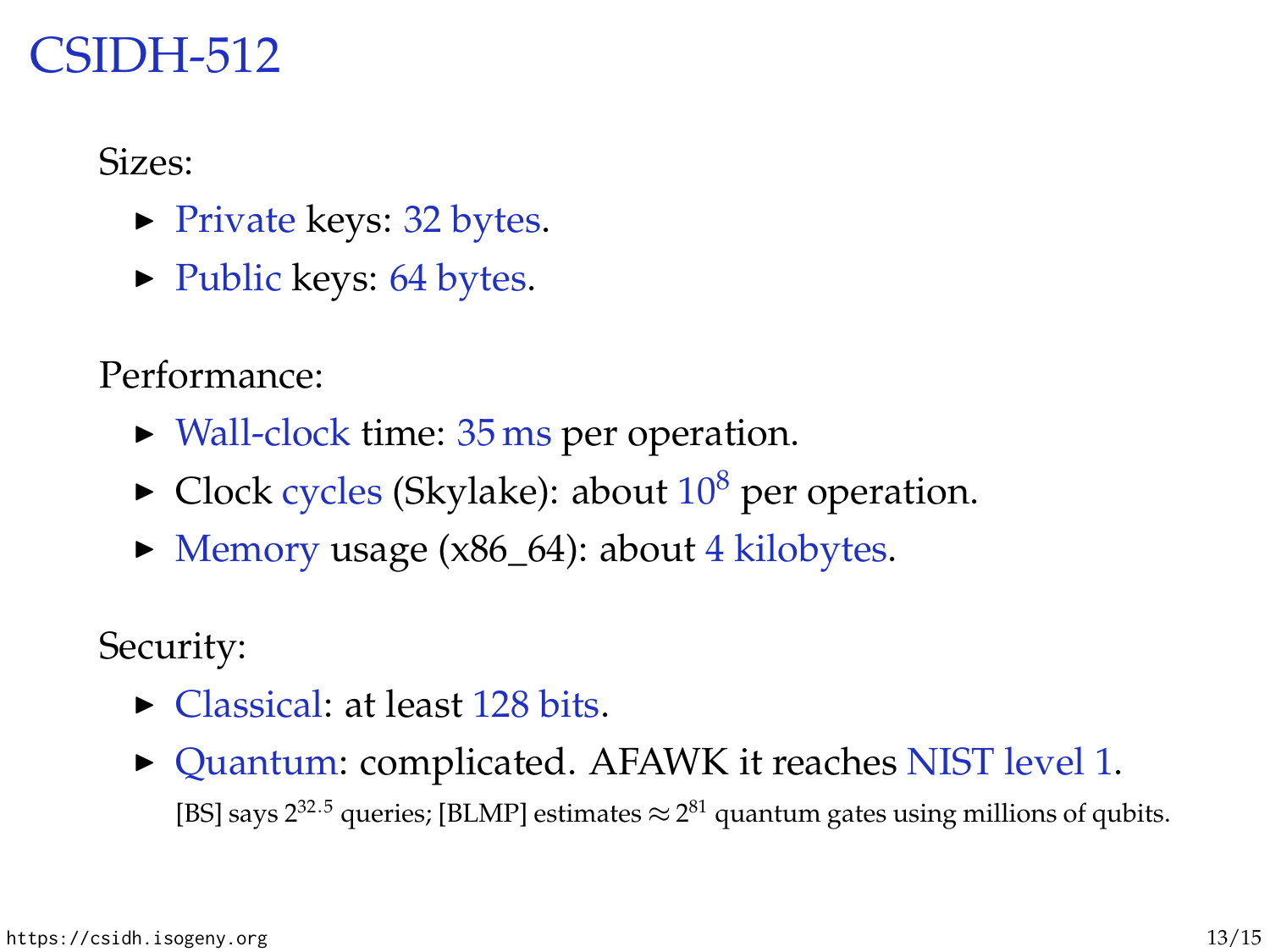Sizes:

- $\triangleright$  Private keys: 32 bytes.
- $\blacktriangleright$  Public keys: 64 bytes.

Performance:

- $\triangleright$  Wall-clock time: 35 ms per operation.
- $\triangleright$  Clock cycles (Skylake): about  $10^8$  per operation.
- $\blacktriangleright$  Memory usage (x86–64): about 4 kilobytes.

Security:

- $\triangleright$  Classical: at least 128 bits.
- $\triangleright$  Quantum: complicated. AFAWK it reaches NIST level 1. [BS] says  $2^{32.5}$  queries; [BLMP] estimates  $\approx 2^{81}$  quantum gates using millions of qubits.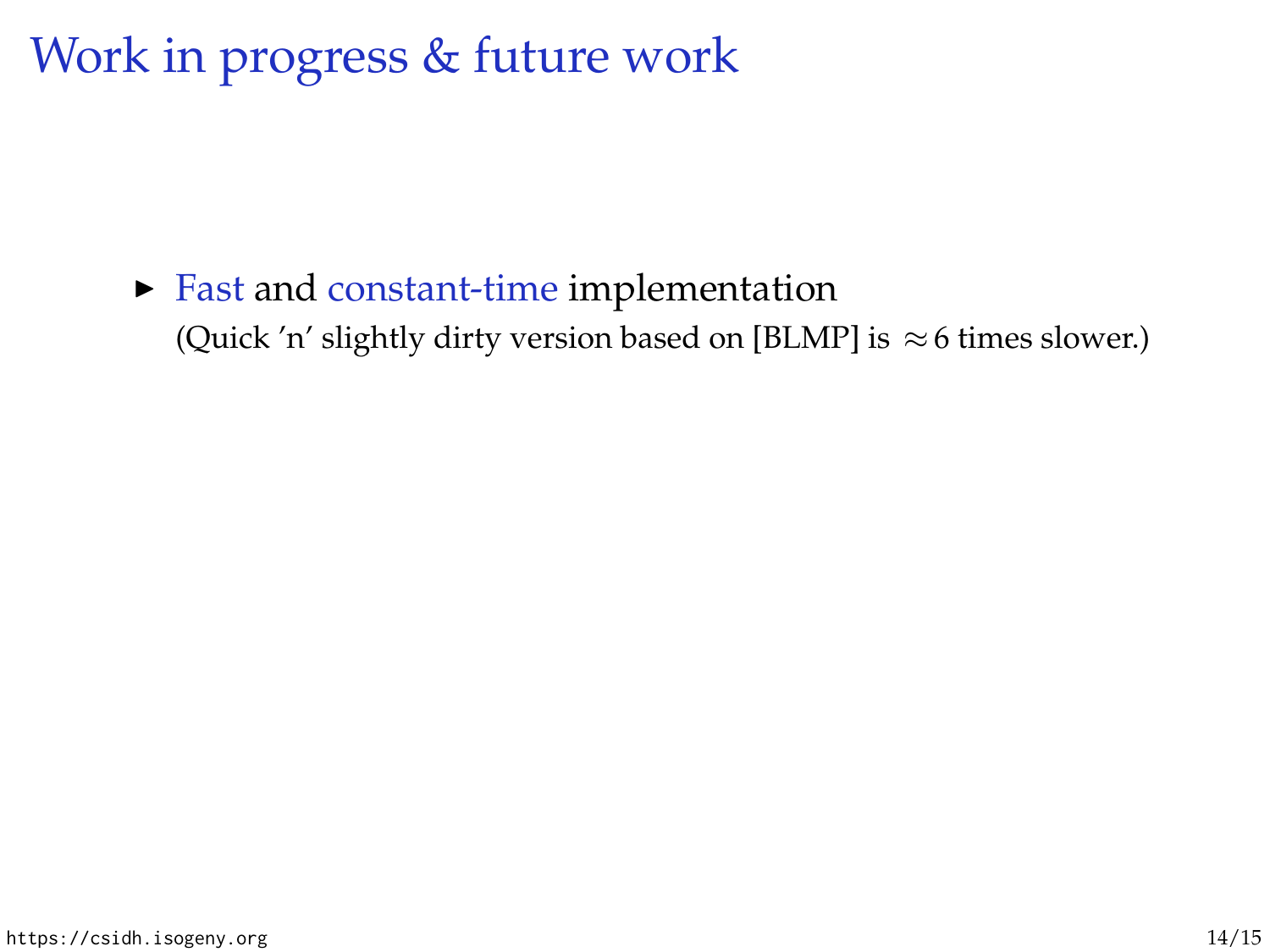$\blacktriangleright$  Fast and constant-time implementation (Quick 'n' slightly dirty version based on [BLMP] is  $\approx$  6 times slower.)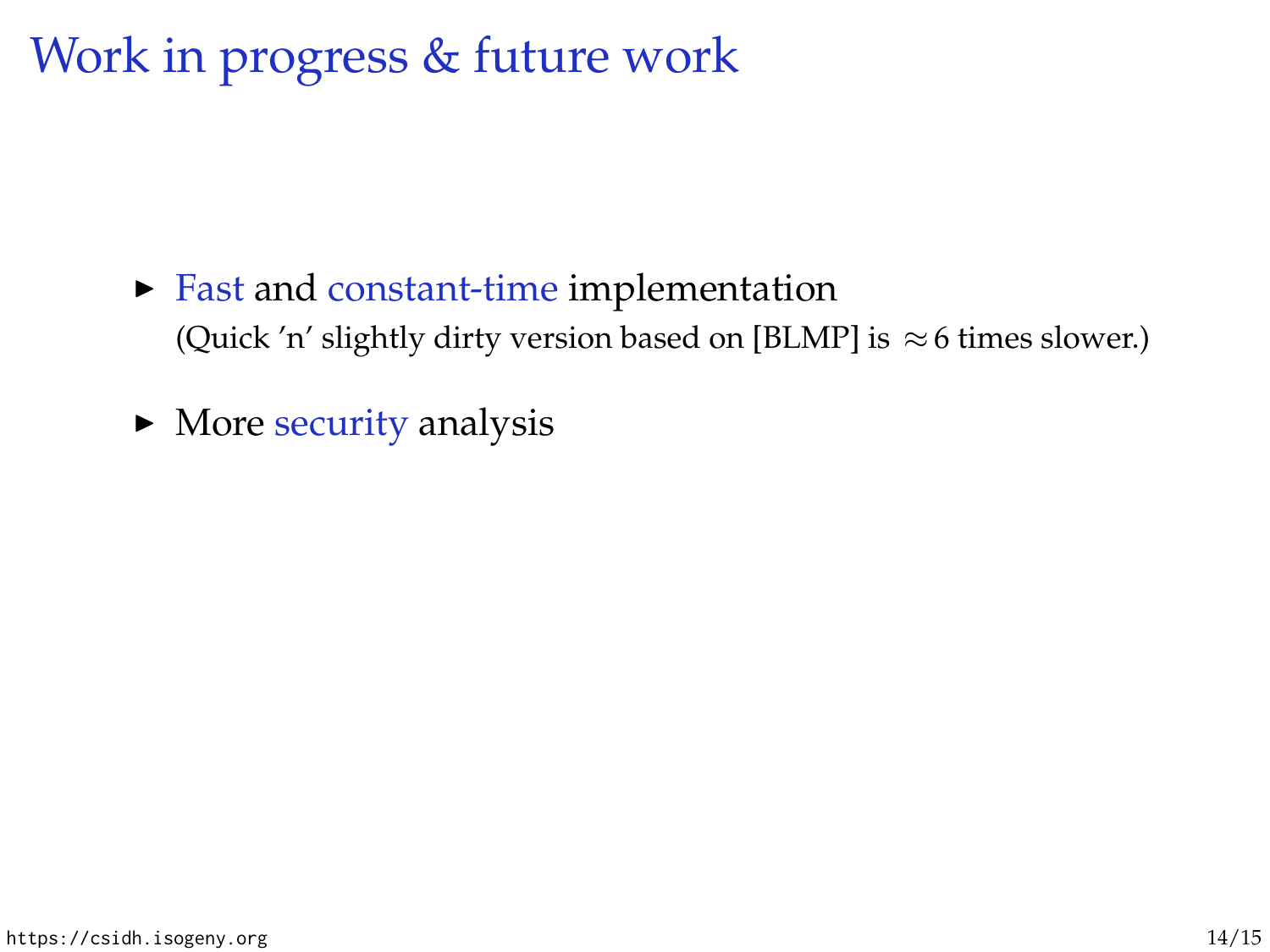- $\blacktriangleright$  Fast and constant-time implementation (Quick 'n' slightly dirty version based on [BLMP] is  $\approx$  6 times slower.)
- $\triangleright$  More security analysis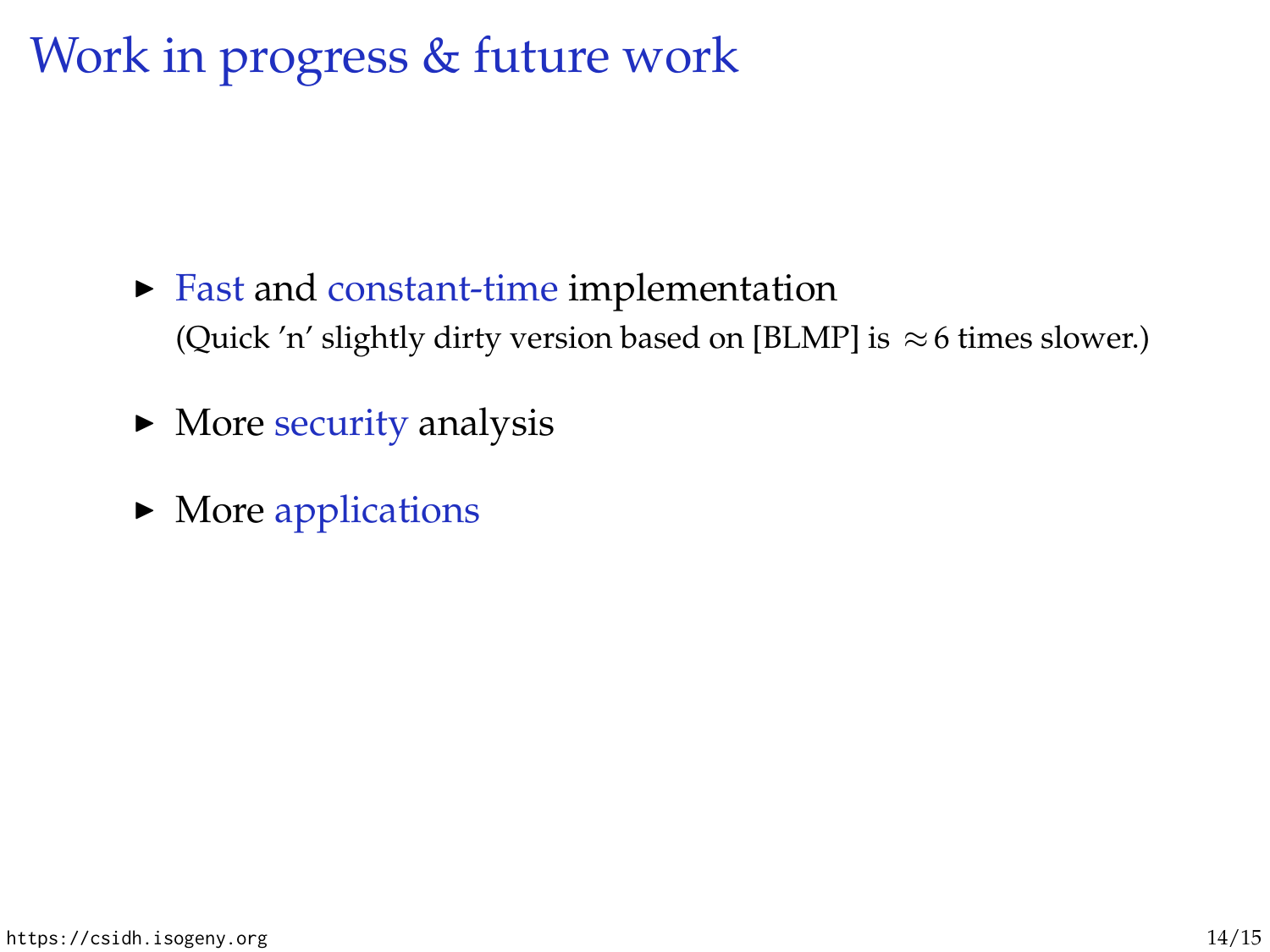- $\blacktriangleright$  Fast and constant-time implementation (Quick 'n' slightly dirty version based on [BLMP] is  $\approx$  6 times slower.)
- $\triangleright$  More security analysis
- $\blacktriangleright$  More applications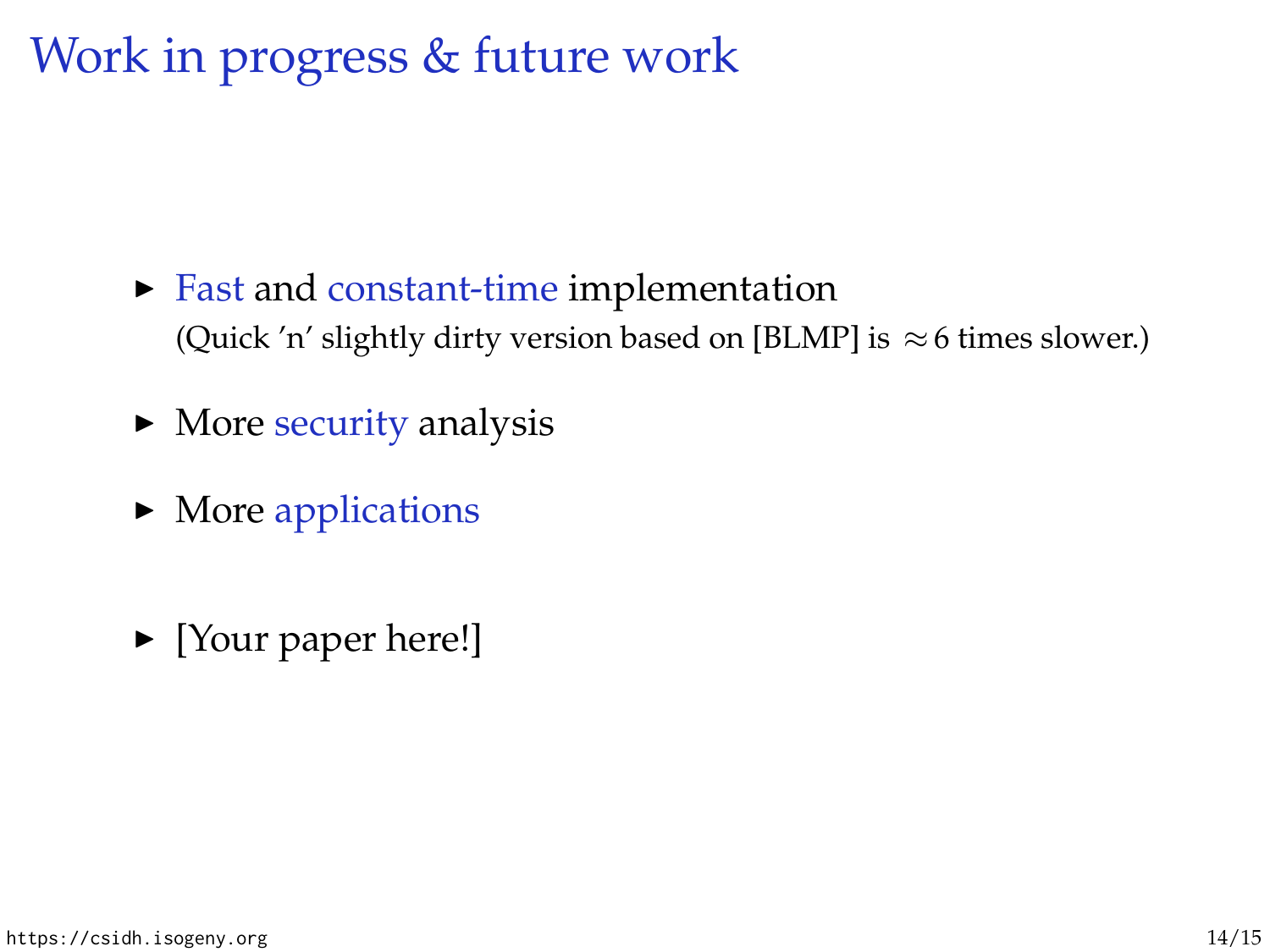- $\blacktriangleright$  Fast and constant-time implementation (Quick 'n' slightly dirty version based on [BLMP] is  $\approx$  6 times slower.)
- $\triangleright$  More security analysis
- $\blacktriangleright$  More applications
- $\blacktriangleright$  [Your paper here!]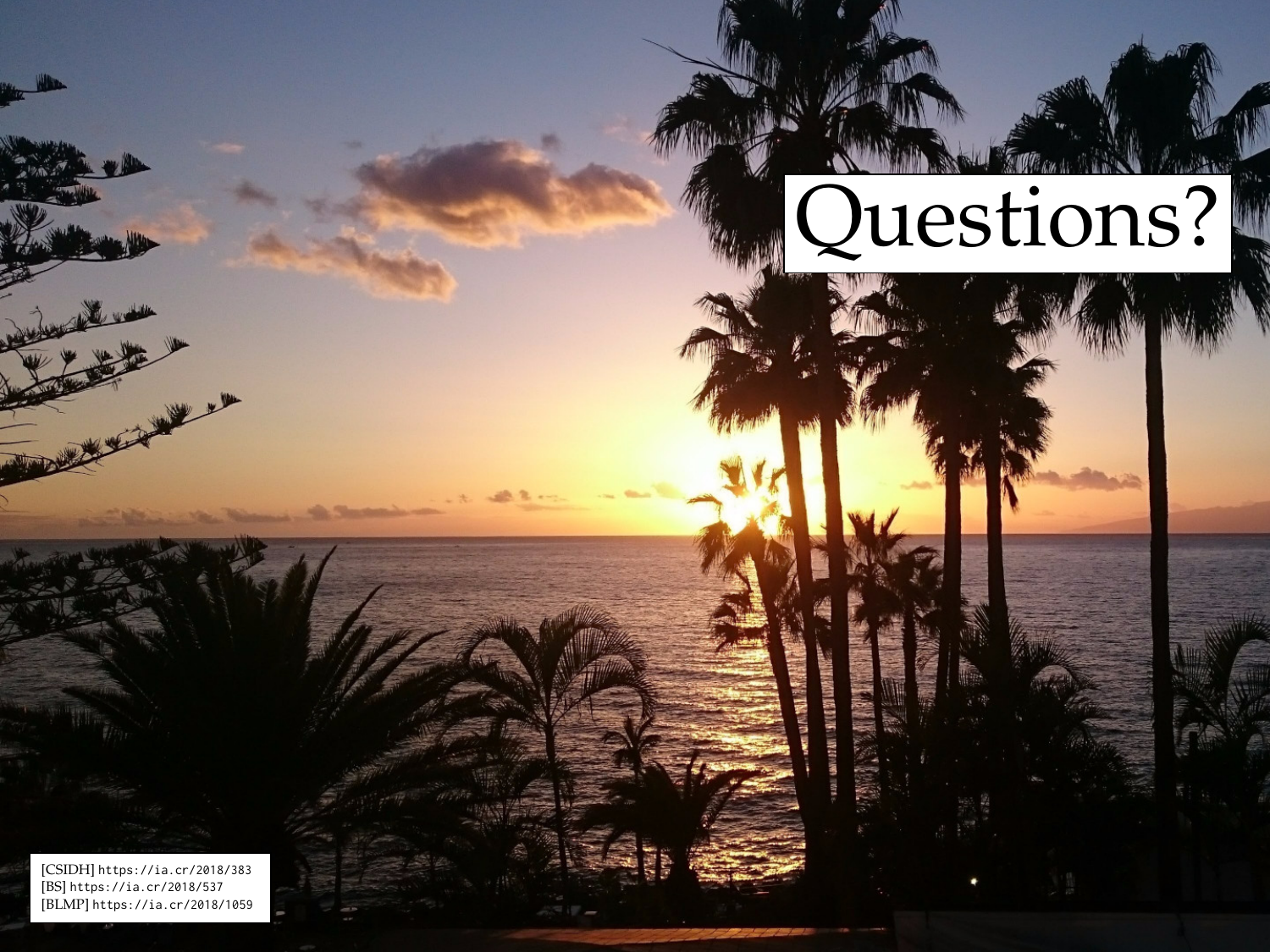# Questions?

[CSIDH] <https://ia.cr/2018/383> [BS] <https://ia.cr/2018/537> [BLMP] <https://ia.cr/2018/1059>

THE RESIDENCE AND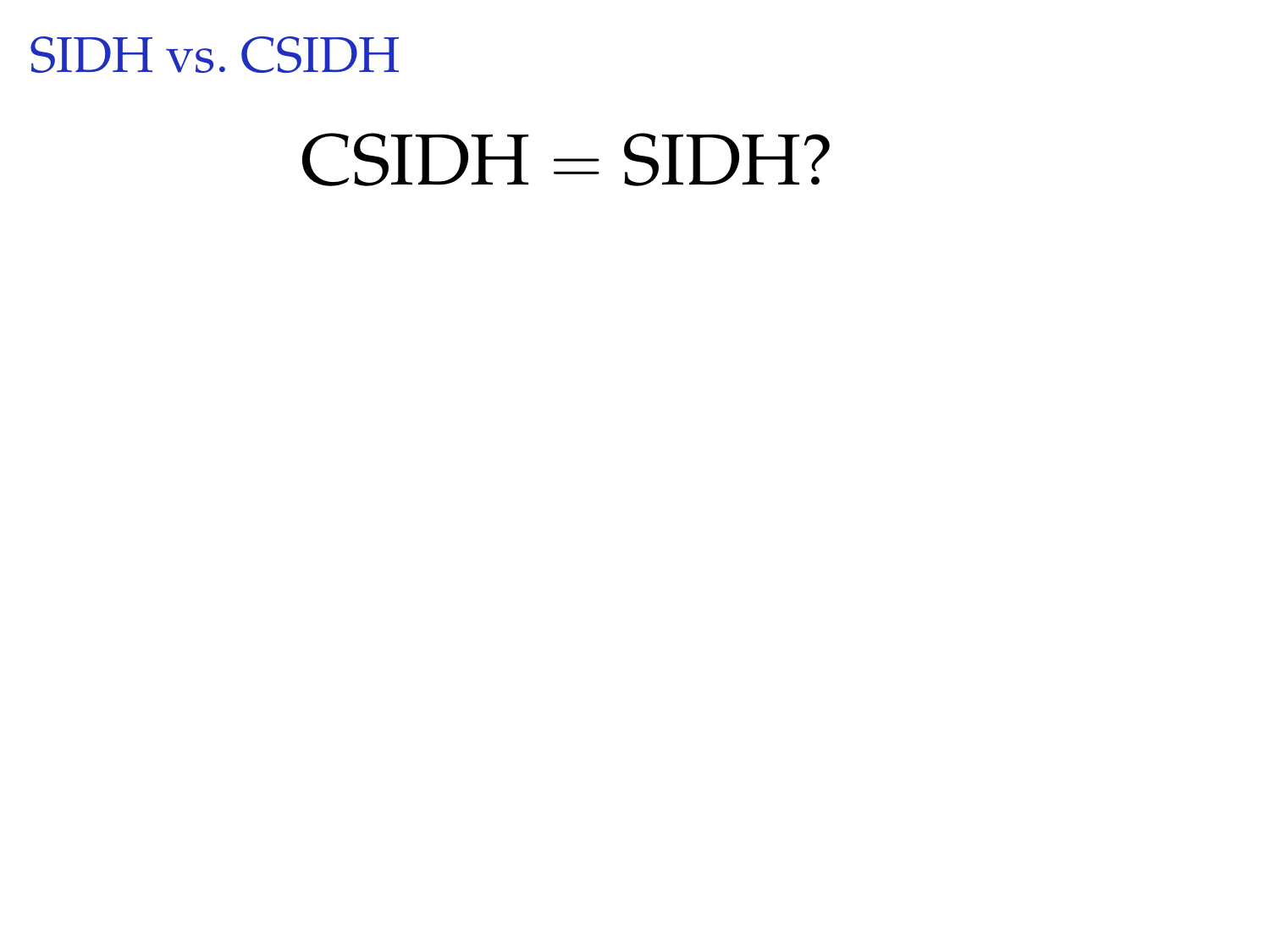

# $CSIDH = SIDH?$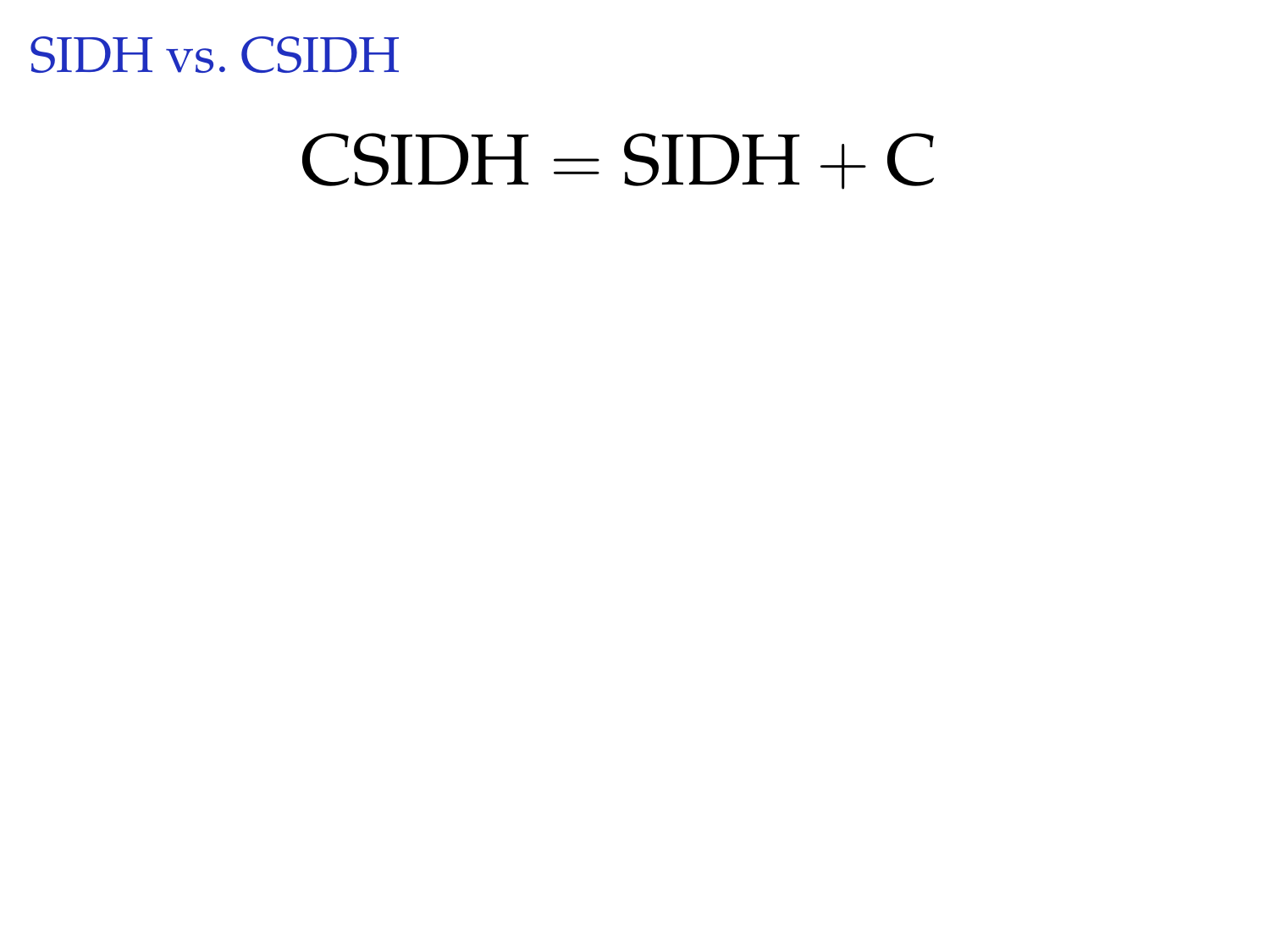

# $CSIDH = SIDH + C$